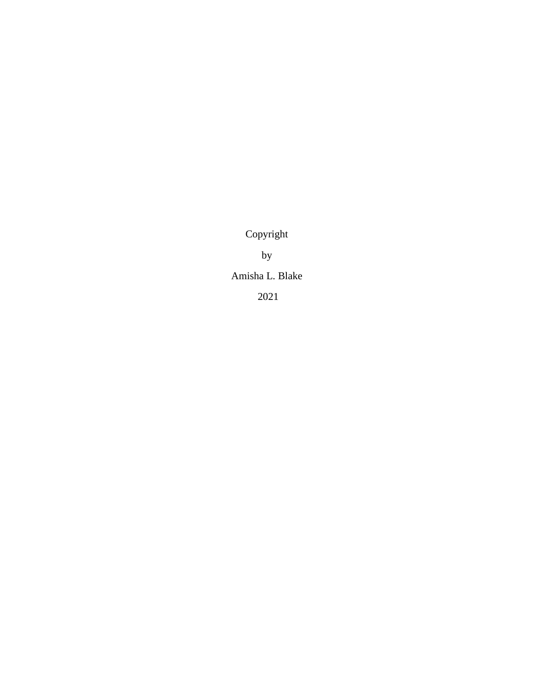Copyright

by

Amisha L. Blake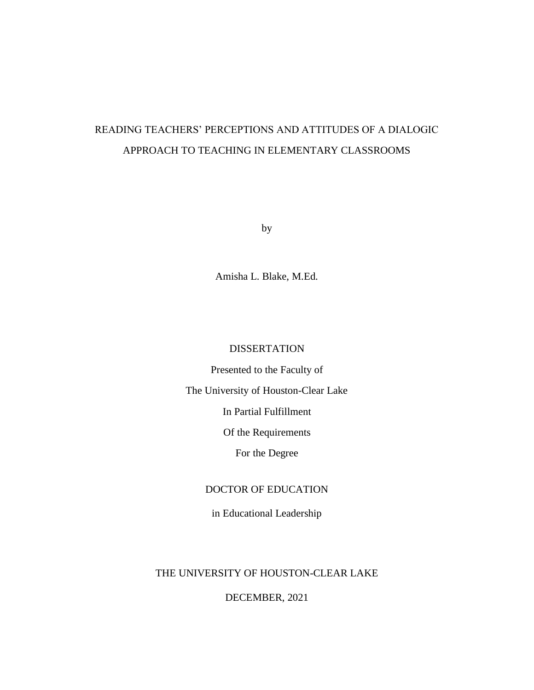# READING TEACHERS' PERCEPTIONS AND ATTITUDES OF A DIALOGIC APPROACH TO TEACHING IN ELEMENTARY CLASSROOMS

by

Amisha L. Blake, M.Ed.

# DISSERTATION

Presented to the Faculty of

The University of Houston-Clear Lake

In Partial Fulfillment

Of the Requirements

For the Degree

# DOCTOR OF EDUCATION

in Educational Leadership

# THE UNIVERSITY OF HOUSTON-CLEAR LAKE

DECEMBER, 2021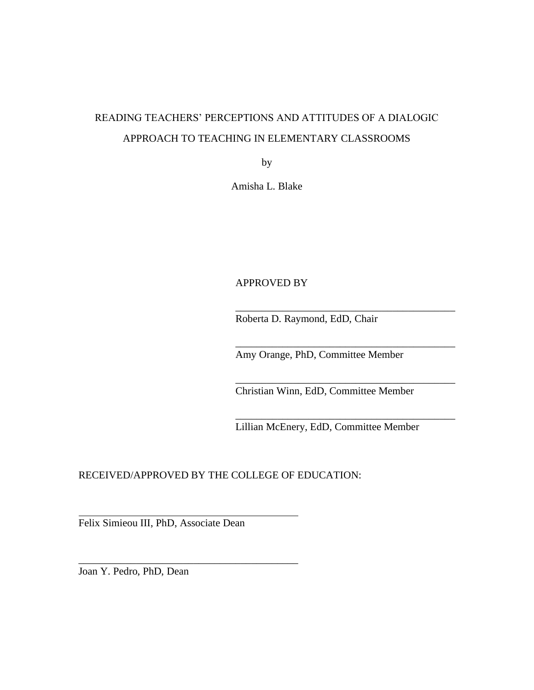# READING TEACHERS' PERCEPTIONS AND ATTITUDES OF A DIALOGIC APPROACH TO TEACHING IN ELEMENTARY CLASSROOMS

by

Amisha L. Blake

# APPROVED BY

Roberta D. Raymond, EdD, Chair

Amy Orange, PhD, Committee Member

\_\_\_\_\_\_\_\_\_\_\_\_\_\_\_\_\_\_\_\_\_\_\_\_\_\_\_\_\_\_\_\_\_\_\_\_\_\_\_\_\_\_

\_\_\_\_\_\_\_\_\_\_\_\_\_\_\_\_\_\_\_\_\_\_\_\_\_\_\_\_\_\_\_\_\_\_\_\_\_\_\_\_\_\_

\_\_\_\_\_\_\_\_\_\_\_\_\_\_\_\_\_\_\_\_\_\_\_\_\_\_\_\_\_\_\_\_\_\_\_\_\_\_\_\_\_\_

\_\_\_\_\_\_\_\_\_\_\_\_\_\_\_\_\_\_\_\_\_\_\_\_\_\_\_\_\_\_\_\_\_\_\_\_\_\_\_\_\_\_

Christian Winn, EdD, Committee Member

Lillian McEnery, EdD, Committee Member

RECEIVED/APPROVED BY THE COLLEGE OF EDUCATION:

Felix Simieou III, PhD, Associate Dean

\_\_\_\_\_\_\_\_\_\_\_\_\_\_\_\_\_\_\_\_\_\_\_\_\_\_\_\_\_\_\_\_\_\_\_\_\_\_\_\_\_\_

Joan Y. Pedro, PhD, Dean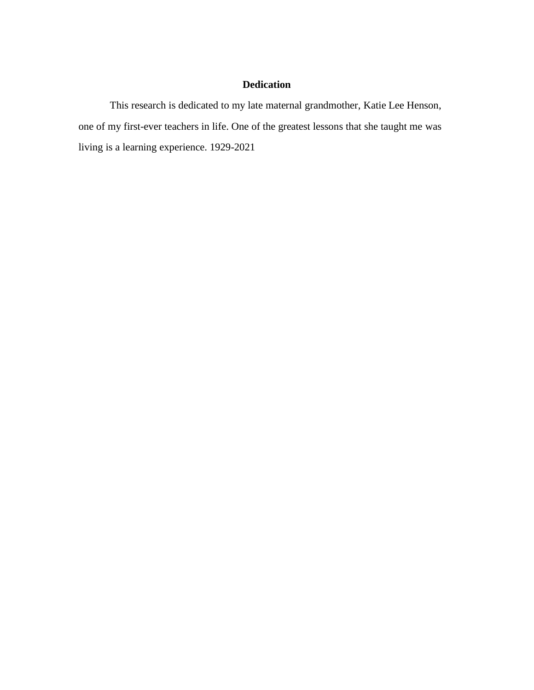# **Dedication**

This research is dedicated to my late maternal grandmother, Katie Lee Henson, one of my first-ever teachers in life. One of the greatest lessons that she taught me was living is a learning experience. 1929-2021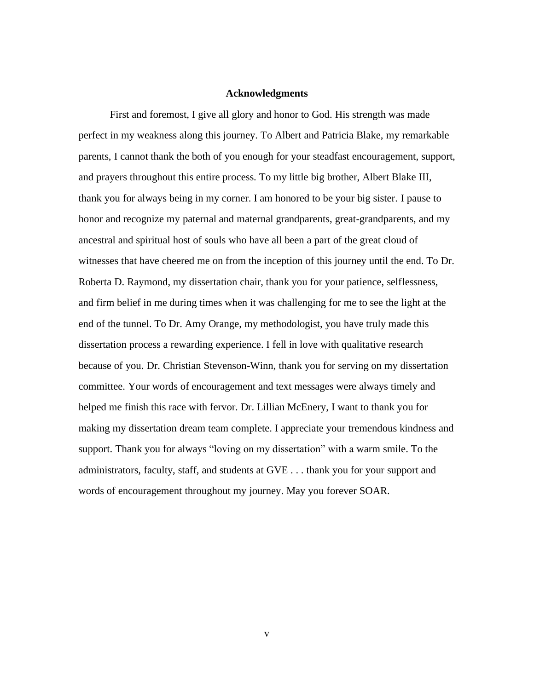#### **Acknowledgments**

First and foremost, I give all glory and honor to God. His strength was made perfect in my weakness along this journey. To Albert and Patricia Blake, my remarkable parents, I cannot thank the both of you enough for your steadfast encouragement, support, and prayers throughout this entire process. To my little big brother, Albert Blake III, thank you for always being in my corner. I am honored to be your big sister. I pause to honor and recognize my paternal and maternal grandparents, great-grandparents, and my ancestral and spiritual host of souls who have all been a part of the great cloud of witnesses that have cheered me on from the inception of this journey until the end. To Dr. Roberta D. Raymond, my dissertation chair, thank you for your patience, selflessness, and firm belief in me during times when it was challenging for me to see the light at the end of the tunnel. To Dr. Amy Orange, my methodologist, you have truly made this dissertation process a rewarding experience. I fell in love with qualitative research because of you. Dr. Christian Stevenson-Winn, thank you for serving on my dissertation committee. Your words of encouragement and text messages were always timely and helped me finish this race with fervor. Dr. Lillian McEnery, I want to thank you for making my dissertation dream team complete. I appreciate your tremendous kindness and support. Thank you for always "loving on my dissertation" with a warm smile. To the administrators, faculty, staff, and students at GVE . . . thank you for your support and words of encouragement throughout my journey. May you forever SOAR.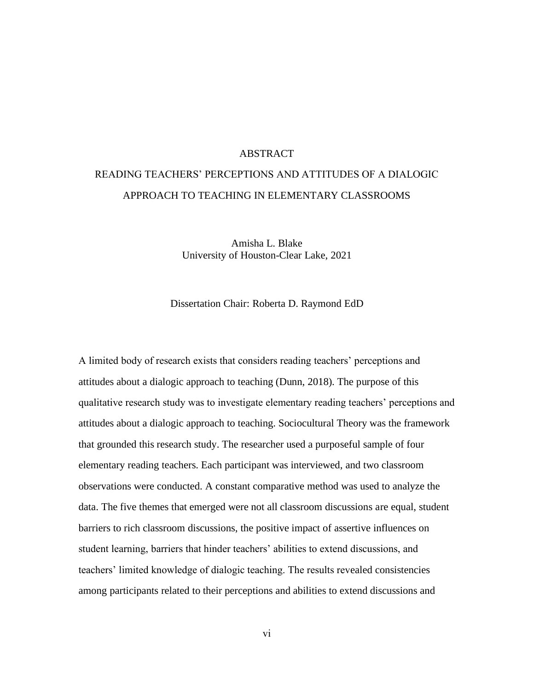# ABSTRACT

# READING TEACHERS' PERCEPTIONS AND ATTITUDES OF A DIALOGIC APPROACH TO TEACHING IN ELEMENTARY CLASSROOMS

Amisha L. Blake University of Houston-Clear Lake, 2021

Dissertation Chair: Roberta D. Raymond EdD

A limited body of research exists that considers reading teachers' perceptions and attitudes about a dialogic approach to teaching (Dunn, 2018). The purpose of this qualitative research study was to investigate elementary reading teachers' perceptions and attitudes about a dialogic approach to teaching. Sociocultural Theory was the framework that grounded this research study. The researcher used a purposeful sample of four elementary reading teachers. Each participant was interviewed, and two classroom observations were conducted. A constant comparative method was used to analyze the data. The five themes that emerged were not all classroom discussions are equal, student barriers to rich classroom discussions, the positive impact of assertive influences on student learning, barriers that hinder teachers' abilities to extend discussions, and teachers' limited knowledge of dialogic teaching. The results revealed consistencies among participants related to their perceptions and abilities to extend discussions and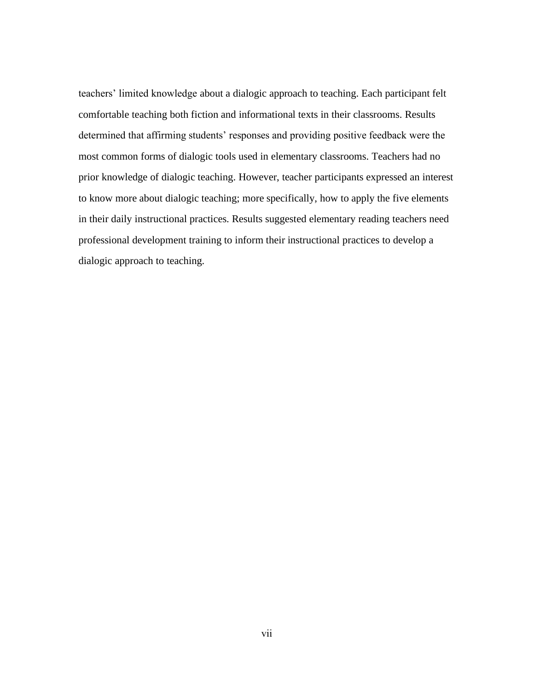teachers' limited knowledge about a dialogic approach to teaching. Each participant felt comfortable teaching both fiction and informational texts in their classrooms. Results determined that affirming students' responses and providing positive feedback were the most common forms of dialogic tools used in elementary classrooms. Teachers had no prior knowledge of dialogic teaching. However, teacher participants expressed an interest to know more about dialogic teaching; more specifically, how to apply the five elements in their daily instructional practices. Results suggested elementary reading teachers need professional development training to inform their instructional practices to develop a dialogic approach to teaching.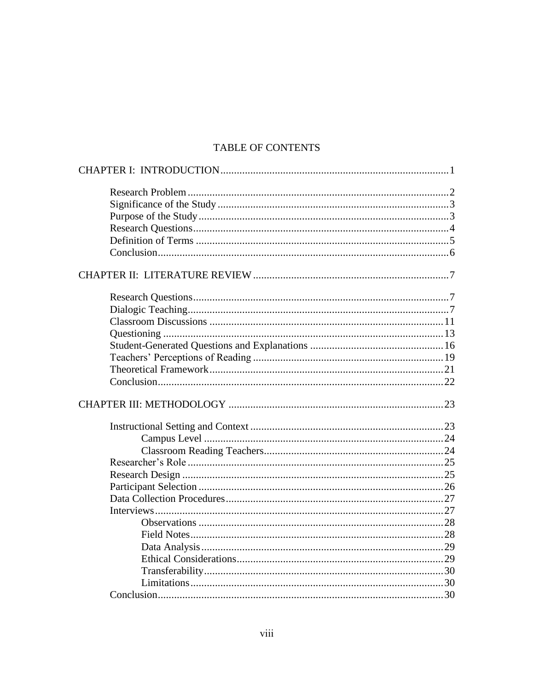# TABLE OF CONTENTS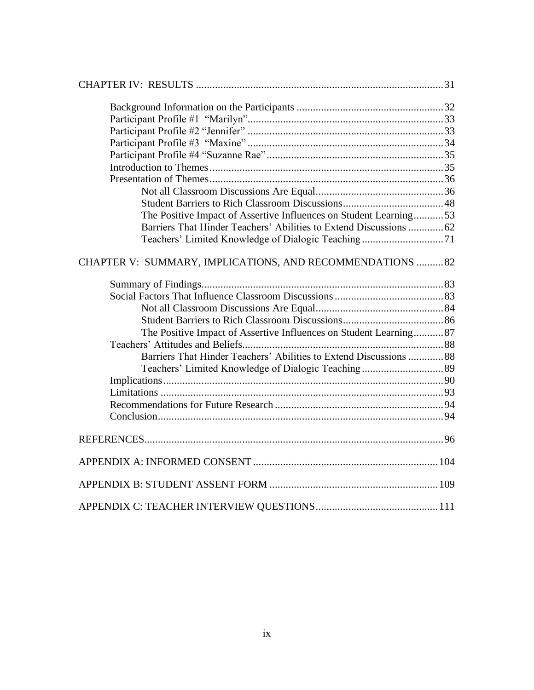| The Positive Impact of Assertive Influences on Student Learning53  |  |
|--------------------------------------------------------------------|--|
| Barriers That Hinder Teachers' Abilities to Extend Discussions  62 |  |
| Teachers' Limited Knowledge of Dialogic Teaching71                 |  |
| CHAPTER V: SUMMARY, IMPLICATIONS, AND RECOMMENDATIONS 82           |  |
|                                                                    |  |
|                                                                    |  |
|                                                                    |  |
|                                                                    |  |
| The Positive Impact of Assertive Influences on Student Learning87  |  |
|                                                                    |  |
| Barriers That Hinder Teachers' Abilities to Extend Discussions  88 |  |
|                                                                    |  |
|                                                                    |  |
|                                                                    |  |
|                                                                    |  |
|                                                                    |  |
|                                                                    |  |
|                                                                    |  |
|                                                                    |  |
|                                                                    |  |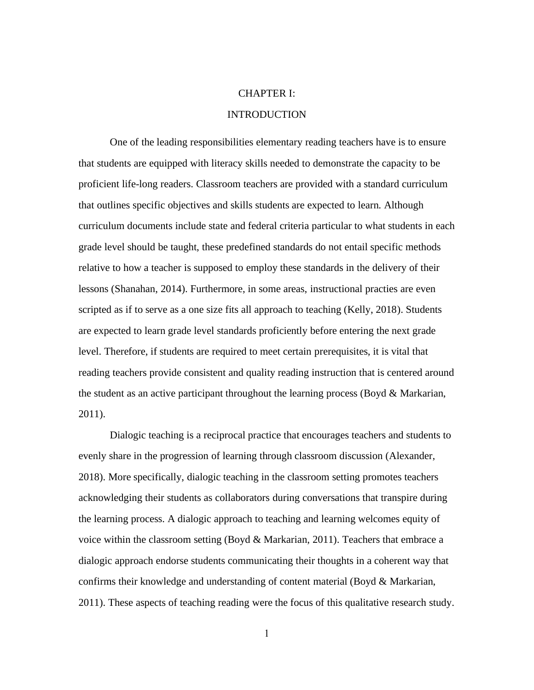# CHAPTER I:

# INTRODUCTION

One of the leading responsibilities elementary reading teachers have is to ensure that students are equipped with literacy skills needed to demonstrate the capacity to be proficient life-long readers. Classroom teachers are provided with a standard curriculum that outlines specific objectives and skills students are expected to learn. Although curriculum documents include state and federal criteria particular to what students in each grade level should be taught, these predefined standards do not entail specific methods relative to how a teacher is supposed to employ these standards in the delivery of their lessons (Shanahan, 2014). Furthermore, in some areas, instructional practies are even scripted as if to serve as a one size fits all approach to teaching (Kelly, 2018). Students are expected to learn grade level standards proficiently before entering the next grade level. Therefore, if students are required to meet certain prerequisites, it is vital that reading teachers provide consistent and quality reading instruction that is centered around the student as an active participant throughout the learning process (Boyd  $\&$  Markarian, 2011).

Dialogic teaching is a reciprocal practice that encourages teachers and students to evenly share in the progression of learning through classroom discussion (Alexander, 2018). More specifically, dialogic teaching in the classroom setting promotes teachers acknowledging their students as collaborators during conversations that transpire during the learning process. A dialogic approach to teaching and learning welcomes equity of voice within the classroom setting (Boyd  $&$  Markarian, 2011). Teachers that embrace a dialogic approach endorse students communicating their thoughts in a coherent way that confirms their knowledge and understanding of content material (Boyd & Markarian, 2011). These aspects of teaching reading were the focus of this qualitative research study.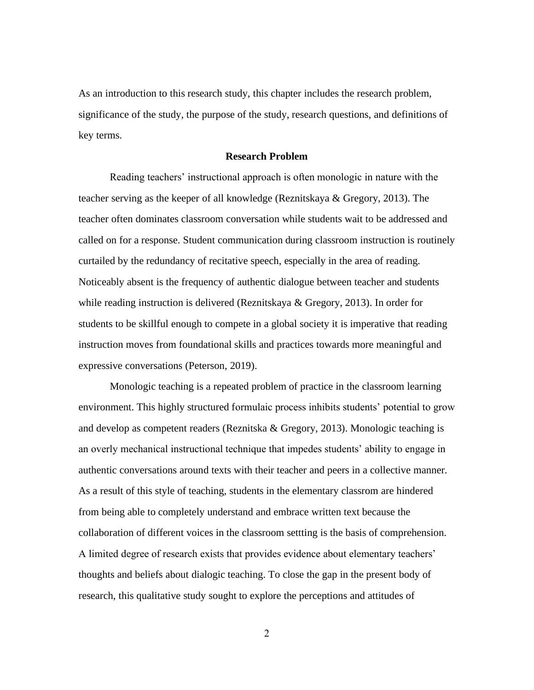As an introduction to this research study, this chapter includes the research problem, significance of the study, the purpose of the study, research questions, and definitions of key terms.

#### **Research Problem**

Reading teachers' instructional approach is often monologic in nature with the teacher serving as the keeper of all knowledge (Reznitskaya & Gregory, 2013). The teacher often dominates classroom conversation while students wait to be addressed and called on for a response. Student communication during classroom instruction is routinely curtailed by the redundancy of recitative speech, especially in the area of reading. Noticeably absent is the frequency of authentic dialogue between teacher and students while reading instruction is delivered (Reznitskaya & Gregory, 2013). In order for students to be skillful enough to compete in a global society it is imperative that reading instruction moves from foundational skills and practices towards more meaningful and expressive conversations (Peterson, 2019).

Monologic teaching is a repeated problem of practice in the classroom learning environment. This highly structured formulaic process inhibits students' potential to grow and develop as competent readers (Reznitska & Gregory, 2013). Monologic teaching is an overly mechanical instructional technique that impedes students' ability to engage in authentic conversations around texts with their teacher and peers in a collective manner. As a result of this style of teaching, students in the elementary classrom are hindered from being able to completely understand and embrace written text because the collaboration of different voices in the classroom settting is the basis of comprehension. A limited degree of research exists that provides evidence about elementary teachers' thoughts and beliefs about dialogic teaching. To close the gap in the present body of research, this qualitative study sought to explore the perceptions and attitudes of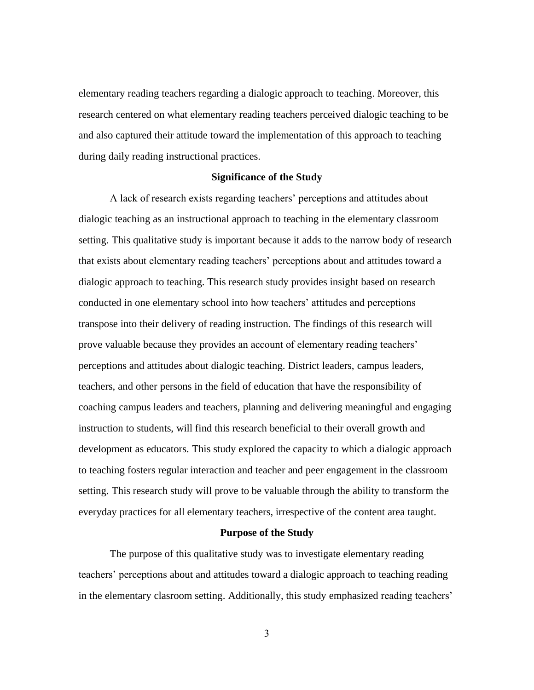elementary reading teachers regarding a dialogic approach to teaching. Moreover, this research centered on what elementary reading teachers perceived dialogic teaching to be and also captured their attitude toward the implementation of this approach to teaching during daily reading instructional practices.

## **Significance of the Study**

A lack of research exists regarding teachers' perceptions and attitudes about dialogic teaching as an instructional approach to teaching in the elementary classroom setting. This qualitative study is important because it adds to the narrow body of research that exists about elementary reading teachers' perceptions about and attitudes toward a dialogic approach to teaching. This research study provides insight based on research conducted in one elementary school into how teachers' attitudes and perceptions transpose into their delivery of reading instruction. The findings of this research will prove valuable because they provides an account of elementary reading teachers' perceptions and attitudes about dialogic teaching. District leaders, campus leaders, teachers, and other persons in the field of education that have the responsibility of coaching campus leaders and teachers, planning and delivering meaningful and engaging instruction to students, will find this research beneficial to their overall growth and development as educators. This study explored the capacity to which a dialogic approach to teaching fosters regular interaction and teacher and peer engagement in the classroom setting. This research study will prove to be valuable through the ability to transform the everyday practices for all elementary teachers, irrespective of the content area taught.

## **Purpose of the Study**

The purpose of this qualitative study was to investigate elementary reading teachers' perceptions about and attitudes toward a dialogic approach to teaching reading in the elementary clasroom setting. Additionally, this study emphasized reading teachers'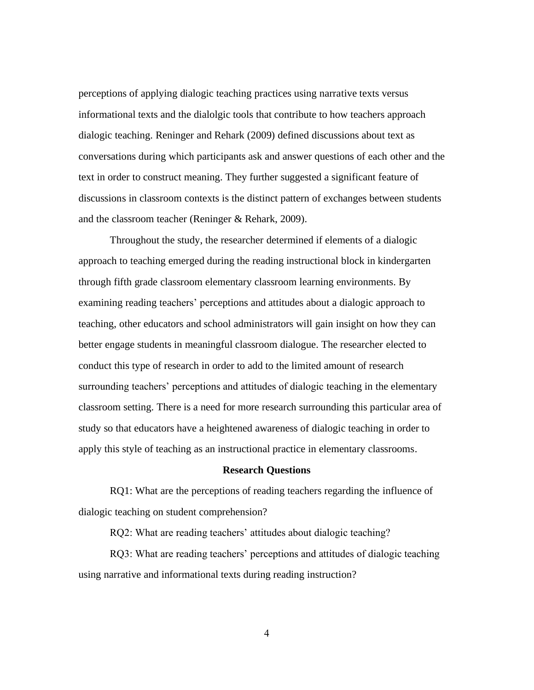perceptions of applying dialogic teaching practices using narrative texts versus informational texts and the dialolgic tools that contribute to how teachers approach dialogic teaching. Reninger and Rehark (2009) defined discussions about text as conversations during which participants ask and answer questions of each other and the text in order to construct meaning. They further suggested a significant feature of discussions in classroom contexts is the distinct pattern of exchanges between students and the classroom teacher (Reninger & Rehark, 2009).

Throughout the study, the researcher determined if elements of a dialogic approach to teaching emerged during the reading instructional block in kindergarten through fifth grade classroom elementary classroom learning environments. By examining reading teachers' perceptions and attitudes about a dialogic approach to teaching, other educators and school administrators will gain insight on how they can better engage students in meaningful classroom dialogue. The researcher elected to conduct this type of research in order to add to the limited amount of research surrounding teachers' perceptions and attitudes of dialogic teaching in the elementary classroom setting. There is a need for more research surrounding this particular area of study so that educators have a heightened awareness of dialogic teaching in order to apply this style of teaching as an instructional practice in elementary classrooms.

## **Research Questions**

RQ1: What are the perceptions of reading teachers regarding the influence of dialogic teaching on student comprehension?

RQ2: What are reading teachers' attitudes about dialogic teaching?

RQ3: What are reading teachers' perceptions and attitudes of dialogic teaching using narrative and informational texts during reading instruction?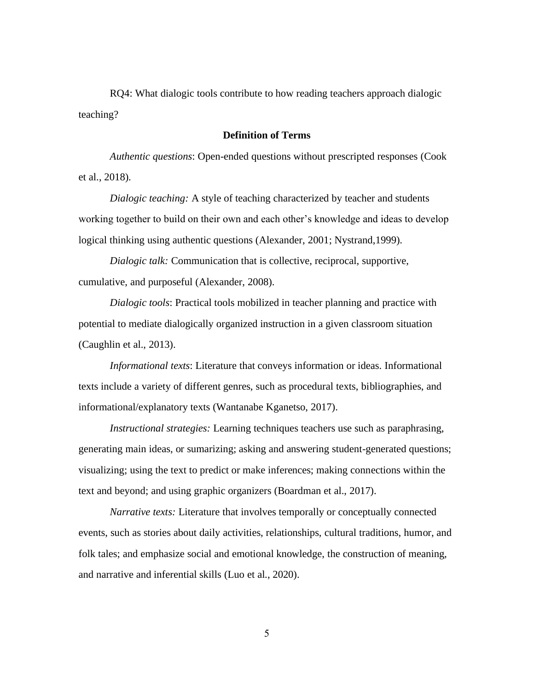RQ4: What dialogic tools contribute to how reading teachers approach dialogic teaching?

# **Definition of Terms**

*Authentic questions*: Open-ended questions without prescripted responses (Cook et al., 2018).

*Dialogic teaching:* A style of teaching characterized by teacher and students working together to build on their own and each other's knowledge and ideas to develop logical thinking using authentic questions (Alexander, 2001; Nystrand,1999).

*Dialogic talk:* Communication that is collective, reciprocal, supportive, cumulative, and purposeful (Alexander, 2008).

*Dialogic tools*: Practical tools mobilized in teacher planning and practice with potential to mediate dialogically organized instruction in a given classroom situation (Caughlin et al., 2013).

*Informational texts*: Literature that conveys information or ideas. Informational texts include a variety of different genres, such as procedural texts, bibliographies, and informational/explanatory texts (Wantanabe Kganetso, 2017).

*Instructional strategies:* Learning techniques teachers use such as paraphrasing, generating main ideas, or sumarizing; asking and answering student-generated questions; visualizing; using the text to predict or make inferences; making connections within the text and beyond; and using graphic organizers (Boardman et al., 2017).

*Narrative texts:* Literature that involves temporally or conceptually connected events, such as stories about daily activities, relationships, cultural traditions, humor, and folk tales; and emphasize social and emotional knowledge, the construction of meaning, and narrative and inferential skills (Luo et al., 2020).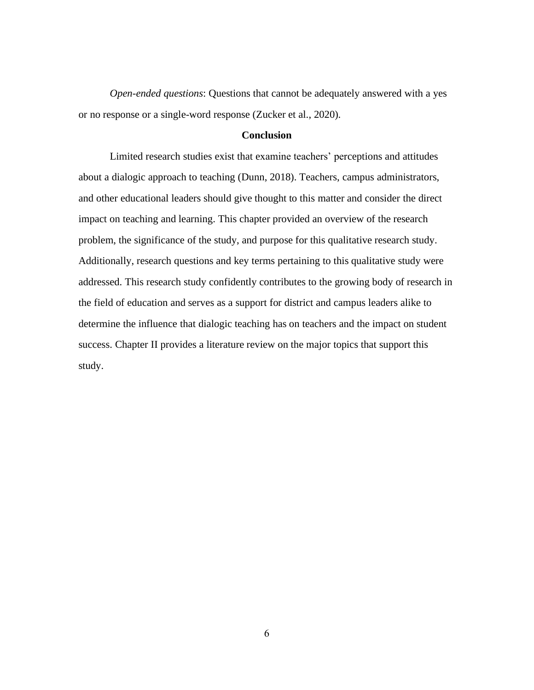*Open-ended questions*: Questions that cannot be adequately answered with a yes or no response or a single-word response (Zucker et al., 2020).

#### **Conclusion**

Limited research studies exist that examine teachers' perceptions and attitudes about a dialogic approach to teaching (Dunn, 2018). Teachers, campus administrators, and other educational leaders should give thought to this matter and consider the direct impact on teaching and learning. This chapter provided an overview of the research problem, the significance of the study, and purpose for this qualitative research study. Additionally, research questions and key terms pertaining to this qualitative study were addressed. This research study confidently contributes to the growing body of research in the field of education and serves as a support for district and campus leaders alike to determine the influence that dialogic teaching has on teachers and the impact on student success. Chapter II provides a literature review on the major topics that support this study.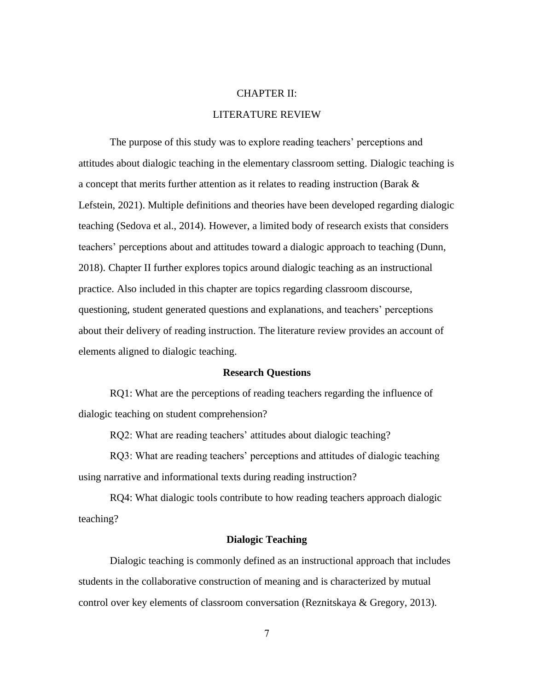# CHAPTER II:

# LITERATURE REVIEW

The purpose of this study was to explore reading teachers' perceptions and attitudes about dialogic teaching in the elementary classroom setting. Dialogic teaching is a concept that merits further attention as it relates to reading instruction (Barak & Lefstein, 2021). Multiple definitions and theories have been developed regarding dialogic teaching (Sedova et al., 2014). However, a limited body of research exists that considers teachers' perceptions about and attitudes toward a dialogic approach to teaching (Dunn, 2018). Chapter II further explores topics around dialogic teaching as an instructional practice. Also included in this chapter are topics regarding classroom discourse, questioning, student generated questions and explanations, and teachers' perceptions about their delivery of reading instruction. The literature review provides an account of elements aligned to dialogic teaching.

#### **Research Questions**

RQ1: What are the perceptions of reading teachers regarding the influence of dialogic teaching on student comprehension?

RQ2: What are reading teachers' attitudes about dialogic teaching?

RQ3: What are reading teachers' perceptions and attitudes of dialogic teaching using narrative and informational texts during reading instruction?

RQ4: What dialogic tools contribute to how reading teachers approach dialogic teaching?

# **Dialogic Teaching**

Dialogic teaching is commonly defined as an instructional approach that includes students in the collaborative construction of meaning and is characterized by mutual control over key elements of classroom conversation (Reznitskaya & Gregory, 2013).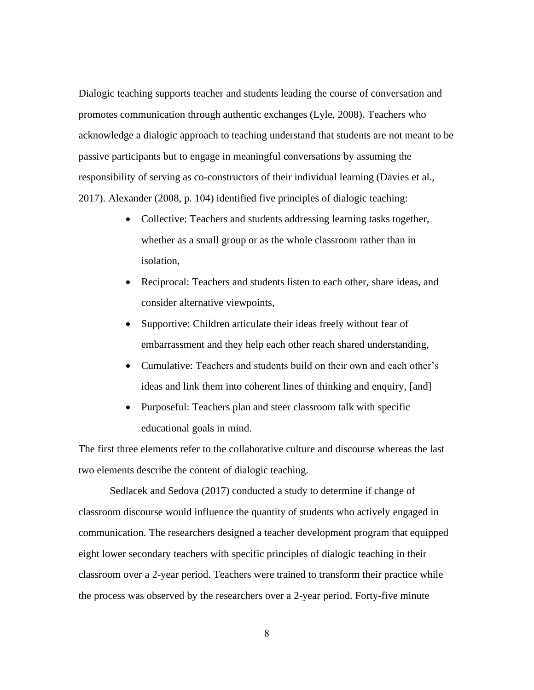Dialogic teaching supports teacher and students leading the course of conversation and promotes communication through authentic exchanges (Lyle, 2008). Teachers who acknowledge a dialogic approach to teaching understand that students are not meant to be passive participants but to engage in meaningful conversations by assuming the responsibility of serving as co-constructors of their individual learning (Davies et al., 2017). Alexander (2008, p. 104) identified five principles of dialogic teaching:

- Collective: Teachers and students addressing learning tasks together, whether as a small group or as the whole classroom rather than in isolation,
- Reciprocal: Teachers and students listen to each other, share ideas, and consider alternative viewpoints,
- Supportive: Children articulate their ideas freely without fear of embarrassment and they help each other reach shared understanding,
- Cumulative: Teachers and students build on their own and each other's ideas and link them into coherent lines of thinking and enquiry, [and]
- Purposeful: Teachers plan and steer classroom talk with specific educational goals in mind.

The first three elements refer to the collaborative culture and discourse whereas the last two elements describe the content of dialogic teaching.

Sedlacek and Sedova (2017) conducted a study to determine if change of classroom discourse would influence the quantity of students who actively engaged in communication. The researchers designed a teacher development program that equipped eight lower secondary teachers with specific principles of dialogic teaching in their classroom over a 2-year period. Teachers were trained to transform their practice while the process was observed by the researchers over a 2-year period. Forty-five minute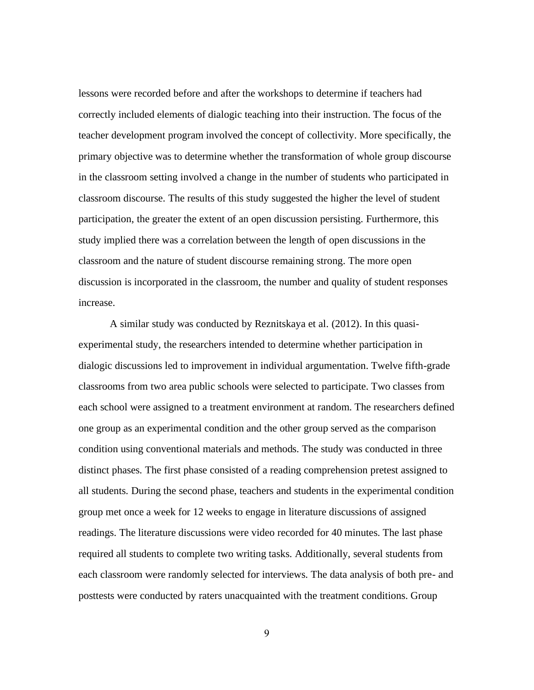lessons were recorded before and after the workshops to determine if teachers had correctly included elements of dialogic teaching into their instruction. The focus of the teacher development program involved the concept of collectivity. More specifically, the primary objective was to determine whether the transformation of whole group discourse in the classroom setting involved a change in the number of students who participated in classroom discourse. The results of this study suggested the higher the level of student participation, the greater the extent of an open discussion persisting. Furthermore, this study implied there was a correlation between the length of open discussions in the classroom and the nature of student discourse remaining strong. The more open discussion is incorporated in the classroom, the number and quality of student responses increase.

A similar study was conducted by Reznitskaya et al. (2012). In this quasiexperimental study, the researchers intended to determine whether participation in dialogic discussions led to improvement in individual argumentation. Twelve fifth-grade classrooms from two area public schools were selected to participate. Two classes from each school were assigned to a treatment environment at random. The researchers defined one group as an experimental condition and the other group served as the comparison condition using conventional materials and methods. The study was conducted in three distinct phases. The first phase consisted of a reading comprehension pretest assigned to all students. During the second phase, teachers and students in the experimental condition group met once a week for 12 weeks to engage in literature discussions of assigned readings. The literature discussions were video recorded for 40 minutes. The last phase required all students to complete two writing tasks. Additionally, several students from each classroom were randomly selected for interviews. The data analysis of both pre- and posttests were conducted by raters unacquainted with the treatment conditions. Group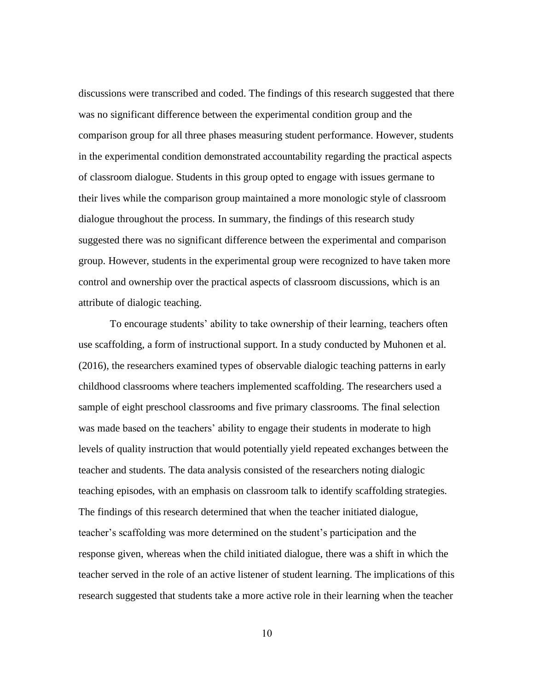discussions were transcribed and coded. The findings of this research suggested that there was no significant difference between the experimental condition group and the comparison group for all three phases measuring student performance. However, students in the experimental condition demonstrated accountability regarding the practical aspects of classroom dialogue. Students in this group opted to engage with issues germane to their lives while the comparison group maintained a more monologic style of classroom dialogue throughout the process. In summary, the findings of this research study suggested there was no significant difference between the experimental and comparison group. However, students in the experimental group were recognized to have taken more control and ownership over the practical aspects of classroom discussions, which is an attribute of dialogic teaching.

To encourage students' ability to take ownership of their learning, teachers often use scaffolding, a form of instructional support. In a study conducted by Muhonen et al. (2016), the researchers examined types of observable dialogic teaching patterns in early childhood classrooms where teachers implemented scaffolding. The researchers used a sample of eight preschool classrooms and five primary classrooms. The final selection was made based on the teachers' ability to engage their students in moderate to high levels of quality instruction that would potentially yield repeated exchanges between the teacher and students. The data analysis consisted of the researchers noting dialogic teaching episodes, with an emphasis on classroom talk to identify scaffolding strategies. The findings of this research determined that when the teacher initiated dialogue, teacher's scaffolding was more determined on the student's participation and the response given, whereas when the child initiated dialogue, there was a shift in which the teacher served in the role of an active listener of student learning. The implications of this research suggested that students take a more active role in their learning when the teacher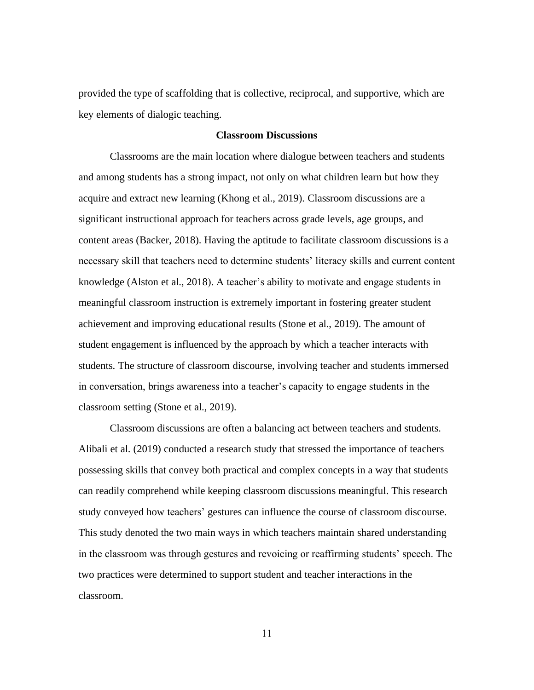provided the type of scaffolding that is collective, reciprocal, and supportive, which are key elements of dialogic teaching.

## **Classroom Discussions**

Classrooms are the main location where dialogue between teachers and students and among students has a strong impact, not only on what children learn but how they acquire and extract new learning (Khong et al., 2019). Classroom discussions are a significant instructional approach for teachers across grade levels, age groups, and content areas (Backer, 2018). Having the aptitude to facilitate classroom discussions is a necessary skill that teachers need to determine students' literacy skills and current content knowledge (Alston et al., 2018). A teacher's ability to motivate and engage students in meaningful classroom instruction is extremely important in fostering greater student achievement and improving educational results (Stone et al., 2019). The amount of student engagement is influenced by the approach by which a teacher interacts with students. The structure of classroom discourse, involving teacher and students immersed in conversation, brings awareness into a teacher's capacity to engage students in the classroom setting (Stone et al., 2019).

Classroom discussions are often a balancing act between teachers and students. Alibali et al. (2019) conducted a research study that stressed the importance of teachers possessing skills that convey both practical and complex concepts in a way that students can readily comprehend while keeping classroom discussions meaningful. This research study conveyed how teachers' gestures can influence the course of classroom discourse. This study denoted the two main ways in which teachers maintain shared understanding in the classroom was through gestures and revoicing or reaffirming students' speech. The two practices were determined to support student and teacher interactions in the classroom.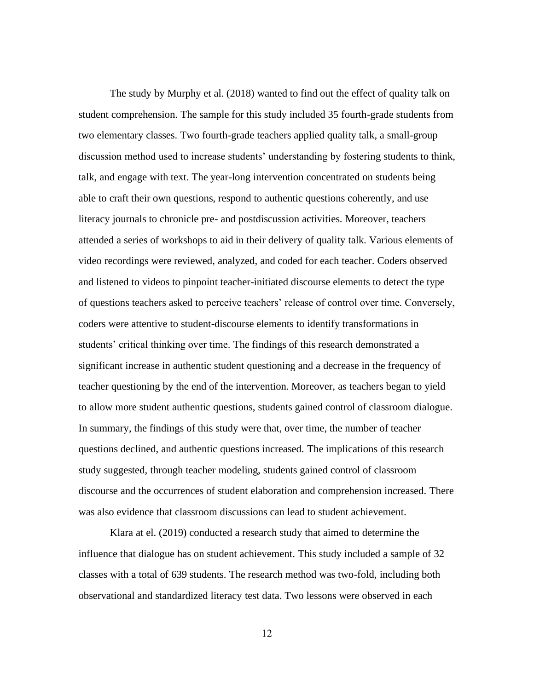The study by Murphy et al. (2018) wanted to find out the effect of quality talk on student comprehension. The sample for this study included 35 fourth-grade students from two elementary classes. Two fourth-grade teachers applied quality talk, a small-group discussion method used to increase students' understanding by fostering students to think, talk, and engage with text. The year-long intervention concentrated on students being able to craft their own questions, respond to authentic questions coherently, and use literacy journals to chronicle pre- and postdiscussion activities. Moreover, teachers attended a series of workshops to aid in their delivery of quality talk. Various elements of video recordings were reviewed, analyzed, and coded for each teacher. Coders observed and listened to videos to pinpoint teacher-initiated discourse elements to detect the type of questions teachers asked to perceive teachers' release of control over time. Conversely, coders were attentive to student-discourse elements to identify transformations in students' critical thinking over time. The findings of this research demonstrated a significant increase in authentic student questioning and a decrease in the frequency of teacher questioning by the end of the intervention. Moreover, as teachers began to yield to allow more student authentic questions, students gained control of classroom dialogue. In summary, the findings of this study were that, over time, the number of teacher questions declined, and authentic questions increased. The implications of this research study suggested, through teacher modeling, students gained control of classroom discourse and the occurrences of student elaboration and comprehension increased. There was also evidence that classroom discussions can lead to student achievement.

Klara at el. (2019) conducted a research study that aimed to determine the influence that dialogue has on student achievement. This study included a sample of 32 classes with a total of 639 students. The research method was two-fold, including both observational and standardized literacy test data. Two lessons were observed in each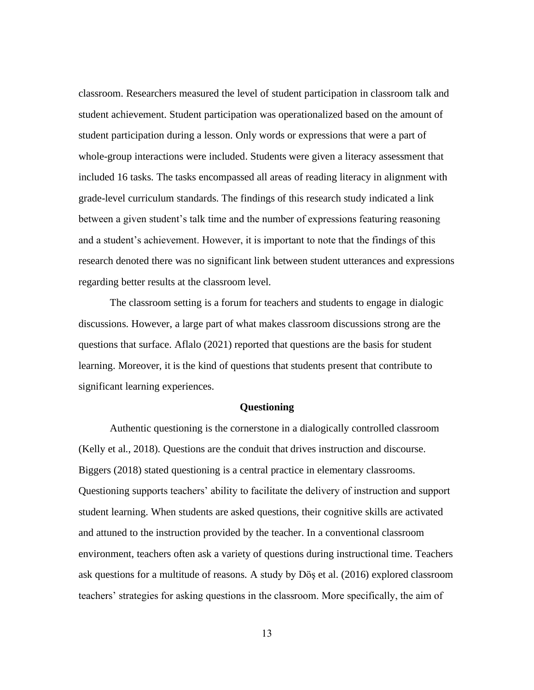classroom. Researchers measured the level of student participation in classroom talk and student achievement. Student participation was operationalized based on the amount of student participation during a lesson. Only words or expressions that were a part of whole-group interactions were included. Students were given a literacy assessment that included 16 tasks. The tasks encompassed all areas of reading literacy in alignment with grade-level curriculum standards. The findings of this research study indicated a link between a given student's talk time and the number of expressions featuring reasoning and a student's achievement. However, it is important to note that the findings of this research denoted there was no significant link between student utterances and expressions regarding better results at the classroom level.

The classroom setting is a forum for teachers and students to engage in dialogic discussions. However, a large part of what makes classroom discussions strong are the questions that surface. Aflalo (2021) reported that questions are the basis for student learning. Moreover, it is the kind of questions that students present that contribute to significant learning experiences.

## **Questioning**

Authentic questioning is the cornerstone in a dialogically controlled classroom (Kelly et al., 2018). Questions are the conduit that drives instruction and discourse. Biggers (2018) stated questioning is a central practice in elementary classrooms. Questioning supports teachers' ability to facilitate the delivery of instruction and support student learning. When students are asked questions, their cognitive skills are activated and attuned to the instruction provided by the teacher. In a conventional classroom environment, teachers often ask a variety of questions during instructional time. Teachers ask questions for a multitude of reasons. A study by Döş et al. (2016) explored classroom teachers' strategies for asking questions in the classroom. More specifically, the aim of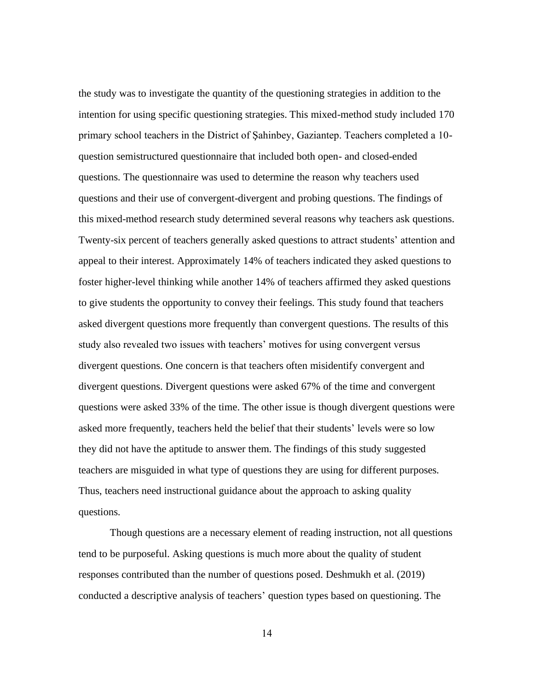the study was to investigate the quantity of the questioning strategies in addition to the intention for using specific questioning strategies. This mixed-method study included 170 primary school teachers in the District of Şahinbey, Gaziantep. Teachers completed a 10 question semistructured questionnaire that included both open- and closed-ended questions. The questionnaire was used to determine the reason why teachers used questions and their use of convergent-divergent and probing questions. The findings of this mixed-method research study determined several reasons why teachers ask questions. Twenty-six percent of teachers generally asked questions to attract students' attention and appeal to their interest. Approximately 14% of teachers indicated they asked questions to foster higher-level thinking while another 14% of teachers affirmed they asked questions to give students the opportunity to convey their feelings. This study found that teachers asked divergent questions more frequently than convergent questions. The results of this study also revealed two issues with teachers' motives for using convergent versus divergent questions. One concern is that teachers often misidentify convergent and divergent questions. Divergent questions were asked 67% of the time and convergent questions were asked 33% of the time. The other issue is though divergent questions were asked more frequently, teachers held the belief that their students' levels were so low they did not have the aptitude to answer them. The findings of this study suggested teachers are misguided in what type of questions they are using for different purposes. Thus, teachers need instructional guidance about the approach to asking quality questions.

Though questions are a necessary element of reading instruction, not all questions tend to be purposeful. Asking questions is much more about the quality of student responses contributed than the number of questions posed. Deshmukh et al. (2019) conducted a descriptive analysis of teachers' question types based on questioning. The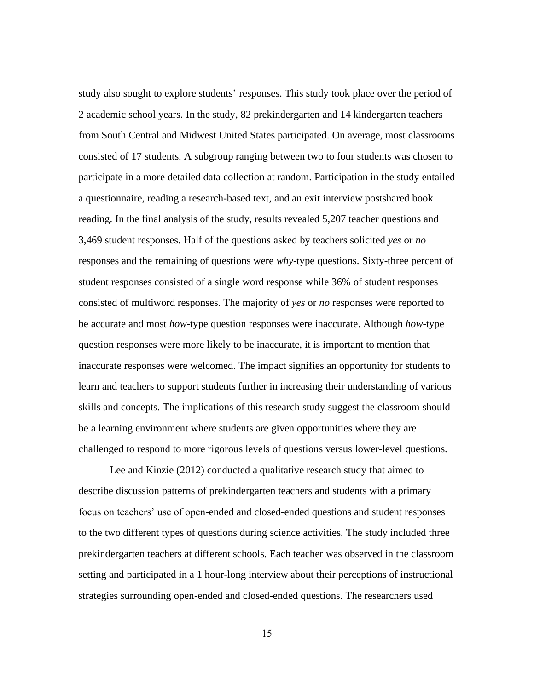study also sought to explore students' responses. This study took place over the period of 2 academic school years. In the study, 82 prekindergarten and 14 kindergarten teachers from South Central and Midwest United States participated. On average, most classrooms consisted of 17 students. A subgroup ranging between two to four students was chosen to participate in a more detailed data collection at random. Participation in the study entailed a questionnaire, reading a research-based text, and an exit interview postshared book reading. In the final analysis of the study, results revealed 5,207 teacher questions and 3,469 student responses. Half of the questions asked by teachers solicited *yes* or *no* responses and the remaining of questions were *why*-type questions. Sixty-three percent of student responses consisted of a single word response while 36% of student responses consisted of multiword responses. The majority of *yes* or *no* responses were reported to be accurate and most *how*-type question responses were inaccurate. Although *how*-type question responses were more likely to be inaccurate, it is important to mention that inaccurate responses were welcomed. The impact signifies an opportunity for students to learn and teachers to support students further in increasing their understanding of various skills and concepts. The implications of this research study suggest the classroom should be a learning environment where students are given opportunities where they are challenged to respond to more rigorous levels of questions versus lower-level questions.

Lee and Kinzie (2012) conducted a qualitative research study that aimed to describe discussion patterns of prekindergarten teachers and students with a primary focus on teachers' use of open-ended and closed-ended questions and student responses to the two different types of questions during science activities. The study included three prekindergarten teachers at different schools. Each teacher was observed in the classroom setting and participated in a 1 hour-long interview about their perceptions of instructional strategies surrounding open-ended and closed-ended questions. The researchers used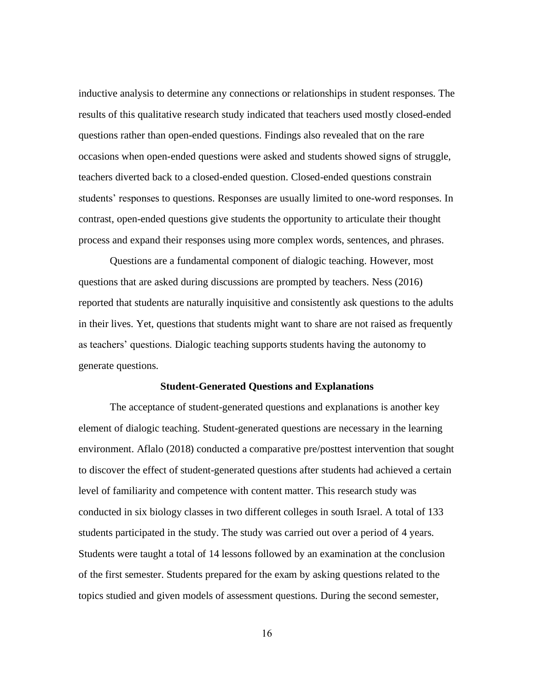inductive analysis to determine any connections or relationships in student responses. The results of this qualitative research study indicated that teachers used mostly closed-ended questions rather than open-ended questions. Findings also revealed that on the rare occasions when open-ended questions were asked and students showed signs of struggle, teachers diverted back to a closed-ended question. Closed-ended questions constrain students' responses to questions. Responses are usually limited to one-word responses. In contrast, open-ended questions give students the opportunity to articulate their thought process and expand their responses using more complex words, sentences, and phrases.

Questions are a fundamental component of dialogic teaching. However, most questions that are asked during discussions are prompted by teachers. Ness (2016) reported that students are naturally inquisitive and consistently ask questions to the adults in their lives. Yet, questions that students might want to share are not raised as frequently as teachers' questions. Dialogic teaching supports students having the autonomy to generate questions.

#### **Student-Generated Questions and Explanations**

The acceptance of student-generated questions and explanations is another key element of dialogic teaching. Student-generated questions are necessary in the learning environment. Aflalo (2018) conducted a comparative pre/posttest intervention that sought to discover the effect of student-generated questions after students had achieved a certain level of familiarity and competence with content matter. This research study was conducted in six biology classes in two different colleges in south Israel. A total of 133 students participated in the study. The study was carried out over a period of 4 years. Students were taught a total of 14 lessons followed by an examination at the conclusion of the first semester. Students prepared for the exam by asking questions related to the topics studied and given models of assessment questions. During the second semester,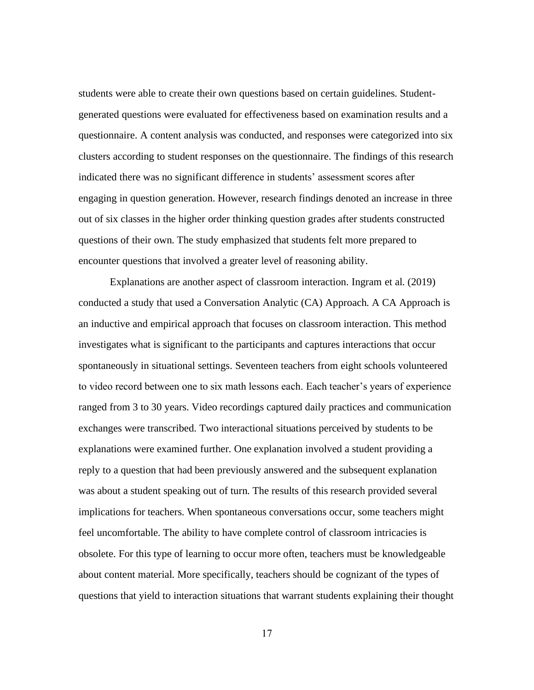students were able to create their own questions based on certain guidelines. Studentgenerated questions were evaluated for effectiveness based on examination results and a questionnaire. A content analysis was conducted, and responses were categorized into six clusters according to student responses on the questionnaire. The findings of this research indicated there was no significant difference in students' assessment scores after engaging in question generation. However, research findings denoted an increase in three out of six classes in the higher order thinking question grades after students constructed questions of their own. The study emphasized that students felt more prepared to encounter questions that involved a greater level of reasoning ability.

Explanations are another aspect of classroom interaction. Ingram et al. (2019) conducted a study that used a Conversation Analytic (CA) Approach. A CA Approach is an inductive and empirical approach that focuses on classroom interaction. This method investigates what is significant to the participants and captures interactions that occur spontaneously in situational settings. Seventeen teachers from eight schools volunteered to video record between one to six math lessons each. Each teacher's years of experience ranged from 3 to 30 years. Video recordings captured daily practices and communication exchanges were transcribed. Two interactional situations perceived by students to be explanations were examined further. One explanation involved a student providing a reply to a question that had been previously answered and the subsequent explanation was about a student speaking out of turn. The results of this research provided several implications for teachers. When spontaneous conversations occur, some teachers might feel uncomfortable. The ability to have complete control of classroom intricacies is obsolete. For this type of learning to occur more often, teachers must be knowledgeable about content material. More specifically, teachers should be cognizant of the types of questions that yield to interaction situations that warrant students explaining their thought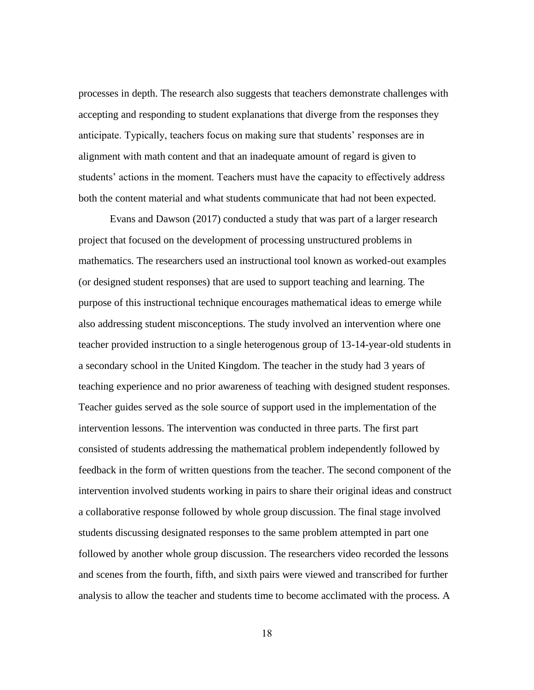processes in depth. The research also suggests that teachers demonstrate challenges with accepting and responding to student explanations that diverge from the responses they anticipate. Typically, teachers focus on making sure that students' responses are in alignment with math content and that an inadequate amount of regard is given to students' actions in the moment. Teachers must have the capacity to effectively address both the content material and what students communicate that had not been expected.

Evans and Dawson (2017) conducted a study that was part of a larger research project that focused on the development of processing unstructured problems in mathematics. The researchers used an instructional tool known as worked-out examples (or designed student responses) that are used to support teaching and learning. The purpose of this instructional technique encourages mathematical ideas to emerge while also addressing student misconceptions. The study involved an intervention where one teacher provided instruction to a single heterogenous group of 13-14-year-old students in a secondary school in the United Kingdom. The teacher in the study had 3 years of teaching experience and no prior awareness of teaching with designed student responses. Teacher guides served as the sole source of support used in the implementation of the intervention lessons. The intervention was conducted in three parts. The first part consisted of students addressing the mathematical problem independently followed by feedback in the form of written questions from the teacher. The second component of the intervention involved students working in pairs to share their original ideas and construct a collaborative response followed by whole group discussion. The final stage involved students discussing designated responses to the same problem attempted in part one followed by another whole group discussion. The researchers video recorded the lessons and scenes from the fourth, fifth, and sixth pairs were viewed and transcribed for further analysis to allow the teacher and students time to become acclimated with the process. A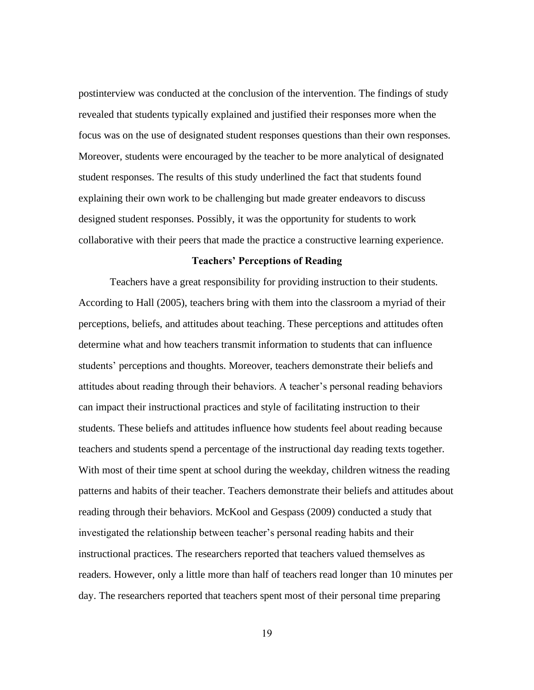postinterview was conducted at the conclusion of the intervention. The findings of study revealed that students typically explained and justified their responses more when the focus was on the use of designated student responses questions than their own responses. Moreover, students were encouraged by the teacher to be more analytical of designated student responses. The results of this study underlined the fact that students found explaining their own work to be challenging but made greater endeavors to discuss designed student responses. Possibly, it was the opportunity for students to work collaborative with their peers that made the practice a constructive learning experience.

# **Teachers' Perceptions of Reading**

Teachers have a great responsibility for providing instruction to their students. According to Hall (2005), teachers bring with them into the classroom a myriad of their perceptions, beliefs, and attitudes about teaching. These perceptions and attitudes often determine what and how teachers transmit information to students that can influence students' perceptions and thoughts. Moreover, teachers demonstrate their beliefs and attitudes about reading through their behaviors. A teacher's personal reading behaviors can impact their instructional practices and style of facilitating instruction to their students. These beliefs and attitudes influence how students feel about reading because teachers and students spend a percentage of the instructional day reading texts together. With most of their time spent at school during the weekday, children witness the reading patterns and habits of their teacher. Teachers demonstrate their beliefs and attitudes about reading through their behaviors. McKool and Gespass (2009) conducted a study that investigated the relationship between teacher's personal reading habits and their instructional practices. The researchers reported that teachers valued themselves as readers. However, only a little more than half of teachers read longer than 10 minutes per day. The researchers reported that teachers spent most of their personal time preparing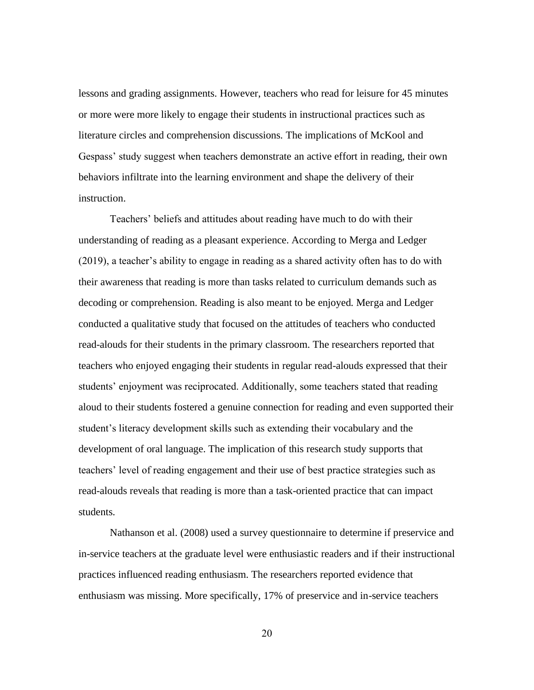lessons and grading assignments. However, teachers who read for leisure for 45 minutes or more were more likely to engage their students in instructional practices such as literature circles and comprehension discussions. The implications of McKool and Gespass' study suggest when teachers demonstrate an active effort in reading, their own behaviors infiltrate into the learning environment and shape the delivery of their instruction.

Teachers' beliefs and attitudes about reading have much to do with their understanding of reading as a pleasant experience. According to Merga and Ledger (2019), a teacher's ability to engage in reading as a shared activity often has to do with their awareness that reading is more than tasks related to curriculum demands such as decoding or comprehension. Reading is also meant to be enjoyed. Merga and Ledger conducted a qualitative study that focused on the attitudes of teachers who conducted read-alouds for their students in the primary classroom. The researchers reported that teachers who enjoyed engaging their students in regular read-alouds expressed that their students' enjoyment was reciprocated. Additionally, some teachers stated that reading aloud to their students fostered a genuine connection for reading and even supported their student's literacy development skills such as extending their vocabulary and the development of oral language. The implication of this research study supports that teachers' level of reading engagement and their use of best practice strategies such as read-alouds reveals that reading is more than a task-oriented practice that can impact students.

Nathanson et al. (2008) used a survey questionnaire to determine if preservice and in-service teachers at the graduate level were enthusiastic readers and if their instructional practices influenced reading enthusiasm. The researchers reported evidence that enthusiasm was missing. More specifically, 17% of preservice and in-service teachers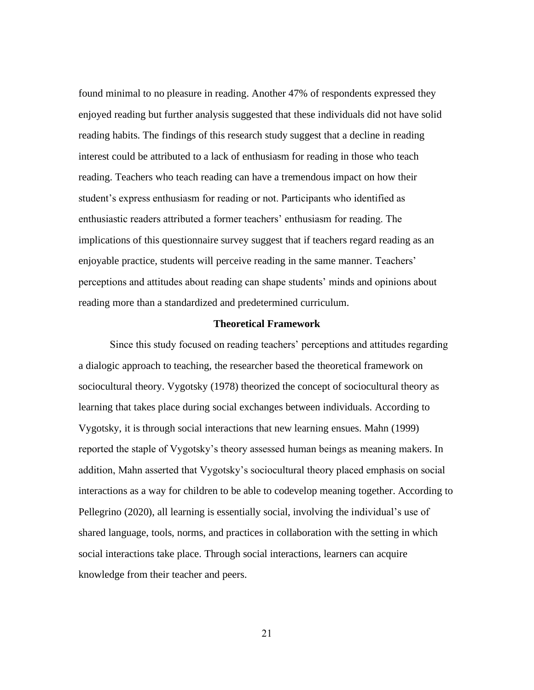found minimal to no pleasure in reading. Another 47% of respondents expressed they enjoyed reading but further analysis suggested that these individuals did not have solid reading habits. The findings of this research study suggest that a decline in reading interest could be attributed to a lack of enthusiasm for reading in those who teach reading. Teachers who teach reading can have a tremendous impact on how their student's express enthusiasm for reading or not. Participants who identified as enthusiastic readers attributed a former teachers' enthusiasm for reading. The implications of this questionnaire survey suggest that if teachers regard reading as an enjoyable practice, students will perceive reading in the same manner. Teachers' perceptions and attitudes about reading can shape students' minds and opinions about reading more than a standardized and predetermined curriculum.

#### **Theoretical Framework**

Since this study focused on reading teachers' perceptions and attitudes regarding a dialogic approach to teaching, the researcher based the theoretical framework on sociocultural theory. Vygotsky (1978) theorized the concept of sociocultural theory as learning that takes place during social exchanges between individuals. According to Vygotsky, it is through social interactions that new learning ensues. Mahn (1999) reported the staple of Vygotsky's theory assessed human beings as meaning makers. In addition, Mahn asserted that Vygotsky's sociocultural theory placed emphasis on social interactions as a way for children to be able to codevelop meaning together. According to Pellegrino (2020), all learning is essentially social, involving the individual's use of shared language, tools, norms, and practices in collaboration with the setting in which social interactions take place. Through social interactions, learners can acquire knowledge from their teacher and peers.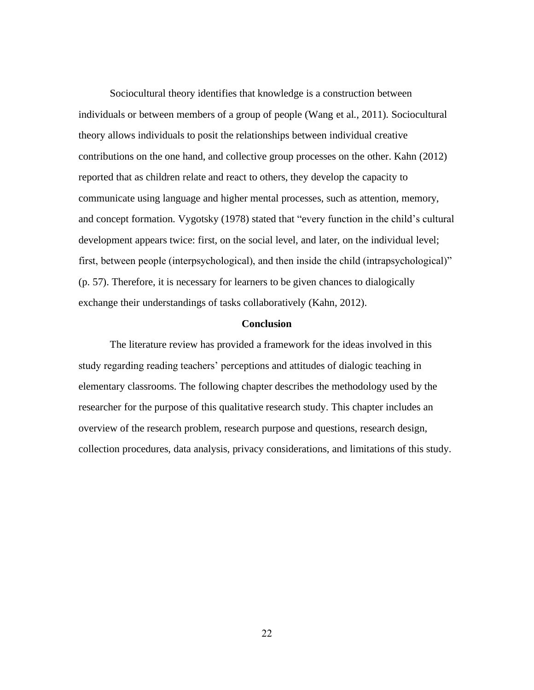Sociocultural theory identifies that knowledge is a construction between individuals or between members of a group of people (Wang et al., 2011). Sociocultural theory allows individuals to posit the relationships between individual creative contributions on the one hand, and collective group processes on the other. Kahn (2012) reported that as children relate and react to others, they develop the capacity to communicate using language and higher mental processes, such as attention, memory, and concept formation. Vygotsky (1978) stated that "every function in the child's cultural development appears twice: first, on the social level, and later, on the individual level; first, between people (interpsychological), and then inside the child (intrapsychological)" (p. 57). Therefore, it is necessary for learners to be given chances to dialogically exchange their understandings of tasks collaboratively (Kahn, 2012).

## **Conclusion**

The literature review has provided a framework for the ideas involved in this study regarding reading teachers' perceptions and attitudes of dialogic teaching in elementary classrooms. The following chapter describes the methodology used by the researcher for the purpose of this qualitative research study. This chapter includes an overview of the research problem, research purpose and questions, research design, collection procedures, data analysis, privacy considerations, and limitations of this study.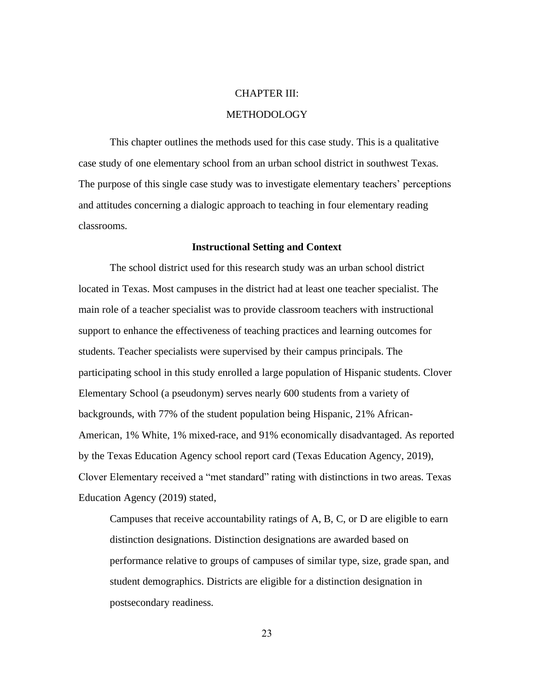# CHAPTER III:

# METHODOLOGY

This chapter outlines the methods used for this case study. This is a qualitative case study of one elementary school from an urban school district in southwest Texas. The purpose of this single case study was to investigate elementary teachers' perceptions and attitudes concerning a dialogic approach to teaching in four elementary reading classrooms.

## **Instructional Setting and Context**

The school district used for this research study was an urban school district located in Texas. Most campuses in the district had at least one teacher specialist. The main role of a teacher specialist was to provide classroom teachers with instructional support to enhance the effectiveness of teaching practices and learning outcomes for students. Teacher specialists were supervised by their campus principals. The participating school in this study enrolled a large population of Hispanic students. Clover Elementary School (a pseudonym) serves nearly 600 students from a variety of backgrounds, with 77% of the student population being Hispanic, 21% African-American, 1% White, 1% mixed-race, and 91% economically disadvantaged. As reported by the Texas Education Agency school report card (Texas Education Agency, 2019), Clover Elementary received a "met standard" rating with distinctions in two areas. Texas Education Agency (2019) stated,

Campuses that receive accountability ratings of A, B, C, or D are eligible to earn distinction designations. Distinction designations are awarded based on performance relative to groups of campuses of similar type, size, grade span, and student demographics. Districts are eligible for a distinction designation in postsecondary readiness.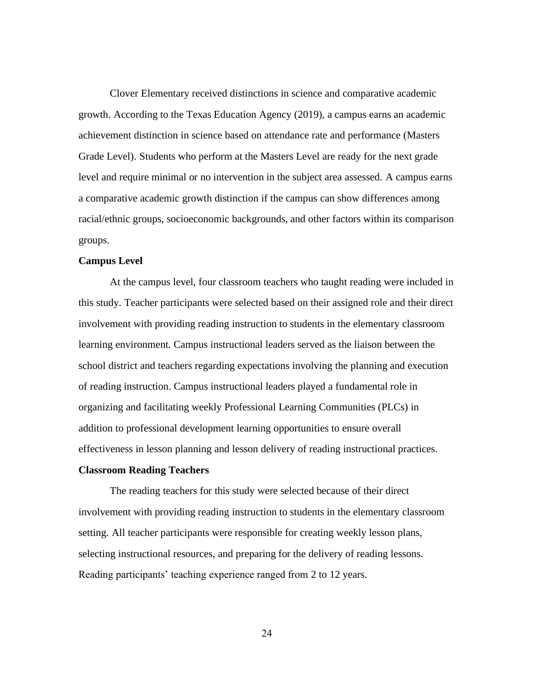Clover Elementary received distinctions in science and comparative academic growth. According to the Texas Education Agency (2019), a campus earns an academic achievement distinction in science based on attendance rate and performance (Masters Grade Level). Students who perform at the Masters Level are ready for the next grade level and require minimal or no intervention in the subject area assessed. A campus earns a comparative academic growth distinction if the campus can show differences among racial/ethnic groups, socioeconomic backgrounds, and other factors within its comparison groups.

# **Campus Level**

At the campus level, four classroom teachers who taught reading were included in this study. Teacher participants were selected based on their assigned role and their direct involvement with providing reading instruction to students in the elementary classroom learning environment. Campus instructional leaders served as the liaison between the school district and teachers regarding expectations involving the planning and execution of reading instruction. Campus instructional leaders played a fundamental role in organizing and facilitating weekly Professional Learning Communities (PLCs) in addition to professional development learning opportunities to ensure overall effectiveness in lesson planning and lesson delivery of reading instructional practices.

## **Classroom Reading Teachers**

The reading teachers for this study were selected because of their direct involvement with providing reading instruction to students in the elementary classroom setting. All teacher participants were responsible for creating weekly lesson plans, selecting instructional resources, and preparing for the delivery of reading lessons. Reading participants' teaching experience ranged from 2 to 12 years.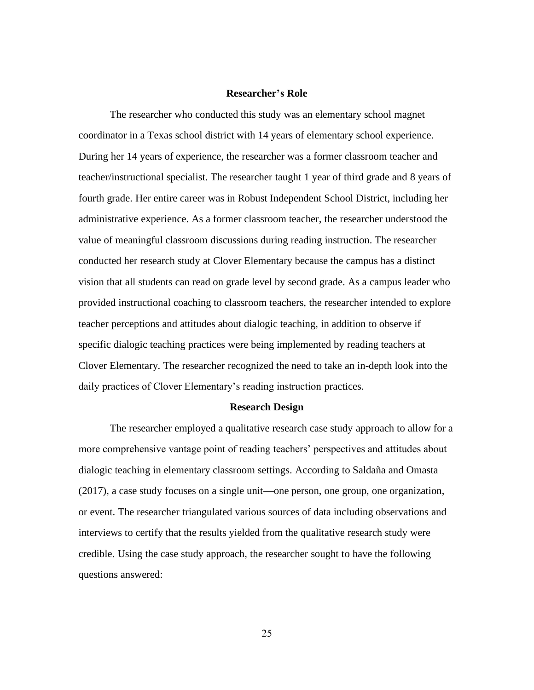## **Researcher's Role**

The researcher who conducted this study was an elementary school magnet coordinator in a Texas school district with 14 years of elementary school experience. During her 14 years of experience, the researcher was a former classroom teacher and teacher/instructional specialist. The researcher taught 1 year of third grade and 8 years of fourth grade. Her entire career was in Robust Independent School District, including her administrative experience. As a former classroom teacher, the researcher understood the value of meaningful classroom discussions during reading instruction. The researcher conducted her research study at Clover Elementary because the campus has a distinct vision that all students can read on grade level by second grade. As a campus leader who provided instructional coaching to classroom teachers, the researcher intended to explore teacher perceptions and attitudes about dialogic teaching, in addition to observe if specific dialogic teaching practices were being implemented by reading teachers at Clover Elementary. The researcher recognized the need to take an in-depth look into the daily practices of Clover Elementary's reading instruction practices.

#### **Research Design**

The researcher employed a qualitative research case study approach to allow for a more comprehensive vantage point of reading teachers' perspectives and attitudes about dialogic teaching in elementary classroom settings. According to Saldaña and Omasta (2017), a case study focuses on a single unit—one person, one group, one organization, or event. The researcher triangulated various sources of data including observations and interviews to certify that the results yielded from the qualitative research study were credible. Using the case study approach, the researcher sought to have the following questions answered: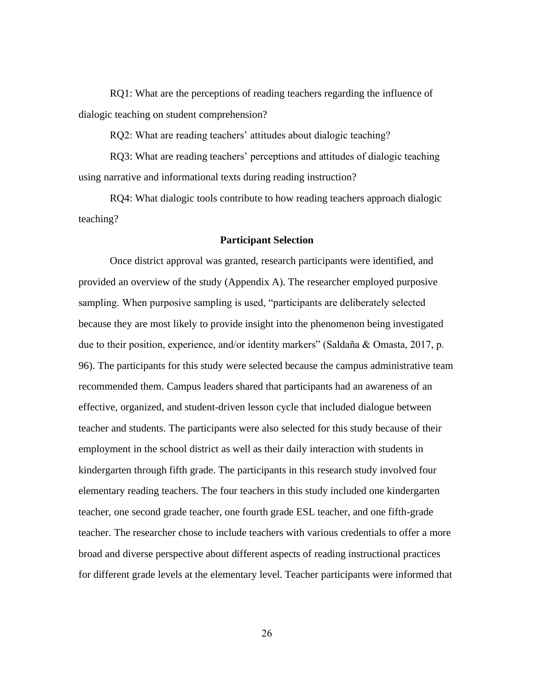RQ1: What are the perceptions of reading teachers regarding the influence of dialogic teaching on student comprehension?

RQ2: What are reading teachers' attitudes about dialogic teaching?

RQ3: What are reading teachers' perceptions and attitudes of dialogic teaching using narrative and informational texts during reading instruction?

RQ4: What dialogic tools contribute to how reading teachers approach dialogic teaching?

## **Participant Selection**

Once district approval was granted, research participants were identified, and provided an overview of the study (Appendix A). The researcher employed purposive sampling. When purposive sampling is used, "participants are deliberately selected because they are most likely to provide insight into the phenomenon being investigated due to their position, experience, and/or identity markers" (Saldaña & Omasta, 2017, p. 96). The participants for this study were selected because the campus administrative team recommended them. Campus leaders shared that participants had an awareness of an effective, organized, and student-driven lesson cycle that included dialogue between teacher and students. The participants were also selected for this study because of their employment in the school district as well as their daily interaction with students in kindergarten through fifth grade. The participants in this research study involved four elementary reading teachers. The four teachers in this study included one kindergarten teacher, one second grade teacher, one fourth grade ESL teacher, and one fifth-grade teacher. The researcher chose to include teachers with various credentials to offer a more broad and diverse perspective about different aspects of reading instructional practices for different grade levels at the elementary level. Teacher participants were informed that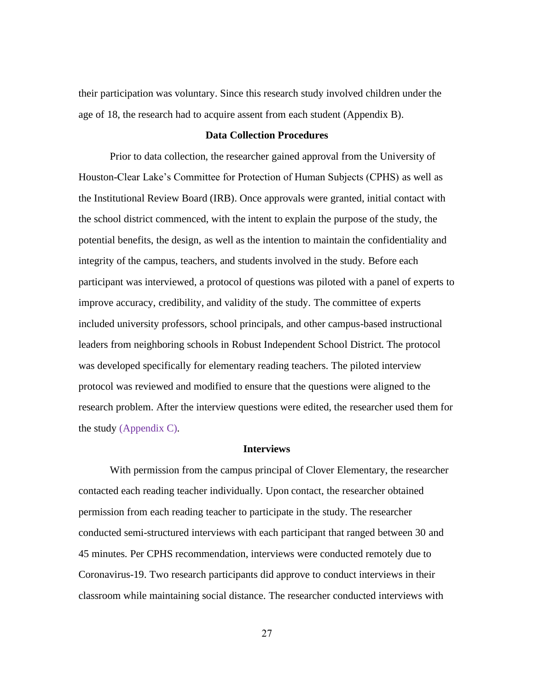their participation was voluntary. Since this research study involved children under the age of 18, the research had to acquire assent from each student (Appendix B).

## **Data Collection Procedures**

Prior to data collection, the researcher gained approval from the University of Houston-Clear Lake's Committee for Protection of Human Subjects (CPHS) as well as the Institutional Review Board (IRB). Once approvals were granted, initial contact with the school district commenced, with the intent to explain the purpose of the study, the potential benefits, the design, as well as the intention to maintain the confidentiality and integrity of the campus, teachers, and students involved in the study. Before each participant was interviewed, a protocol of questions was piloted with a panel of experts to improve accuracy, credibility, and validity of the study. The committee of experts included university professors, school principals, and other campus-based instructional leaders from neighboring schools in Robust Independent School District. The protocol was developed specifically for elementary reading teachers. The piloted interview protocol was reviewed and modified to ensure that the questions were aligned to the research problem. After the interview questions were edited, the researcher used them for the study (Appendix C).

### **Interviews**

With permission from the campus principal of Clover Elementary, the researcher contacted each reading teacher individually. Upon contact, the researcher obtained permission from each reading teacher to participate in the study. The researcher conducted semi-structured interviews with each participant that ranged between 30 and 45 minutes. Per CPHS recommendation, interviews were conducted remotely due to Coronavirus-19. Two research participants did approve to conduct interviews in their classroom while maintaining social distance. The researcher conducted interviews with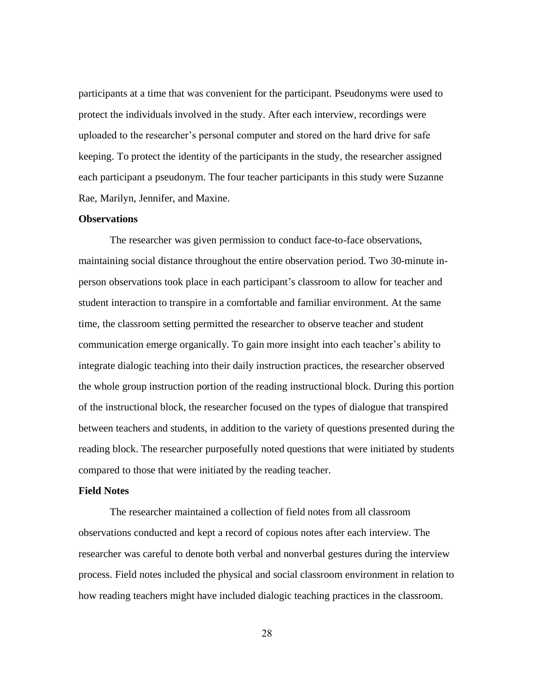participants at a time that was convenient for the participant. Pseudonyms were used to protect the individuals involved in the study. After each interview, recordings were uploaded to the researcher's personal computer and stored on the hard drive for safe keeping. To protect the identity of the participants in the study, the researcher assigned each participant a pseudonym. The four teacher participants in this study were Suzanne Rae, Marilyn, Jennifer, and Maxine.

## **Observations**

The researcher was given permission to conduct face-to-face observations, maintaining social distance throughout the entire observation period. Two 30-minute inperson observations took place in each participant's classroom to allow for teacher and student interaction to transpire in a comfortable and familiar environment. At the same time, the classroom setting permitted the researcher to observe teacher and student communication emerge organically. To gain more insight into each teacher's ability to integrate dialogic teaching into their daily instruction practices, the researcher observed the whole group instruction portion of the reading instructional block. During this portion of the instructional block, the researcher focused on the types of dialogue that transpired between teachers and students, in addition to the variety of questions presented during the reading block. The researcher purposefully noted questions that were initiated by students compared to those that were initiated by the reading teacher.

## **Field Notes**

The researcher maintained a collection of field notes from all classroom observations conducted and kept a record of copious notes after each interview. The researcher was careful to denote both verbal and nonverbal gestures during the interview process. Field notes included the physical and social classroom environment in relation to how reading teachers might have included dialogic teaching practices in the classroom.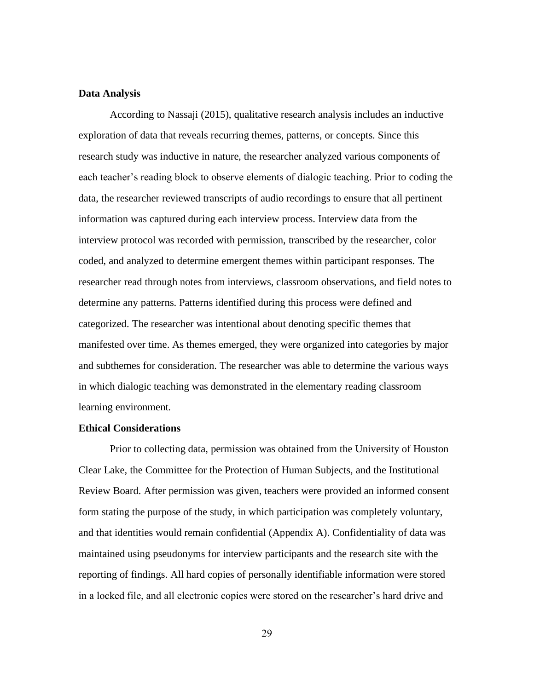#### **Data Analysis**

According to Nassaji (2015), qualitative research analysis includes an inductive exploration of data that reveals recurring themes, patterns, or concepts. Since this research study was inductive in nature, the researcher analyzed various components of each teacher's reading block to observe elements of dialogic teaching. Prior to coding the data, the researcher reviewed transcripts of audio recordings to ensure that all pertinent information was captured during each interview process. Interview data from the interview protocol was recorded with permission, transcribed by the researcher, color coded, and analyzed to determine emergent themes within participant responses. The researcher read through notes from interviews, classroom observations, and field notes to determine any patterns. Patterns identified during this process were defined and categorized. The researcher was intentional about denoting specific themes that manifested over time. As themes emerged, they were organized into categories by major and subthemes for consideration. The researcher was able to determine the various ways in which dialogic teaching was demonstrated in the elementary reading classroom learning environment.

## **Ethical Considerations**

Prior to collecting data, permission was obtained from the University of Houston Clear Lake, the Committee for the Protection of Human Subjects, and the Institutional Review Board. After permission was given, teachers were provided an informed consent form stating the purpose of the study, in which participation was completely voluntary, and that identities would remain confidential (Appendix A). Confidentiality of data was maintained using pseudonyms for interview participants and the research site with the reporting of findings. All hard copies of personally identifiable information were stored in a locked file, and all electronic copies were stored on the researcher's hard drive and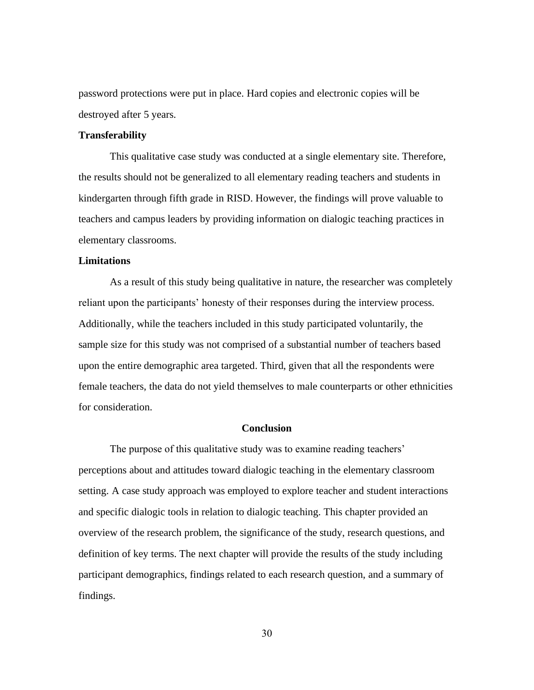password protections were put in place. Hard copies and electronic copies will be destroyed after 5 years.

# **Transferability**

This qualitative case study was conducted at a single elementary site. Therefore, the results should not be generalized to all elementary reading teachers and students in kindergarten through fifth grade in RISD. However, the findings will prove valuable to teachers and campus leaders by providing information on dialogic teaching practices in elementary classrooms.

## **Limitations**

As a result of this study being qualitative in nature, the researcher was completely reliant upon the participants' honesty of their responses during the interview process. Additionally, while the teachers included in this study participated voluntarily, the sample size for this study was not comprised of a substantial number of teachers based upon the entire demographic area targeted. Third, given that all the respondents were female teachers, the data do not yield themselves to male counterparts or other ethnicities for consideration.

### **Conclusion**

The purpose of this qualitative study was to examine reading teachers' perceptions about and attitudes toward dialogic teaching in the elementary classroom setting. A case study approach was employed to explore teacher and student interactions and specific dialogic tools in relation to dialogic teaching. This chapter provided an overview of the research problem, the significance of the study, research questions, and definition of key terms. The next chapter will provide the results of the study including participant demographics, findings related to each research question, and a summary of findings.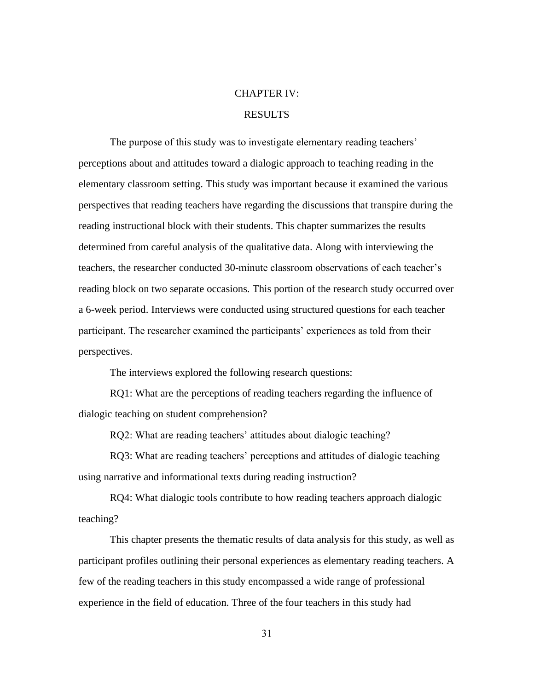### CHAPTER IV:

# RESULTS

The purpose of this study was to investigate elementary reading teachers' perceptions about and attitudes toward a dialogic approach to teaching reading in the elementary classroom setting. This study was important because it examined the various perspectives that reading teachers have regarding the discussions that transpire during the reading instructional block with their students. This chapter summarizes the results determined from careful analysis of the qualitative data. Along with interviewing the teachers, the researcher conducted 30-minute classroom observations of each teacher's reading block on two separate occasions. This portion of the research study occurred over a 6-week period. Interviews were conducted using structured questions for each teacher participant. The researcher examined the participants' experiences as told from their perspectives.

The interviews explored the following research questions:

RQ1: What are the perceptions of reading teachers regarding the influence of dialogic teaching on student comprehension?

RQ2: What are reading teachers' attitudes about dialogic teaching?

RQ3: What are reading teachers' perceptions and attitudes of dialogic teaching using narrative and informational texts during reading instruction?

RQ4: What dialogic tools contribute to how reading teachers approach dialogic teaching?

This chapter presents the thematic results of data analysis for this study, as well as participant profiles outlining their personal experiences as elementary reading teachers. A few of the reading teachers in this study encompassed a wide range of professional experience in the field of education. Three of the four teachers in this study had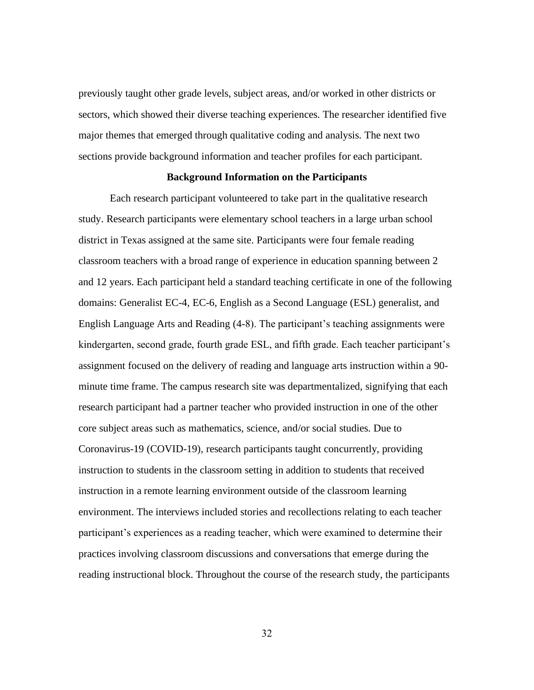previously taught other grade levels, subject areas, and/or worked in other districts or sectors, which showed their diverse teaching experiences. The researcher identified five major themes that emerged through qualitative coding and analysis. The next two sections provide background information and teacher profiles for each participant.

## **Background Information on the Participants**

Each research participant volunteered to take part in the qualitative research study. Research participants were elementary school teachers in a large urban school district in Texas assigned at the same site. Participants were four female reading classroom teachers with a broad range of experience in education spanning between 2 and 12 years. Each participant held a standard teaching certificate in one of the following domains: Generalist EC-4, EC-6, English as a Second Language (ESL) generalist, and English Language Arts and Reading (4-8). The participant's teaching assignments were kindergarten, second grade, fourth grade ESL, and fifth grade. Each teacher participant's assignment focused on the delivery of reading and language arts instruction within a 90 minute time frame. The campus research site was departmentalized, signifying that each research participant had a partner teacher who provided instruction in one of the other core subject areas such as mathematics, science, and/or social studies. Due to Coronavirus-19 (COVID-19), research participants taught concurrently, providing instruction to students in the classroom setting in addition to students that received instruction in a remote learning environment outside of the classroom learning environment. The interviews included stories and recollections relating to each teacher participant's experiences as a reading teacher, which were examined to determine their practices involving classroom discussions and conversations that emerge during the reading instructional block. Throughout the course of the research study, the participants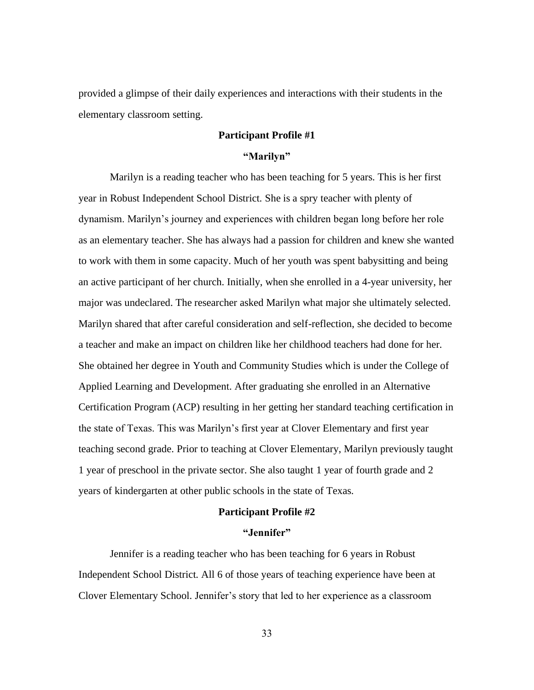provided a glimpse of their daily experiences and interactions with their students in the elementary classroom setting.

# **Participant Profile #1**

## **"Marilyn"**

Marilyn is a reading teacher who has been teaching for 5 years. This is her first year in Robust Independent School District. She is a spry teacher with plenty of dynamism. Marilyn's journey and experiences with children began long before her role as an elementary teacher. She has always had a passion for children and knew she wanted to work with them in some capacity. Much of her youth was spent babysitting and being an active participant of her church. Initially, when she enrolled in a 4-year university, her major was undeclared. The researcher asked Marilyn what major she ultimately selected. Marilyn shared that after careful consideration and self-reflection, she decided to become a teacher and make an impact on children like her childhood teachers had done for her. She obtained her degree in Youth and Community Studies which is under the College of Applied Learning and Development. After graduating she enrolled in an Alternative Certification Program (ACP) resulting in her getting her standard teaching certification in the state of Texas. This was Marilyn's first year at Clover Elementary and first year teaching second grade. Prior to teaching at Clover Elementary, Marilyn previously taught 1 year of preschool in the private sector. She also taught 1 year of fourth grade and 2 years of kindergarten at other public schools in the state of Texas.

## **Participant Profile #2**

#### **"Jennifer"**

Jennifer is a reading teacher who has been teaching for 6 years in Robust Independent School District. All 6 of those years of teaching experience have been at Clover Elementary School. Jennifer's story that led to her experience as a classroom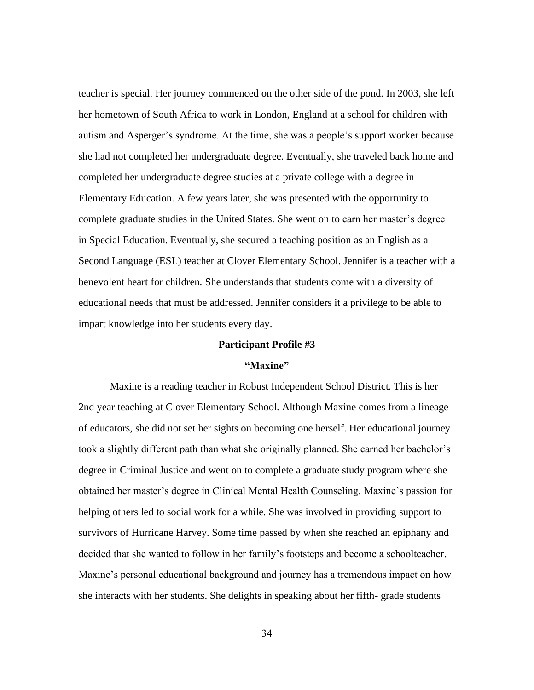teacher is special. Her journey commenced on the other side of the pond. In 2003, she left her hometown of South Africa to work in London, England at a school for children with autism and Asperger's syndrome. At the time, she was a people's support worker because she had not completed her undergraduate degree. Eventually, she traveled back home and completed her undergraduate degree studies at a private college with a degree in Elementary Education. A few years later, she was presented with the opportunity to complete graduate studies in the United States. She went on to earn her master's degree in Special Education. Eventually, she secured a teaching position as an English as a Second Language (ESL) teacher at Clover Elementary School. Jennifer is a teacher with a benevolent heart for children. She understands that students come with a diversity of educational needs that must be addressed. Jennifer considers it a privilege to be able to impart knowledge into her students every day.

### **Participant Profile #3**

## **"Maxine"**

Maxine is a reading teacher in Robust Independent School District. This is her 2nd year teaching at Clover Elementary School. Although Maxine comes from a lineage of educators, she did not set her sights on becoming one herself. Her educational journey took a slightly different path than what she originally planned. She earned her bachelor's degree in Criminal Justice and went on to complete a graduate study program where she obtained her master's degree in Clinical Mental Health Counseling. Maxine's passion for helping others led to social work for a while. She was involved in providing support to survivors of Hurricane Harvey. Some time passed by when she reached an epiphany and decided that she wanted to follow in her family's footsteps and become a schoolteacher. Maxine's personal educational background and journey has a tremendous impact on how she interacts with her students. She delights in speaking about her fifth- grade students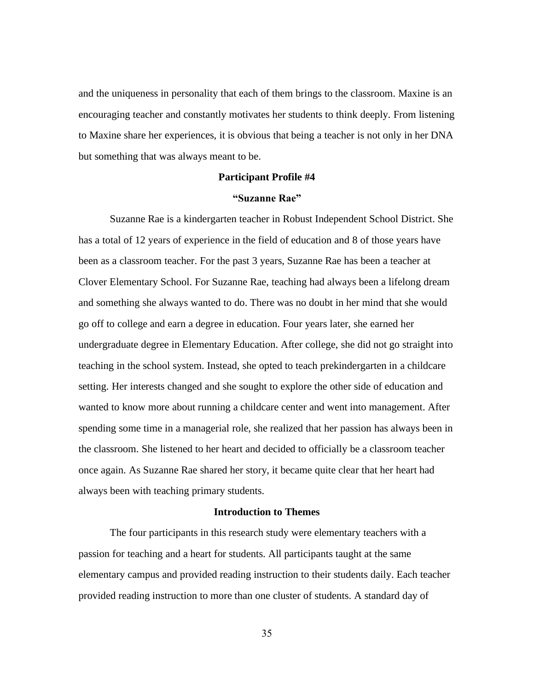and the uniqueness in personality that each of them brings to the classroom. Maxine is an encouraging teacher and constantly motivates her students to think deeply. From listening to Maxine share her experiences, it is obvious that being a teacher is not only in her DNA but something that was always meant to be.

#### **Participant Profile #4**

#### **"Suzanne Rae"**

Suzanne Rae is a kindergarten teacher in Robust Independent School District. She has a total of 12 years of experience in the field of education and 8 of those years have been as a classroom teacher. For the past 3 years, Suzanne Rae has been a teacher at Clover Elementary School. For Suzanne Rae, teaching had always been a lifelong dream and something she always wanted to do. There was no doubt in her mind that she would go off to college and earn a degree in education. Four years later, she earned her undergraduate degree in Elementary Education. After college, she did not go straight into teaching in the school system. Instead, she opted to teach prekindergarten in a childcare setting. Her interests changed and she sought to explore the other side of education and wanted to know more about running a childcare center and went into management. After spending some time in a managerial role, she realized that her passion has always been in the classroom. She listened to her heart and decided to officially be a classroom teacher once again. As Suzanne Rae shared her story, it became quite clear that her heart had always been with teaching primary students.

## **Introduction to Themes**

The four participants in this research study were elementary teachers with a passion for teaching and a heart for students. All participants taught at the same elementary campus and provided reading instruction to their students daily. Each teacher provided reading instruction to more than one cluster of students. A standard day of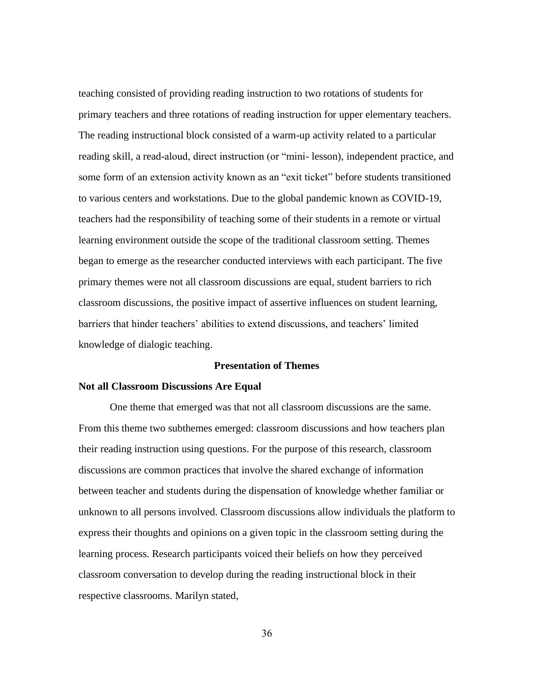teaching consisted of providing reading instruction to two rotations of students for primary teachers and three rotations of reading instruction for upper elementary teachers. The reading instructional block consisted of a warm-up activity related to a particular reading skill, a read-aloud, direct instruction (or "mini- lesson), independent practice, and some form of an extension activity known as an "exit ticket" before students transitioned to various centers and workstations. Due to the global pandemic known as COVID-19, teachers had the responsibility of teaching some of their students in a remote or virtual learning environment outside the scope of the traditional classroom setting. Themes began to emerge as the researcher conducted interviews with each participant. The five primary themes were not all classroom discussions are equal, student barriers to rich classroom discussions, the positive impact of assertive influences on student learning, barriers that hinder teachers' abilities to extend discussions, and teachers' limited knowledge of dialogic teaching.

### **Presentation of Themes**

#### **Not all Classroom Discussions Are Equal**

One theme that emerged was that not all classroom discussions are the same. From this theme two subthemes emerged: classroom discussions and how teachers plan their reading instruction using questions. For the purpose of this research, classroom discussions are common practices that involve the shared exchange of information between teacher and students during the dispensation of knowledge whether familiar or unknown to all persons involved. Classroom discussions allow individuals the platform to express their thoughts and opinions on a given topic in the classroom setting during the learning process. Research participants voiced their beliefs on how they perceived classroom conversation to develop during the reading instructional block in their respective classrooms. Marilyn stated,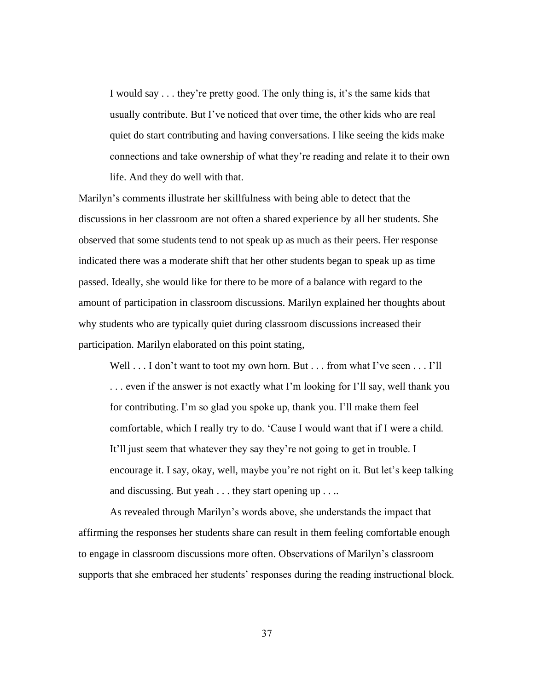I would say . . . they're pretty good. The only thing is, it's the same kids that usually contribute. But I've noticed that over time, the other kids who are real quiet do start contributing and having conversations. I like seeing the kids make connections and take ownership of what they're reading and relate it to their own life. And they do well with that.

Marilyn's comments illustrate her skillfulness with being able to detect that the discussions in her classroom are not often a shared experience by all her students. She observed that some students tend to not speak up as much as their peers. Her response indicated there was a moderate shift that her other students began to speak up as time passed. Ideally, she would like for there to be more of a balance with regard to the amount of participation in classroom discussions. Marilyn explained her thoughts about why students who are typically quiet during classroom discussions increased their participation. Marilyn elaborated on this point stating,

Well . . . I don't want to toot my own horn. But . . . from what I've seen . . . I'll . . . even if the answer is not exactly what I'm looking for I'll say, well thank you for contributing. I'm so glad you spoke up, thank you. I'll make them feel comfortable, which I really try to do. 'Cause I would want that if I were a child. It'll just seem that whatever they say they're not going to get in trouble. I encourage it. I say, okay, well, maybe you're not right on it. But let's keep talking and discussing. But yeah . . . they start opening up . . ..

As revealed through Marilyn's words above, she understands the impact that affirming the responses her students share can result in them feeling comfortable enough to engage in classroom discussions more often. Observations of Marilyn's classroom supports that she embraced her students' responses during the reading instructional block.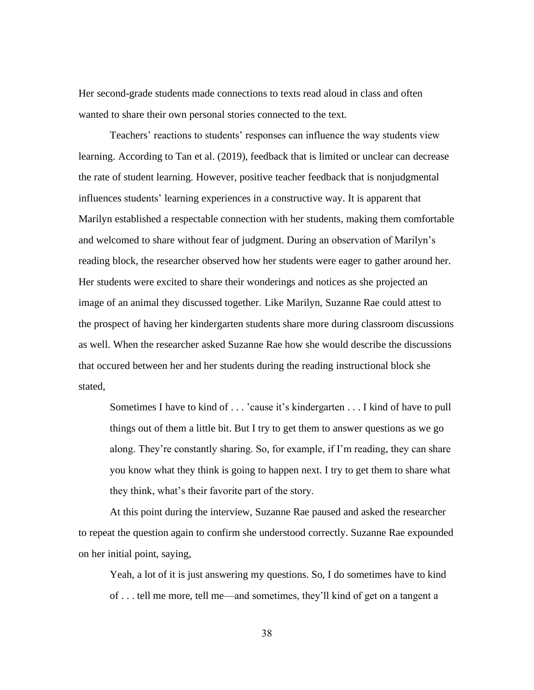Her second-grade students made connections to texts read aloud in class and often wanted to share their own personal stories connected to the text.

Teachers' reactions to students' responses can influence the way students view learning. According to Tan et al. (2019), feedback that is limited or unclear can decrease the rate of student learning. However, positive teacher feedback that is nonjudgmental influences students' learning experiences in a constructive way. It is apparent that Marilyn established a respectable connection with her students, making them comfortable and welcomed to share without fear of judgment. During an observation of Marilyn's reading block, the researcher observed how her students were eager to gather around her. Her students were excited to share their wonderings and notices as she projected an image of an animal they discussed together. Like Marilyn, Suzanne Rae could attest to the prospect of having her kindergarten students share more during classroom discussions as well. When the researcher asked Suzanne Rae how she would describe the discussions that occured between her and her students during the reading instructional block she stated,

Sometimes I have to kind of . . . 'cause it's kindergarten . . . I kind of have to pull things out of them a little bit. But I try to get them to answer questions as we go along. They're constantly sharing. So, for example, if I'm reading, they can share you know what they think is going to happen next. I try to get them to share what they think, what's their favorite part of the story.

At this point during the interview, Suzanne Rae paused and asked the researcher to repeat the question again to confirm she understood correctly. Suzanne Rae expounded on her initial point, saying,

Yeah, a lot of it is just answering my questions. So, I do sometimes have to kind of . . . tell me more, tell me—and sometimes, they'll kind of get on a tangent a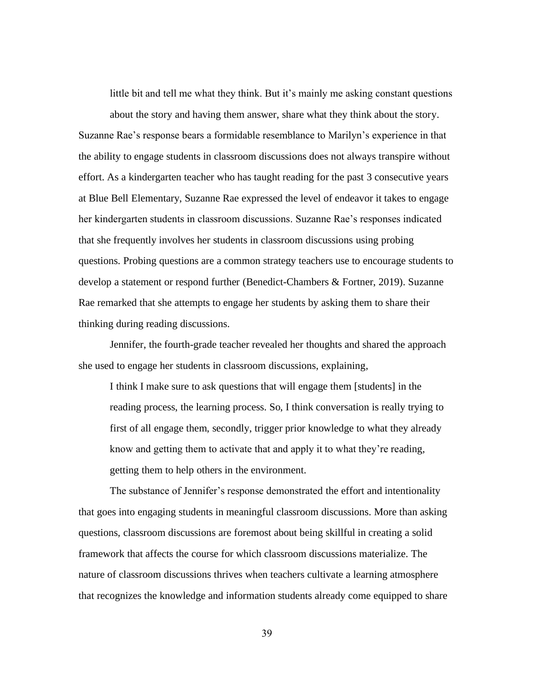little bit and tell me what they think. But it's mainly me asking constant questions about the story and having them answer, share what they think about the story.

Suzanne Rae's response bears a formidable resemblance to Marilyn's experience in that the ability to engage students in classroom discussions does not always transpire without effort. As a kindergarten teacher who has taught reading for the past 3 consecutive years at Blue Bell Elementary, Suzanne Rae expressed the level of endeavor it takes to engage her kindergarten students in classroom discussions. Suzanne Rae's responses indicated that she frequently involves her students in classroom discussions using probing questions. Probing questions are a common strategy teachers use to encourage students to develop a statement or respond further (Benedict-Chambers & Fortner, 2019). Suzanne Rae remarked that she attempts to engage her students by asking them to share their thinking during reading discussions.

Jennifer, the fourth-grade teacher revealed her thoughts and shared the approach she used to engage her students in classroom discussions, explaining,

I think I make sure to ask questions that will engage them [students] in the reading process, the learning process. So, I think conversation is really trying to first of all engage them, secondly, trigger prior knowledge to what they already know and getting them to activate that and apply it to what they're reading, getting them to help others in the environment.

The substance of Jennifer's response demonstrated the effort and intentionality that goes into engaging students in meaningful classroom discussions. More than asking questions, classroom discussions are foremost about being skillful in creating a solid framework that affects the course for which classroom discussions materialize. The nature of classroom discussions thrives when teachers cultivate a learning atmosphere that recognizes the knowledge and information students already come equipped to share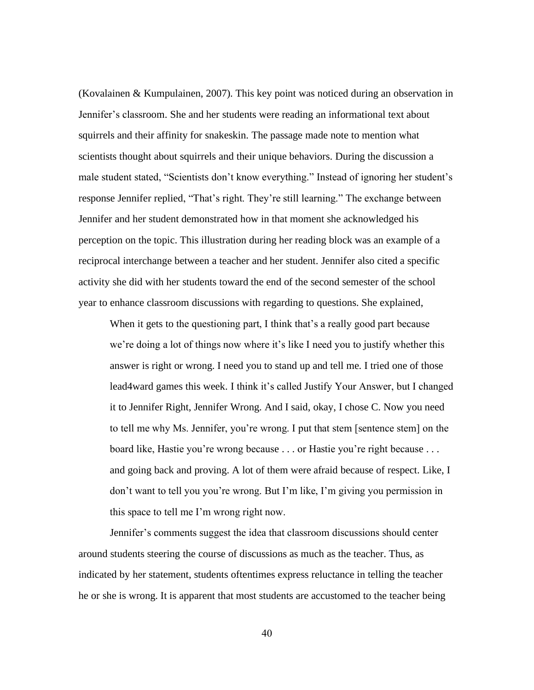(Kovalainen & Kumpulainen, 2007). This key point was noticed during an observation in Jennifer's classroom. She and her students were reading an informational text about squirrels and their affinity for snakeskin. The passage made note to mention what scientists thought about squirrels and their unique behaviors. During the discussion a male student stated, "Scientists don't know everything." Instead of ignoring her student's response Jennifer replied, "That's right. They're still learning." The exchange between Jennifer and her student demonstrated how in that moment she acknowledged his perception on the topic. This illustration during her reading block was an example of a reciprocal interchange between a teacher and her student. Jennifer also cited a specific activity she did with her students toward the end of the second semester of the school year to enhance classroom discussions with regarding to questions. She explained,

When it gets to the questioning part, I think that's a really good part because we're doing a lot of things now where it's like I need you to justify whether this answer is right or wrong. I need you to stand up and tell me. I tried one of those lead4ward games this week. I think it's called Justify Your Answer, but I changed it to Jennifer Right, Jennifer Wrong. And I said, okay, I chose C. Now you need to tell me why Ms. Jennifer, you're wrong. I put that stem [sentence stem] on the board like, Hastie you're wrong because . . . or Hastie you're right because . . . and going back and proving. A lot of them were afraid because of respect. Like, I don't want to tell you you're wrong. But I'm like, I'm giving you permission in this space to tell me I'm wrong right now.

Jennifer's comments suggest the idea that classroom discussions should center around students steering the course of discussions as much as the teacher. Thus, as indicated by her statement, students oftentimes express reluctance in telling the teacher he or she is wrong. It is apparent that most students are accustomed to the teacher being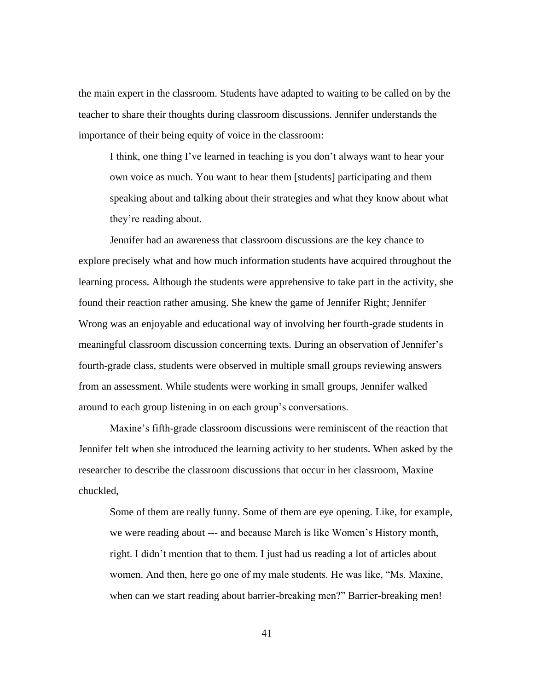the main expert in the classroom. Students have adapted to waiting to be called on by the teacher to share their thoughts during classroom discussions. Jennifer understands the importance of their being equity of voice in the classroom:

I think, one thing I've learned in teaching is you don't always want to hear your own voice as much. You want to hear them [students] participating and them speaking about and talking about their strategies and what they know about what they're reading about.

Jennifer had an awareness that classroom discussions are the key chance to explore precisely what and how much information students have acquired throughout the learning process. Although the students were apprehensive to take part in the activity, she found their reaction rather amusing. She knew the game of Jennifer Right; Jennifer Wrong was an enjoyable and educational way of involving her fourth-grade students in meaningful classroom discussion concerning texts. During an observation of Jennifer's fourth-grade class, students were observed in multiple small groups reviewing answers from an assessment. While students were working in small groups, Jennifer walked around to each group listening in on each group's conversations.

Maxine's fifth-grade classroom discussions were reminiscent of the reaction that Jennifer felt when she introduced the learning activity to her students. When asked by the researcher to describe the classroom discussions that occur in her classroom, Maxine chuckled,

Some of them are really funny. Some of them are eye opening. Like, for example, we were reading about --- and because March is like Women's History month, right. I didn't mention that to them. I just had us reading a lot of articles about women. And then, here go one of my male students. He was like, "Ms. Maxine, when can we start reading about barrier-breaking men?" Barrier-breaking men!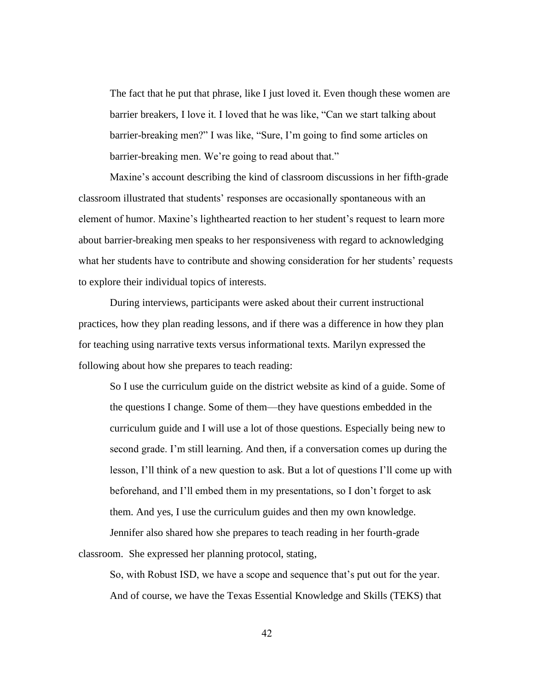The fact that he put that phrase, like I just loved it. Even though these women are barrier breakers, I love it. I loved that he was like, "Can we start talking about barrier-breaking men?" I was like, "Sure, I'm going to find some articles on barrier-breaking men. We're going to read about that."

Maxine's account describing the kind of classroom discussions in her fifth-grade classroom illustrated that students' responses are occasionally spontaneous with an element of humor. Maxine's lighthearted reaction to her student's request to learn more about barrier-breaking men speaks to her responsiveness with regard to acknowledging what her students have to contribute and showing consideration for her students' requests to explore their individual topics of interests.

During interviews, participants were asked about their current instructional practices, how they plan reading lessons, and if there was a difference in how they plan for teaching using narrative texts versus informational texts. Marilyn expressed the following about how she prepares to teach reading:

So I use the curriculum guide on the district website as kind of a guide. Some of the questions I change. Some of them—they have questions embedded in the curriculum guide and I will use a lot of those questions. Especially being new to second grade. I'm still learning. And then, if a conversation comes up during the lesson, I'll think of a new question to ask. But a lot of questions I'll come up with beforehand, and I'll embed them in my presentations, so I don't forget to ask them. And yes, I use the curriculum guides and then my own knowledge.

Jennifer also shared how she prepares to teach reading in her fourth-grade classroom. She expressed her planning protocol, stating,

So, with Robust ISD, we have a scope and sequence that's put out for the year. And of course, we have the Texas Essential Knowledge and Skills (TEKS) that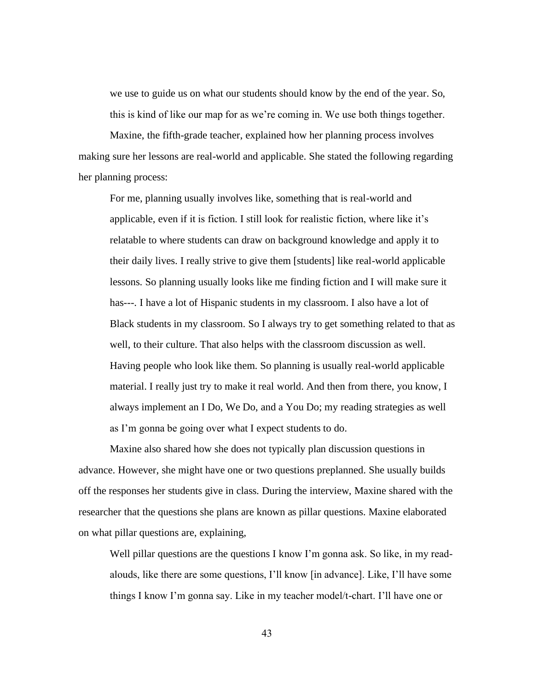we use to guide us on what our students should know by the end of the year. So, this is kind of like our map for as we're coming in. We use both things together.

Maxine, the fifth-grade teacher, explained how her planning process involves making sure her lessons are real-world and applicable. She stated the following regarding her planning process:

For me, planning usually involves like, something that is real-world and applicable, even if it is fiction. I still look for realistic fiction, where like it's relatable to where students can draw on background knowledge and apply it to their daily lives. I really strive to give them [students] like real-world applicable lessons. So planning usually looks like me finding fiction and I will make sure it has---. I have a lot of Hispanic students in my classroom. I also have a lot of Black students in my classroom. So I always try to get something related to that as well, to their culture. That also helps with the classroom discussion as well. Having people who look like them. So planning is usually real-world applicable material. I really just try to make it real world. And then from there, you know, I always implement an I Do, We Do, and a You Do; my reading strategies as well as I'm gonna be going over what I expect students to do.

Maxine also shared how she does not typically plan discussion questions in advance. However, she might have one or two questions preplanned. She usually builds off the responses her students give in class. During the interview, Maxine shared with the researcher that the questions she plans are known as pillar questions. Maxine elaborated on what pillar questions are, explaining,

Well pillar questions are the questions I know I'm gonna ask. So like, in my readalouds, like there are some questions, I'll know [in advance]. Like, I'll have some things I know I'm gonna say. Like in my teacher model/t-chart. I'll have one or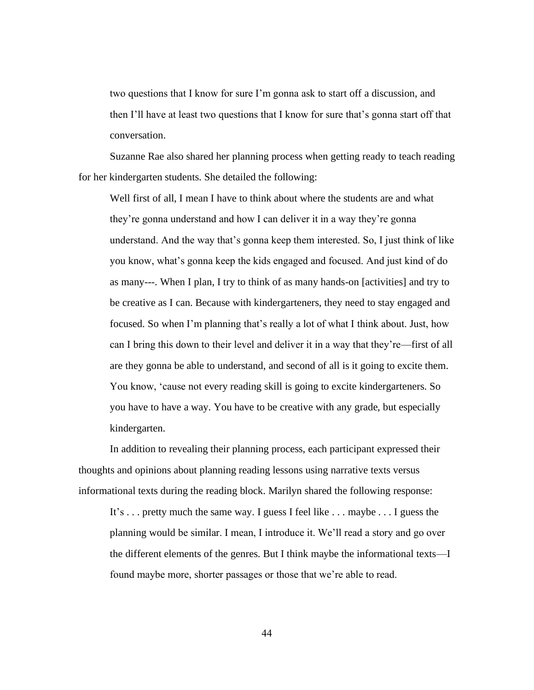two questions that I know for sure I'm gonna ask to start off a discussion, and then I'll have at least two questions that I know for sure that's gonna start off that conversation.

Suzanne Rae also shared her planning process when getting ready to teach reading for her kindergarten students. She detailed the following:

Well first of all, I mean I have to think about where the students are and what they're gonna understand and how I can deliver it in a way they're gonna understand. And the way that's gonna keep them interested. So, I just think of like you know, what's gonna keep the kids engaged and focused. And just kind of do as many---. When I plan, I try to think of as many hands-on [activities] and try to be creative as I can. Because with kindergarteners, they need to stay engaged and focused. So when I'm planning that's really a lot of what I think about. Just, how can I bring this down to their level and deliver it in a way that they're—first of all are they gonna be able to understand, and second of all is it going to excite them. You know, 'cause not every reading skill is going to excite kindergarteners. So you have to have a way. You have to be creative with any grade, but especially kindergarten.

In addition to revealing their planning process, each participant expressed their thoughts and opinions about planning reading lessons using narrative texts versus informational texts during the reading block. Marilyn shared the following response:

It's . . . pretty much the same way. I guess I feel like . . . maybe . . . I guess the planning would be similar. I mean, I introduce it. We'll read a story and go over the different elements of the genres. But I think maybe the informational texts—I found maybe more, shorter passages or those that we're able to read.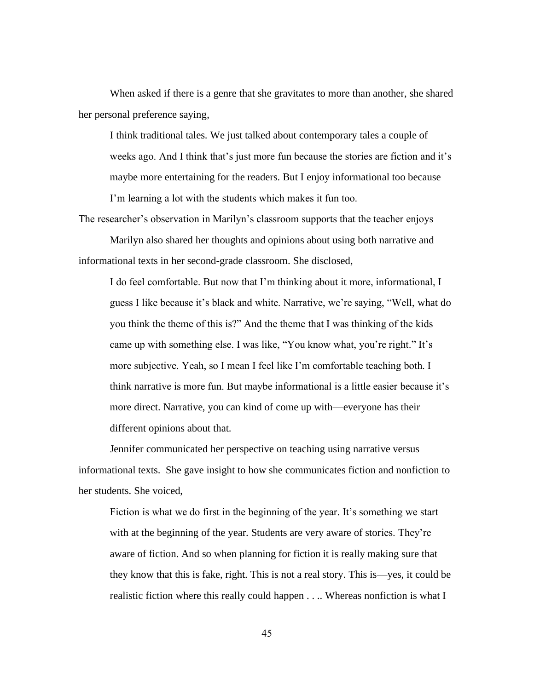When asked if there is a genre that she gravitates to more than another, she shared her personal preference saying,

I think traditional tales. We just talked about contemporary tales a couple of weeks ago. And I think that's just more fun because the stories are fiction and it's maybe more entertaining for the readers. But I enjoy informational too because I'm learning a lot with the students which makes it fun too.

The researcher's observation in Marilyn's classroom supports that the teacher enjoys Marilyn also shared her thoughts and opinions about using both narrative and informational texts in her second-grade classroom. She disclosed,

I do feel comfortable. But now that I'm thinking about it more, informational, I guess I like because it's black and white. Narrative, we're saying, "Well, what do you think the theme of this is?" And the theme that I was thinking of the kids came up with something else. I was like, "You know what, you're right." It's more subjective. Yeah, so I mean I feel like I'm comfortable teaching both. I think narrative is more fun. But maybe informational is a little easier because it's more direct. Narrative, you can kind of come up with—everyone has their different opinions about that.

Jennifer communicated her perspective on teaching using narrative versus informational texts. She gave insight to how she communicates fiction and nonfiction to her students. She voiced,

Fiction is what we do first in the beginning of the year. It's something we start with at the beginning of the year. Students are very aware of stories. They're aware of fiction. And so when planning for fiction it is really making sure that they know that this is fake, right. This is not a real story. This is—yes, it could be realistic fiction where this really could happen . . .. Whereas nonfiction is what I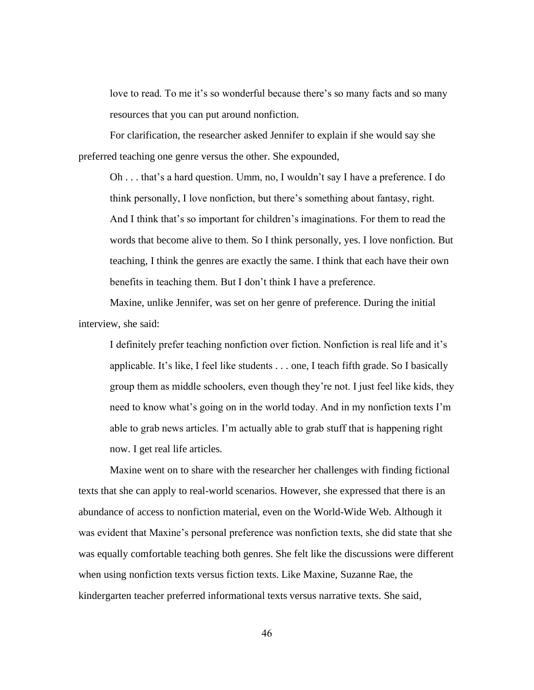love to read. To me it's so wonderful because there's so many facts and so many resources that you can put around nonfiction.

For clarification, the researcher asked Jennifer to explain if she would say she preferred teaching one genre versus the other. She expounded,

Oh . . . that's a hard question. Umm, no, I wouldn't say I have a preference. I do think personally, I love nonfiction, but there's something about fantasy, right. And I think that's so important for children's imaginations. For them to read the words that become alive to them. So I think personally, yes. I love nonfiction. But teaching, I think the genres are exactly the same. I think that each have their own benefits in teaching them. But I don't think I have a preference.

Maxine, unlike Jennifer, was set on her genre of preference. During the initial interview, she said:

I definitely prefer teaching nonfiction over fiction. Nonfiction is real life and it's applicable. It's like, I feel like students . . . one, I teach fifth grade. So I basically group them as middle schoolers, even though they're not. I just feel like kids, they need to know what's going on in the world today. And in my nonfiction texts I'm able to grab news articles. I'm actually able to grab stuff that is happening right now. I get real life articles.

Maxine went on to share with the researcher her challenges with finding fictional texts that she can apply to real-world scenarios. However, she expressed that there is an abundance of access to nonfiction material, even on the World-Wide Web. Although it was evident that Maxine's personal preference was nonfiction texts, she did state that she was equally comfortable teaching both genres. She felt like the discussions were different when using nonfiction texts versus fiction texts. Like Maxine, Suzanne Rae, the kindergarten teacher preferred informational texts versus narrative texts. She said,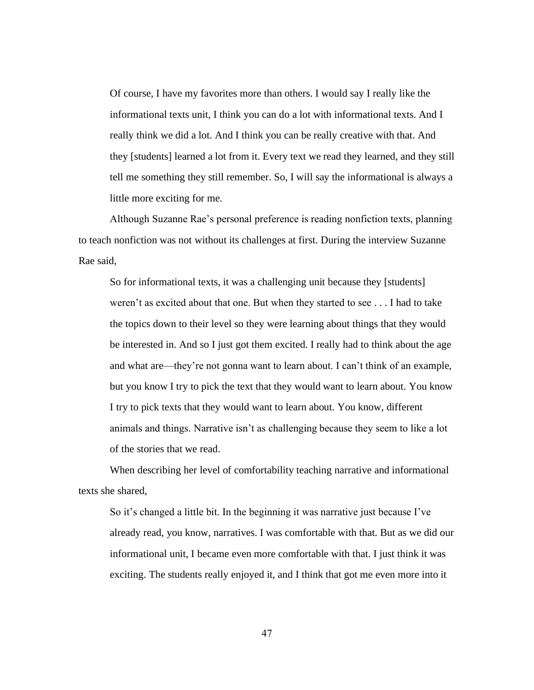Of course, I have my favorites more than others. I would say I really like the informational texts unit, I think you can do a lot with informational texts. And I really think we did a lot. And I think you can be really creative with that. And they [students] learned a lot from it. Every text we read they learned, and they still tell me something they still remember. So, I will say the informational is always a little more exciting for me.

Although Suzanne Rae's personal preference is reading nonfiction texts, planning to teach nonfiction was not without its challenges at first. During the interview Suzanne Rae said,

So for informational texts, it was a challenging unit because they [students] weren't as excited about that one. But when they started to see . . . I had to take the topics down to their level so they were learning about things that they would be interested in. And so I just got them excited. I really had to think about the age and what are—they're not gonna want to learn about. I can't think of an example, but you know I try to pick the text that they would want to learn about. You know I try to pick texts that they would want to learn about. You know, different animals and things. Narrative isn't as challenging because they seem to like a lot of the stories that we read.

When describing her level of comfortability teaching narrative and informational texts she shared,

So it's changed a little bit. In the beginning it was narrative just because I've already read, you know, narratives. I was comfortable with that. But as we did our informational unit, I became even more comfortable with that. I just think it was exciting. The students really enjoyed it, and I think that got me even more into it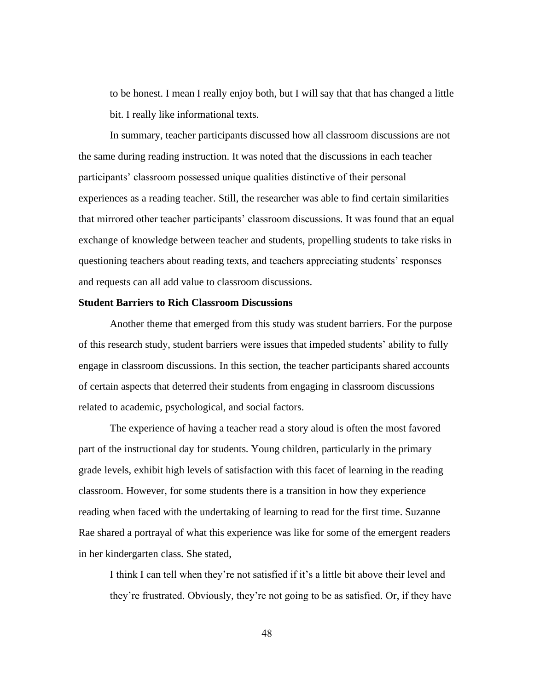to be honest. I mean I really enjoy both, but I will say that that has changed a little bit. I really like informational texts.

In summary, teacher participants discussed how all classroom discussions are not the same during reading instruction. It was noted that the discussions in each teacher participants' classroom possessed unique qualities distinctive of their personal experiences as a reading teacher. Still, the researcher was able to find certain similarities that mirrored other teacher participants' classroom discussions. It was found that an equal exchange of knowledge between teacher and students, propelling students to take risks in questioning teachers about reading texts, and teachers appreciating students' responses and requests can all add value to classroom discussions.

### **Student Barriers to Rich Classroom Discussions**

Another theme that emerged from this study was student barriers. For the purpose of this research study, student barriers were issues that impeded students' ability to fully engage in classroom discussions. In this section, the teacher participants shared accounts of certain aspects that deterred their students from engaging in classroom discussions related to academic, psychological, and social factors.

The experience of having a teacher read a story aloud is often the most favored part of the instructional day for students. Young children, particularly in the primary grade levels, exhibit high levels of satisfaction with this facet of learning in the reading classroom. However, for some students there is a transition in how they experience reading when faced with the undertaking of learning to read for the first time. Suzanne Rae shared a portrayal of what this experience was like for some of the emergent readers in her kindergarten class. She stated,

I think I can tell when they're not satisfied if it's a little bit above their level and they're frustrated. Obviously, they're not going to be as satisfied. Or, if they have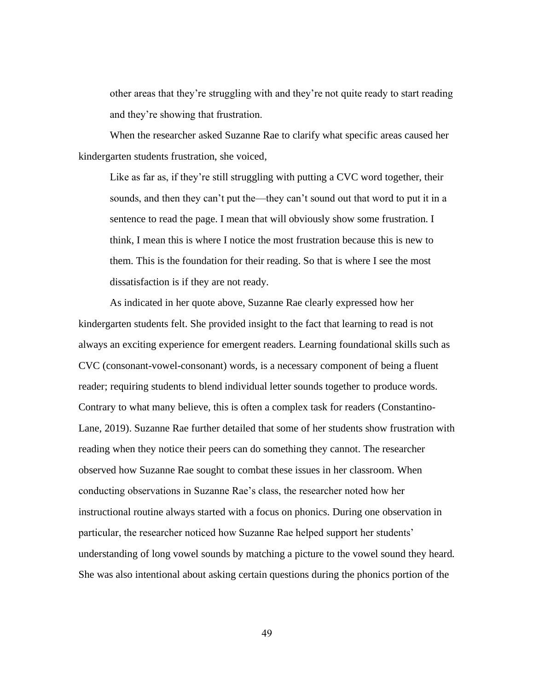other areas that they're struggling with and they're not quite ready to start reading and they're showing that frustration.

When the researcher asked Suzanne Rae to clarify what specific areas caused her kindergarten students frustration, she voiced,

Like as far as, if they're still struggling with putting a CVC word together, their sounds, and then they can't put the—they can't sound out that word to put it in a sentence to read the page. I mean that will obviously show some frustration. I think, I mean this is where I notice the most frustration because this is new to them. This is the foundation for their reading. So that is where I see the most dissatisfaction is if they are not ready.

As indicated in her quote above, Suzanne Rae clearly expressed how her kindergarten students felt. She provided insight to the fact that learning to read is not always an exciting experience for emergent readers. Learning foundational skills such as CVC (consonant-vowel-consonant) words, is a necessary component of being a fluent reader; requiring students to blend individual letter sounds together to produce words. Contrary to what many believe, this is often a complex task for readers (Constantino-Lane, 2019). Suzanne Rae further detailed that some of her students show frustration with reading when they notice their peers can do something they cannot. The researcher observed how Suzanne Rae sought to combat these issues in her classroom. When conducting observations in Suzanne Rae's class, the researcher noted how her instructional routine always started with a focus on phonics. During one observation in particular, the researcher noticed how Suzanne Rae helped support her students' understanding of long vowel sounds by matching a picture to the vowel sound they heard. She was also intentional about asking certain questions during the phonics portion of the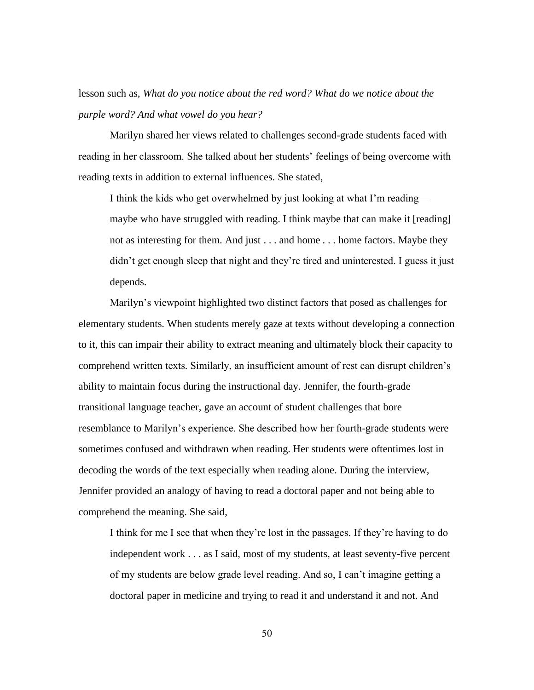lesson such as, *What do you notice about the red word? What do we notice about the purple word? And what vowel do you hear?*

Marilyn shared her views related to challenges second-grade students faced with reading in her classroom. She talked about her students' feelings of being overcome with reading texts in addition to external influences. She stated,

I think the kids who get overwhelmed by just looking at what I'm reading maybe who have struggled with reading. I think maybe that can make it [reading] not as interesting for them. And just . . . and home . . . home factors. Maybe they didn't get enough sleep that night and they're tired and uninterested. I guess it just depends.

Marilyn's viewpoint highlighted two distinct factors that posed as challenges for elementary students. When students merely gaze at texts without developing a connection to it, this can impair their ability to extract meaning and ultimately block their capacity to comprehend written texts. Similarly, an insufficient amount of rest can disrupt children's ability to maintain focus during the instructional day. Jennifer, the fourth-grade transitional language teacher, gave an account of student challenges that bore resemblance to Marilyn's experience. She described how her fourth-grade students were sometimes confused and withdrawn when reading. Her students were oftentimes lost in decoding the words of the text especially when reading alone. During the interview, Jennifer provided an analogy of having to read a doctoral paper and not being able to comprehend the meaning. She said,

I think for me I see that when they're lost in the passages. If they're having to do independent work . . . as I said, most of my students, at least seventy-five percent of my students are below grade level reading. And so, I can't imagine getting a doctoral paper in medicine and trying to read it and understand it and not. And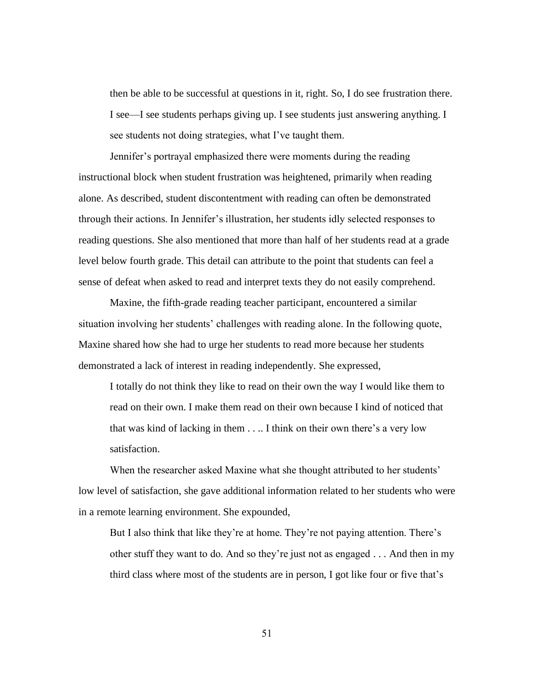then be able to be successful at questions in it, right. So, I do see frustration there. I see—I see students perhaps giving up. I see students just answering anything. I see students not doing strategies, what I've taught them.

Jennifer's portrayal emphasized there were moments during the reading instructional block when student frustration was heightened, primarily when reading alone. As described, student discontentment with reading can often be demonstrated through their actions. In Jennifer's illustration, her students idly selected responses to reading questions. She also mentioned that more than half of her students read at a grade level below fourth grade. This detail can attribute to the point that students can feel a sense of defeat when asked to read and interpret texts they do not easily comprehend.

Maxine, the fifth-grade reading teacher participant, encountered a similar situation involving her students' challenges with reading alone. In the following quote, Maxine shared how she had to urge her students to read more because her students demonstrated a lack of interest in reading independently. She expressed,

I totally do not think they like to read on their own the way I would like them to read on their own. I make them read on their own because I kind of noticed that that was kind of lacking in them . . .. I think on their own there's a very low satisfaction.

When the researcher asked Maxine what she thought attributed to her students' low level of satisfaction, she gave additional information related to her students who were in a remote learning environment. She expounded,

But I also think that like they're at home. They're not paying attention. There's other stuff they want to do. And so they're just not as engaged . . . And then in my third class where most of the students are in person, I got like four or five that's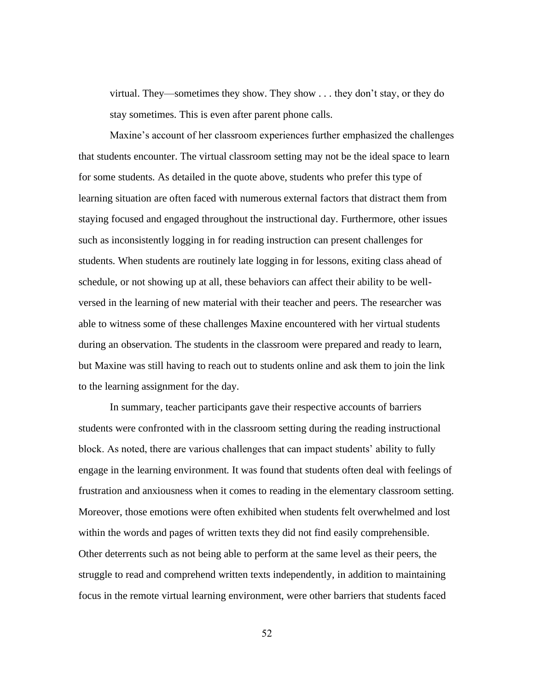virtual. They—sometimes they show. They show . . . they don't stay, or they do stay sometimes. This is even after parent phone calls.

Maxine's account of her classroom experiences further emphasized the challenges that students encounter. The virtual classroom setting may not be the ideal space to learn for some students. As detailed in the quote above, students who prefer this type of learning situation are often faced with numerous external factors that distract them from staying focused and engaged throughout the instructional day. Furthermore, other issues such as inconsistently logging in for reading instruction can present challenges for students. When students are routinely late logging in for lessons, exiting class ahead of schedule, or not showing up at all, these behaviors can affect their ability to be wellversed in the learning of new material with their teacher and peers. The researcher was able to witness some of these challenges Maxine encountered with her virtual students during an observation. The students in the classroom were prepared and ready to learn, but Maxine was still having to reach out to students online and ask them to join the link to the learning assignment for the day.

In summary, teacher participants gave their respective accounts of barriers students were confronted with in the classroom setting during the reading instructional block. As noted, there are various challenges that can impact students' ability to fully engage in the learning environment. It was found that students often deal with feelings of frustration and anxiousness when it comes to reading in the elementary classroom setting. Moreover, those emotions were often exhibited when students felt overwhelmed and lost within the words and pages of written texts they did not find easily comprehensible. Other deterrents such as not being able to perform at the same level as their peers, the struggle to read and comprehend written texts independently, in addition to maintaining focus in the remote virtual learning environment, were other barriers that students faced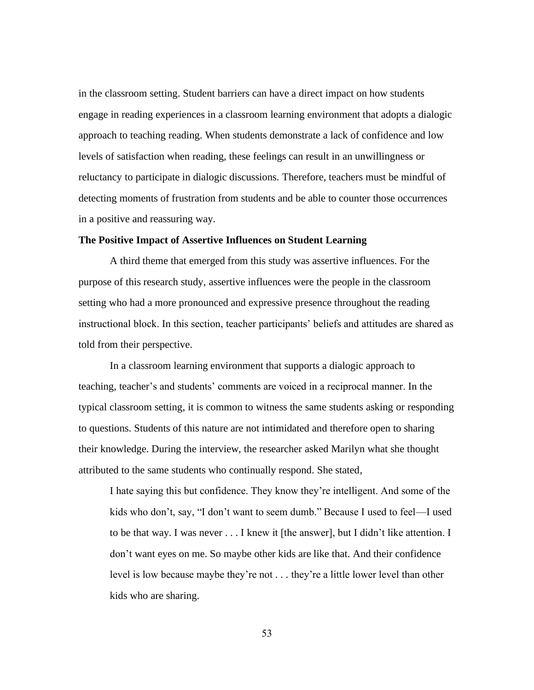in the classroom setting. Student barriers can have a direct impact on how students engage in reading experiences in a classroom learning environment that adopts a dialogic approach to teaching reading. When students demonstrate a lack of confidence and low levels of satisfaction when reading, these feelings can result in an unwillingness or reluctancy to participate in dialogic discussions. Therefore, teachers must be mindful of detecting moments of frustration from students and be able to counter those occurrences in a positive and reassuring way.

## **The Positive Impact of Assertive Influences on Student Learning**

A third theme that emerged from this study was assertive influences. For the purpose of this research study, assertive influences were the people in the classroom setting who had a more pronounced and expressive presence throughout the reading instructional block. In this section, teacher participants' beliefs and attitudes are shared as told from their perspective.

In a classroom learning environment that supports a dialogic approach to teaching, teacher's and students' comments are voiced in a reciprocal manner. In the typical classroom setting, it is common to witness the same students asking or responding to questions. Students of this nature are not intimidated and therefore open to sharing their knowledge. During the interview, the researcher asked Marilyn what she thought attributed to the same students who continually respond. She stated,

I hate saying this but confidence. They know they're intelligent. And some of the kids who don't, say, "I don't want to seem dumb." Because I used to feel—I used to be that way. I was never . . . I knew it [the answer], but I didn't like attention. I don't want eyes on me. So maybe other kids are like that. And their confidence level is low because maybe they're not . . . they're a little lower level than other kids who are sharing.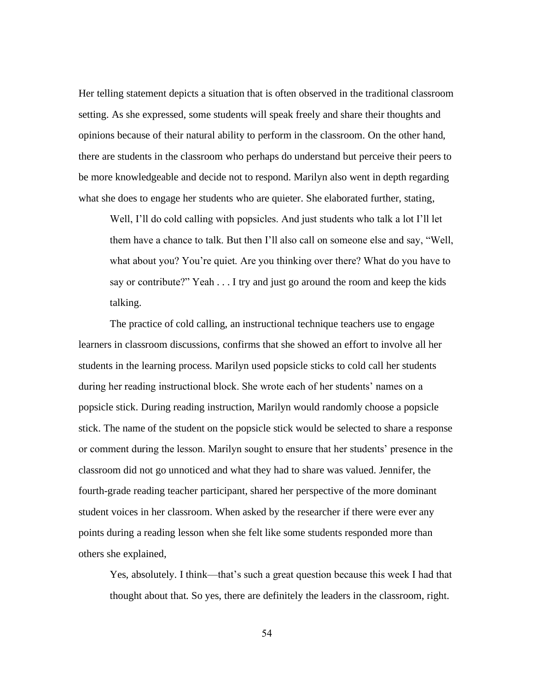Her telling statement depicts a situation that is often observed in the traditional classroom setting. As she expressed, some students will speak freely and share their thoughts and opinions because of their natural ability to perform in the classroom. On the other hand, there are students in the classroom who perhaps do understand but perceive their peers to be more knowledgeable and decide not to respond. Marilyn also went in depth regarding what she does to engage her students who are quieter. She elaborated further, stating,

Well, I'll do cold calling with popsicles. And just students who talk a lot I'll let them have a chance to talk. But then I'll also call on someone else and say, "Well, what about you? You're quiet. Are you thinking over there? What do you have to say or contribute?" Yeah . . . I try and just go around the room and keep the kids talking.

The practice of cold calling, an instructional technique teachers use to engage learners in classroom discussions, confirms that she showed an effort to involve all her students in the learning process. Marilyn used popsicle sticks to cold call her students during her reading instructional block. She wrote each of her students' names on a popsicle stick. During reading instruction, Marilyn would randomly choose a popsicle stick. The name of the student on the popsicle stick would be selected to share a response or comment during the lesson. Marilyn sought to ensure that her students' presence in the classroom did not go unnoticed and what they had to share was valued. Jennifer, the fourth-grade reading teacher participant, shared her perspective of the more dominant student voices in her classroom. When asked by the researcher if there were ever any points during a reading lesson when she felt like some students responded more than others she explained,

Yes, absolutely. I think—that's such a great question because this week I had that thought about that. So yes, there are definitely the leaders in the classroom, right.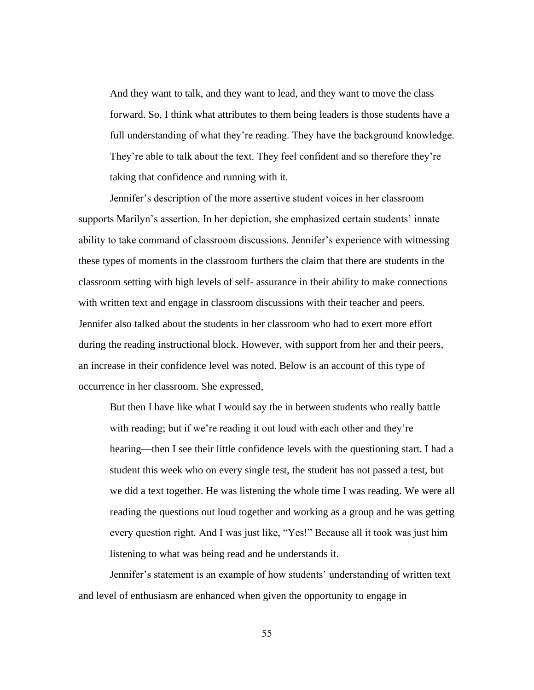And they want to talk, and they want to lead, and they want to move the class forward. So, I think what attributes to them being leaders is those students have a full understanding of what they're reading. They have the background knowledge. They're able to talk about the text. They feel confident and so therefore they're taking that confidence and running with it.

Jennifer's description of the more assertive student voices in her classroom supports Marilyn's assertion. In her depiction, she emphasized certain students' innate ability to take command of classroom discussions. Jennifer's experience with witnessing these types of moments in the classroom furthers the claim that there are students in the classroom setting with high levels of self- assurance in their ability to make connections with written text and engage in classroom discussions with their teacher and peers. Jennifer also talked about the students in her classroom who had to exert more effort during the reading instructional block. However, with support from her and their peers, an increase in their confidence level was noted. Below is an account of this type of occurrence in her classroom. She expressed,

But then I have like what I would say the in between students who really battle with reading; but if we're reading it out loud with each other and they're hearing—then I see their little confidence levels with the questioning start. I had a student this week who on every single test, the student has not passed a test, but we did a text together. He was listening the whole time I was reading. We were all reading the questions out loud together and working as a group and he was getting every question right. And I was just like, "Yes!" Because all it took was just him listening to what was being read and he understands it.

Jennifer's statement is an example of how students' understanding of written text and level of enthusiasm are enhanced when given the opportunity to engage in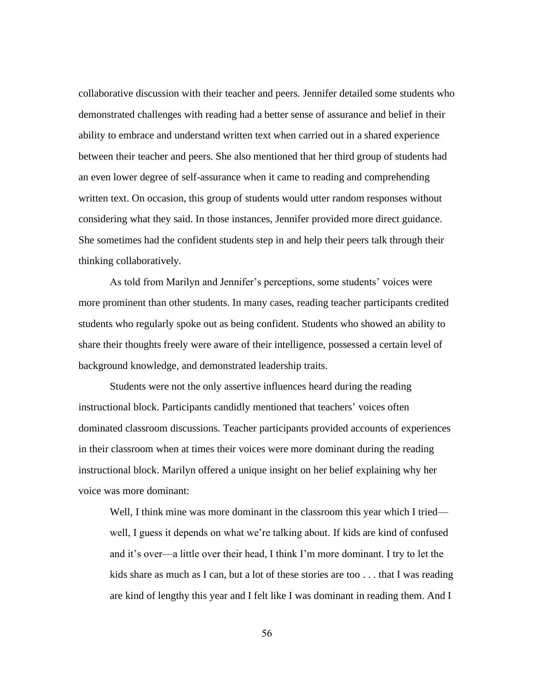collaborative discussion with their teacher and peers. Jennifer detailed some students who demonstrated challenges with reading had a better sense of assurance and belief in their ability to embrace and understand written text when carried out in a shared experience between their teacher and peers. She also mentioned that her third group of students had an even lower degree of self-assurance when it came to reading and comprehending written text. On occasion, this group of students would utter random responses without considering what they said. In those instances, Jennifer provided more direct guidance. She sometimes had the confident students step in and help their peers talk through their thinking collaboratively.

As told from Marilyn and Jennifer's perceptions, some students' voices were more prominent than other students. In many cases, reading teacher participants credited students who regularly spoke out as being confident. Students who showed an ability to share their thoughts freely were aware of their intelligence, possessed a certain level of background knowledge, and demonstrated leadership traits.

Students were not the only assertive influences heard during the reading instructional block. Participants candidly mentioned that teachers' voices often dominated classroom discussions. Teacher participants provided accounts of experiences in their classroom when at times their voices were more dominant during the reading instructional block. Marilyn offered a unique insight on her belief explaining why her voice was more dominant:

Well, I think mine was more dominant in the classroom this year which I tried well, I guess it depends on what we're talking about. If kids are kind of confused and it's over—a little over their head, I think I'm more dominant. I try to let the kids share as much as I can, but a lot of these stories are too . . . that I was reading are kind of lengthy this year and I felt like I was dominant in reading them. And I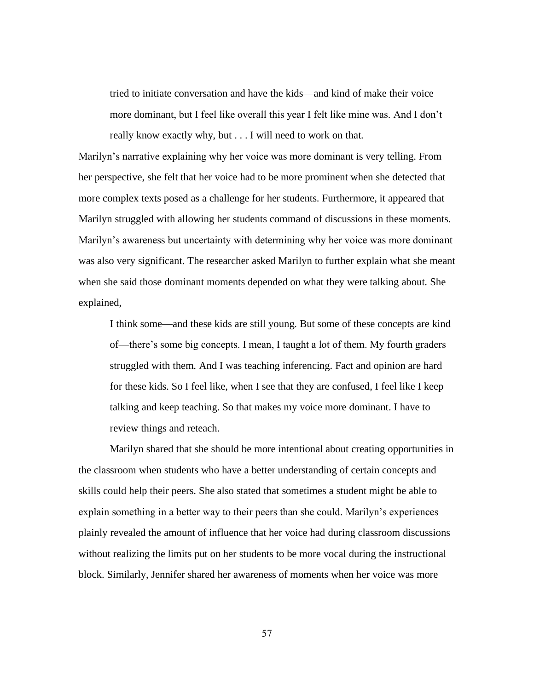tried to initiate conversation and have the kids—and kind of make their voice more dominant, but I feel like overall this year I felt like mine was. And I don't really know exactly why, but . . . I will need to work on that.

Marilyn's narrative explaining why her voice was more dominant is very telling. From her perspective, she felt that her voice had to be more prominent when she detected that more complex texts posed as a challenge for her students. Furthermore, it appeared that Marilyn struggled with allowing her students command of discussions in these moments. Marilyn's awareness but uncertainty with determining why her voice was more dominant was also very significant. The researcher asked Marilyn to further explain what she meant when she said those dominant moments depended on what they were talking about. She explained,

I think some—and these kids are still young. But some of these concepts are kind of—there's some big concepts. I mean, I taught a lot of them. My fourth graders struggled with them. And I was teaching inferencing. Fact and opinion are hard for these kids. So I feel like, when I see that they are confused, I feel like I keep talking and keep teaching. So that makes my voice more dominant. I have to review things and reteach.

Marilyn shared that she should be more intentional about creating opportunities in the classroom when students who have a better understanding of certain concepts and skills could help their peers. She also stated that sometimes a student might be able to explain something in a better way to their peers than she could. Marilyn's experiences plainly revealed the amount of influence that her voice had during classroom discussions without realizing the limits put on her students to be more vocal during the instructional block. Similarly, Jennifer shared her awareness of moments when her voice was more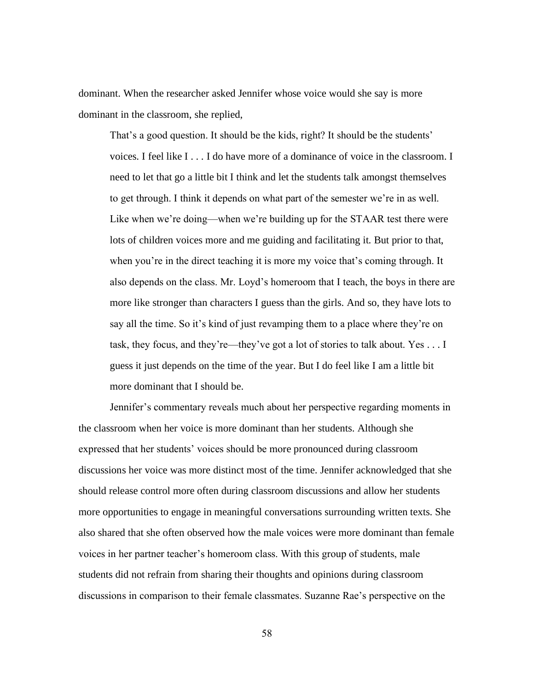dominant. When the researcher asked Jennifer whose voice would she say is more dominant in the classroom, she replied,

That's a good question. It should be the kids, right? It should be the students' voices. I feel like I . . . I do have more of a dominance of voice in the classroom. I need to let that go a little bit I think and let the students talk amongst themselves to get through. I think it depends on what part of the semester we're in as well. Like when we're doing—when we're building up for the STAAR test there were lots of children voices more and me guiding and facilitating it. But prior to that, when you're in the direct teaching it is more my voice that's coming through. It also depends on the class. Mr. Loyd's homeroom that I teach, the boys in there are more like stronger than characters I guess than the girls. And so, they have lots to say all the time. So it's kind of just revamping them to a place where they're on task, they focus, and they're—they've got a lot of stories to talk about. Yes . . . I guess it just depends on the time of the year. But I do feel like I am a little bit more dominant that I should be.

Jennifer's commentary reveals much about her perspective regarding moments in the classroom when her voice is more dominant than her students. Although she expressed that her students' voices should be more pronounced during classroom discussions her voice was more distinct most of the time. Jennifer acknowledged that she should release control more often during classroom discussions and allow her students more opportunities to engage in meaningful conversations surrounding written texts. She also shared that she often observed how the male voices were more dominant than female voices in her partner teacher's homeroom class. With this group of students, male students did not refrain from sharing their thoughts and opinions during classroom discussions in comparison to their female classmates. Suzanne Rae's perspective on the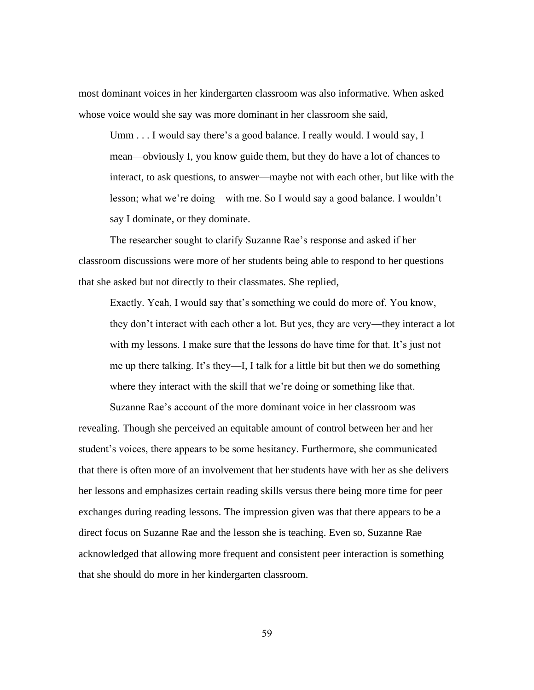most dominant voices in her kindergarten classroom was also informative. When asked whose voice would she say was more dominant in her classroom she said,

Umm . . . I would say there's a good balance. I really would. I would say, I mean—obviously I, you know guide them, but they do have a lot of chances to interact, to ask questions, to answer—maybe not with each other, but like with the lesson; what we're doing—with me. So I would say a good balance. I wouldn't say I dominate, or they dominate.

The researcher sought to clarify Suzanne Rae's response and asked if her classroom discussions were more of her students being able to respond to her questions that she asked but not directly to their classmates. She replied,

Exactly. Yeah, I would say that's something we could do more of. You know, they don't interact with each other a lot. But yes, they are very—they interact a lot with my lessons. I make sure that the lessons do have time for that. It's just not me up there talking. It's they—I, I talk for a little bit but then we do something where they interact with the skill that we're doing or something like that.

Suzanne Rae's account of the more dominant voice in her classroom was revealing. Though she perceived an equitable amount of control between her and her student's voices, there appears to be some hesitancy. Furthermore, she communicated that there is often more of an involvement that her students have with her as she delivers her lessons and emphasizes certain reading skills versus there being more time for peer exchanges during reading lessons. The impression given was that there appears to be a direct focus on Suzanne Rae and the lesson she is teaching. Even so, Suzanne Rae acknowledged that allowing more frequent and consistent peer interaction is something that she should do more in her kindergarten classroom.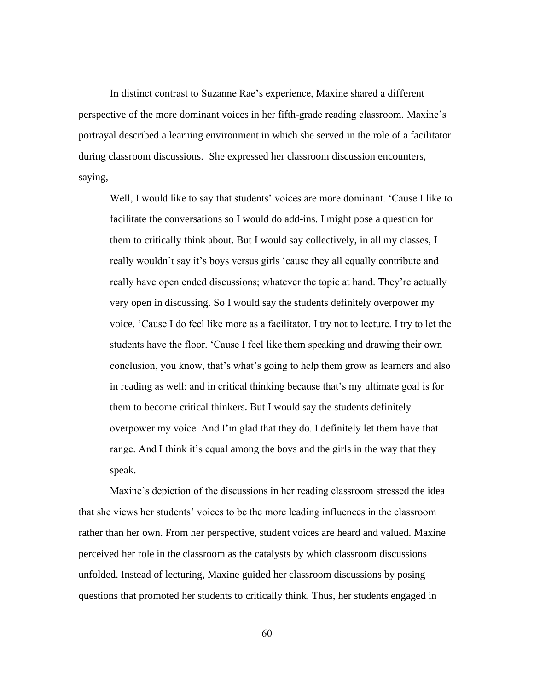In distinct contrast to Suzanne Rae's experience, Maxine shared a different perspective of the more dominant voices in her fifth-grade reading classroom. Maxine's portrayal described a learning environment in which she served in the role of a facilitator during classroom discussions. She expressed her classroom discussion encounters, saying,

Well, I would like to say that students' voices are more dominant. 'Cause I like to facilitate the conversations so I would do add-ins. I might pose a question for them to critically think about. But I would say collectively, in all my classes, I really wouldn't say it's boys versus girls 'cause they all equally contribute and really have open ended discussions; whatever the topic at hand. They're actually very open in discussing. So I would say the students definitely overpower my voice. 'Cause I do feel like more as a facilitator. I try not to lecture. I try to let the students have the floor. 'Cause I feel like them speaking and drawing their own conclusion, you know, that's what's going to help them grow as learners and also in reading as well; and in critical thinking because that's my ultimate goal is for them to become critical thinkers. But I would say the students definitely overpower my voice. And I'm glad that they do. I definitely let them have that range. And I think it's equal among the boys and the girls in the way that they speak.

Maxine's depiction of the discussions in her reading classroom stressed the idea that she views her students' voices to be the more leading influences in the classroom rather than her own. From her perspective, student voices are heard and valued. Maxine perceived her role in the classroom as the catalysts by which classroom discussions unfolded. Instead of lecturing, Maxine guided her classroom discussions by posing questions that promoted her students to critically think. Thus, her students engaged in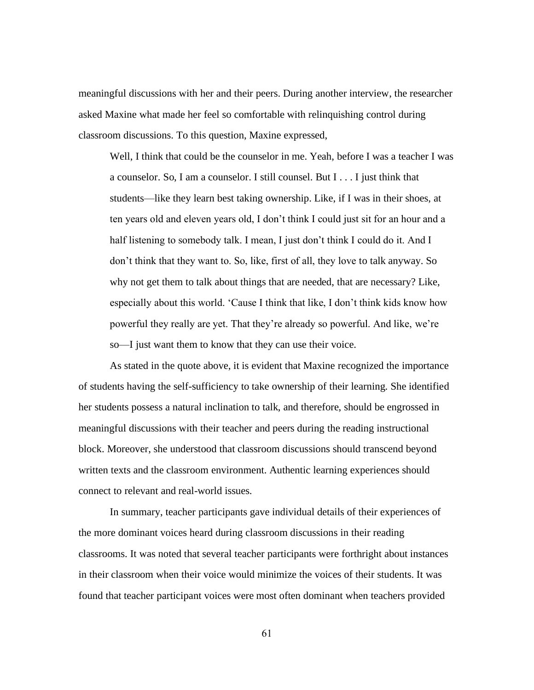meaningful discussions with her and their peers. During another interview, the researcher asked Maxine what made her feel so comfortable with relinquishing control during classroom discussions. To this question, Maxine expressed,

Well, I think that could be the counselor in me. Yeah, before I was a teacher I was a counselor. So, I am a counselor. I still counsel. But I . . . I just think that students—like they learn best taking ownership. Like, if I was in their shoes, at ten years old and eleven years old, I don't think I could just sit for an hour and a half listening to somebody talk. I mean, I just don't think I could do it. And I don't think that they want to. So, like, first of all, they love to talk anyway. So why not get them to talk about things that are needed, that are necessary? Like, especially about this world. 'Cause I think that like, I don't think kids know how powerful they really are yet. That they're already so powerful. And like, we're so—I just want them to know that they can use their voice.

As stated in the quote above, it is evident that Maxine recognized the importance of students having the self-sufficiency to take ownership of their learning. She identified her students possess a natural inclination to talk, and therefore, should be engrossed in meaningful discussions with their teacher and peers during the reading instructional block. Moreover, she understood that classroom discussions should transcend beyond written texts and the classroom environment. Authentic learning experiences should connect to relevant and real-world issues.

In summary, teacher participants gave individual details of their experiences of the more dominant voices heard during classroom discussions in their reading classrooms. It was noted that several teacher participants were forthright about instances in their classroom when their voice would minimize the voices of their students. It was found that teacher participant voices were most often dominant when teachers provided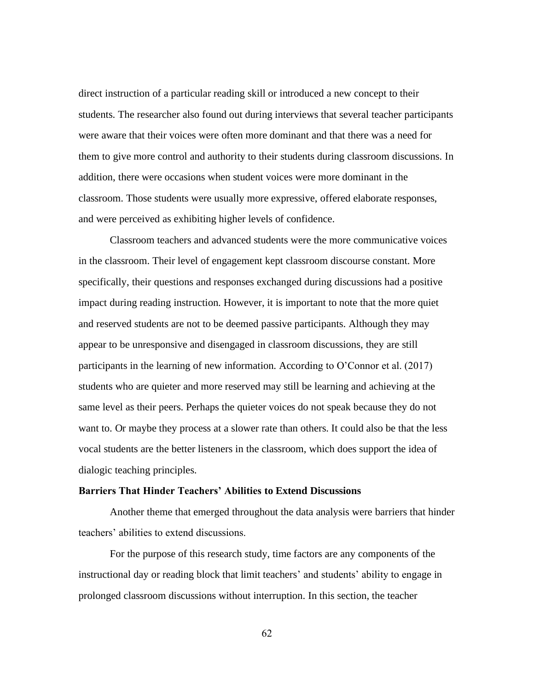direct instruction of a particular reading skill or introduced a new concept to their students. The researcher also found out during interviews that several teacher participants were aware that their voices were often more dominant and that there was a need for them to give more control and authority to their students during classroom discussions. In addition, there were occasions when student voices were more dominant in the classroom. Those students were usually more expressive, offered elaborate responses, and were perceived as exhibiting higher levels of confidence.

Classroom teachers and advanced students were the more communicative voices in the classroom. Their level of engagement kept classroom discourse constant. More specifically, their questions and responses exchanged during discussions had a positive impact during reading instruction. However, it is important to note that the more quiet and reserved students are not to be deemed passive participants. Although they may appear to be unresponsive and disengaged in classroom discussions, they are still participants in the learning of new information. According to O'Connor et al. (2017) students who are quieter and more reserved may still be learning and achieving at the same level as their peers. Perhaps the quieter voices do not speak because they do not want to. Or maybe they process at a slower rate than others. It could also be that the less vocal students are the better listeners in the classroom, which does support the idea of dialogic teaching principles.

#### **Barriers That Hinder Teachers' Abilities to Extend Discussions**

Another theme that emerged throughout the data analysis were barriers that hinder teachers' abilities to extend discussions.

For the purpose of this research study, time factors are any components of the instructional day or reading block that limit teachers' and students' ability to engage in prolonged classroom discussions without interruption. In this section, the teacher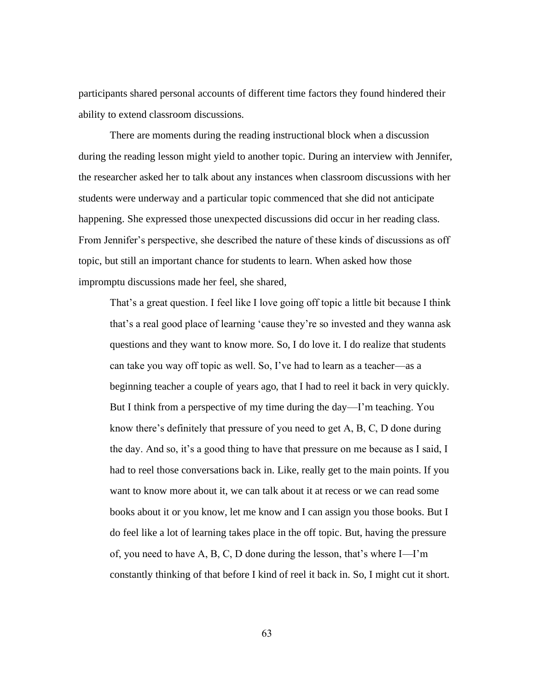participants shared personal accounts of different time factors they found hindered their ability to extend classroom discussions.

There are moments during the reading instructional block when a discussion during the reading lesson might yield to another topic. During an interview with Jennifer, the researcher asked her to talk about any instances when classroom discussions with her students were underway and a particular topic commenced that she did not anticipate happening. She expressed those unexpected discussions did occur in her reading class. From Jennifer's perspective, she described the nature of these kinds of discussions as off topic, but still an important chance for students to learn. When asked how those impromptu discussions made her feel, she shared,

That's a great question. I feel like I love going off topic a little bit because I think that's a real good place of learning 'cause they're so invested and they wanna ask questions and they want to know more. So, I do love it. I do realize that students can take you way off topic as well. So, I've had to learn as a teacher—as a beginning teacher a couple of years ago, that I had to reel it back in very quickly. But I think from a perspective of my time during the day—I'm teaching. You know there's definitely that pressure of you need to get A, B, C, D done during the day. And so, it's a good thing to have that pressure on me because as I said, I had to reel those conversations back in. Like, really get to the main points. If you want to know more about it, we can talk about it at recess or we can read some books about it or you know, let me know and I can assign you those books. But I do feel like a lot of learning takes place in the off topic. But, having the pressure of, you need to have A, B, C, D done during the lesson, that's where I—I'm constantly thinking of that before I kind of reel it back in. So, I might cut it short.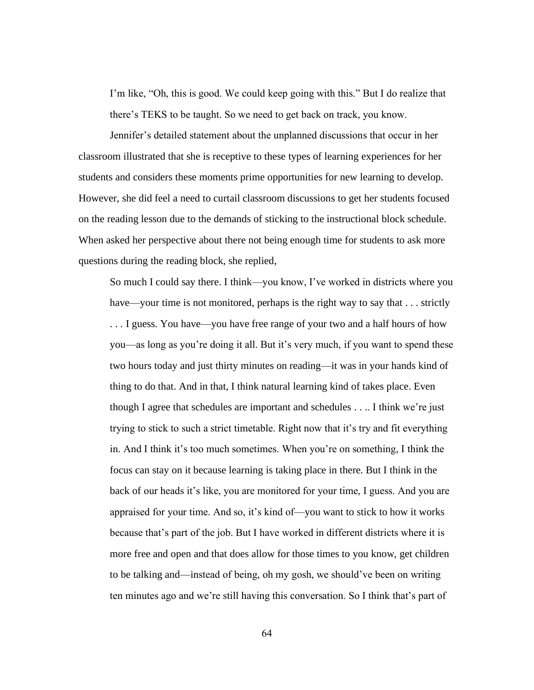I'm like, "Oh, this is good. We could keep going with this." But I do realize that there's TEKS to be taught. So we need to get back on track, you know.

Jennifer's detailed statement about the unplanned discussions that occur in her classroom illustrated that she is receptive to these types of learning experiences for her students and considers these moments prime opportunities for new learning to develop. However, she did feel a need to curtail classroom discussions to get her students focused on the reading lesson due to the demands of sticking to the instructional block schedule. When asked her perspective about there not being enough time for students to ask more questions during the reading block, she replied,

So much I could say there. I think—you know, I've worked in districts where you have—your time is not monitored, perhaps is the right way to say that . . . strictly . . . I guess. You have—you have free range of your two and a half hours of how you—as long as you're doing it all. But it's very much, if you want to spend these two hours today and just thirty minutes on reading—it was in your hands kind of thing to do that. And in that, I think natural learning kind of takes place. Even though I agree that schedules are important and schedules . . .. I think we're just trying to stick to such a strict timetable. Right now that it's try and fit everything in. And I think it's too much sometimes. When you're on something, I think the focus can stay on it because learning is taking place in there. But I think in the back of our heads it's like, you are monitored for your time, I guess. And you are appraised for your time. And so, it's kind of—you want to stick to how it works because that's part of the job. But I have worked in different districts where it is more free and open and that does allow for those times to you know, get children to be talking and—instead of being, oh my gosh, we should've been on writing ten minutes ago and we're still having this conversation. So I think that's part of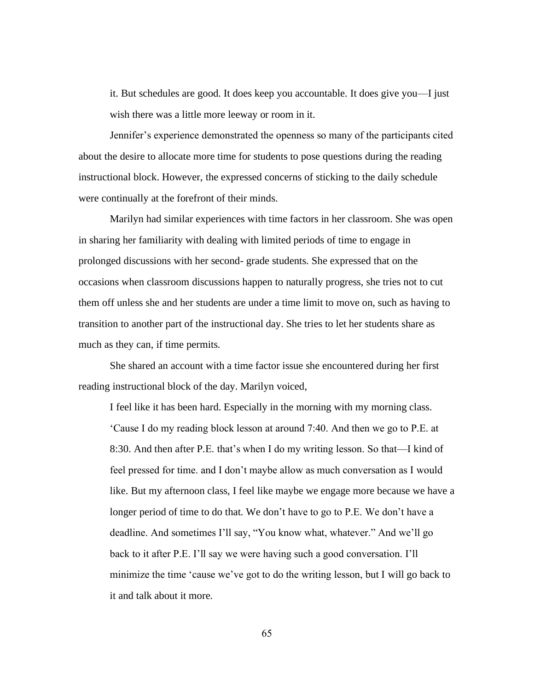it. But schedules are good. It does keep you accountable. It does give you—I just wish there was a little more leeway or room in it.

Jennifer's experience demonstrated the openness so many of the participants cited about the desire to allocate more time for students to pose questions during the reading instructional block. However, the expressed concerns of sticking to the daily schedule were continually at the forefront of their minds.

Marilyn had similar experiences with time factors in her classroom. She was open in sharing her familiarity with dealing with limited periods of time to engage in prolonged discussions with her second- grade students. She expressed that on the occasions when classroom discussions happen to naturally progress, she tries not to cut them off unless she and her students are under a time limit to move on, such as having to transition to another part of the instructional day. She tries to let her students share as much as they can, if time permits.

She shared an account with a time factor issue she encountered during her first reading instructional block of the day. Marilyn voiced,

I feel like it has been hard. Especially in the morning with my morning class. 'Cause I do my reading block lesson at around 7:40. And then we go to P.E. at 8:30. And then after P.E. that's when I do my writing lesson. So that—I kind of feel pressed for time. and I don't maybe allow as much conversation as I would like. But my afternoon class, I feel like maybe we engage more because we have a longer period of time to do that. We don't have to go to P.E. We don't have a deadline. And sometimes I'll say, "You know what, whatever." And we'll go back to it after P.E. I'll say we were having such a good conversation. I'll minimize the time 'cause we've got to do the writing lesson, but I will go back to it and talk about it more.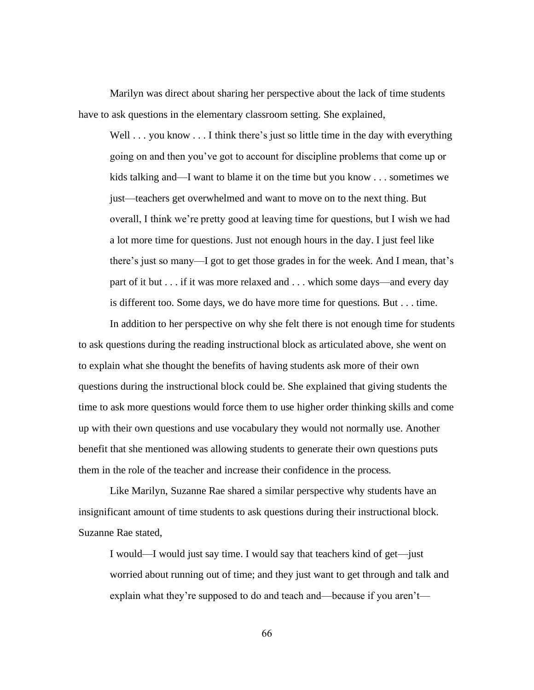Marilyn was direct about sharing her perspective about the lack of time students have to ask questions in the elementary classroom setting. She explained,

Well . . . you know . . . I think there's just so little time in the day with everything going on and then you've got to account for discipline problems that come up or kids talking and—I want to blame it on the time but you know . . . sometimes we just—teachers get overwhelmed and want to move on to the next thing. But overall, I think we're pretty good at leaving time for questions, but I wish we had a lot more time for questions. Just not enough hours in the day. I just feel like there's just so many—I got to get those grades in for the week. And I mean, that's part of it but . . . if it was more relaxed and . . . which some days—and every day is different too. Some days, we do have more time for questions. But . . . time.

In addition to her perspective on why she felt there is not enough time for students to ask questions during the reading instructional block as articulated above, she went on to explain what she thought the benefits of having students ask more of their own questions during the instructional block could be. She explained that giving students the time to ask more questions would force them to use higher order thinking skills and come up with their own questions and use vocabulary they would not normally use. Another benefit that she mentioned was allowing students to generate their own questions puts them in the role of the teacher and increase their confidence in the process.

Like Marilyn, Suzanne Rae shared a similar perspective why students have an insignificant amount of time students to ask questions during their instructional block. Suzanne Rae stated,

I would—I would just say time. I would say that teachers kind of get—just worried about running out of time; and they just want to get through and talk and explain what they're supposed to do and teach and—because if you aren't—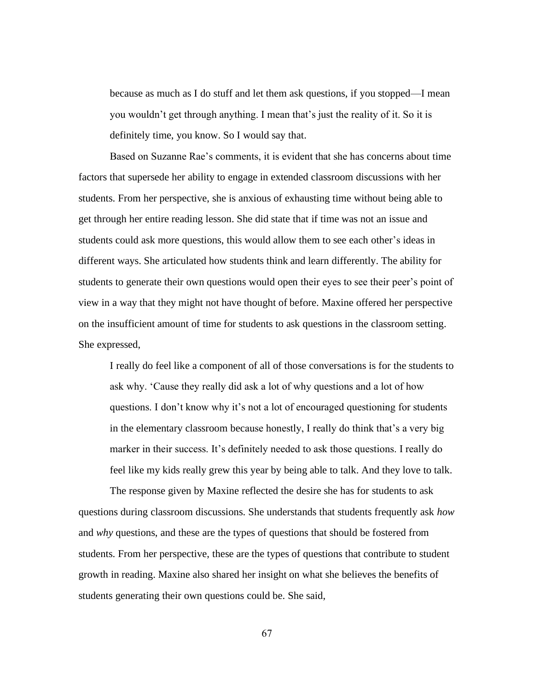because as much as I do stuff and let them ask questions, if you stopped—I mean you wouldn't get through anything. I mean that's just the reality of it. So it is definitely time, you know. So I would say that.

Based on Suzanne Rae's comments, it is evident that she has concerns about time factors that supersede her ability to engage in extended classroom discussions with her students. From her perspective, she is anxious of exhausting time without being able to get through her entire reading lesson. She did state that if time was not an issue and students could ask more questions, this would allow them to see each other's ideas in different ways. She articulated how students think and learn differently. The ability for students to generate their own questions would open their eyes to see their peer's point of view in a way that they might not have thought of before. Maxine offered her perspective on the insufficient amount of time for students to ask questions in the classroom setting. She expressed,

I really do feel like a component of all of those conversations is for the students to ask why. 'Cause they really did ask a lot of why questions and a lot of how questions. I don't know why it's not a lot of encouraged questioning for students in the elementary classroom because honestly, I really do think that's a very big marker in their success. It's definitely needed to ask those questions. I really do feel like my kids really grew this year by being able to talk. And they love to talk.

The response given by Maxine reflected the desire she has for students to ask questions during classroom discussions. She understands that students frequently ask *how* and *why* questions, and these are the types of questions that should be fostered from students. From her perspective, these are the types of questions that contribute to student growth in reading. Maxine also shared her insight on what she believes the benefits of students generating their own questions could be. She said,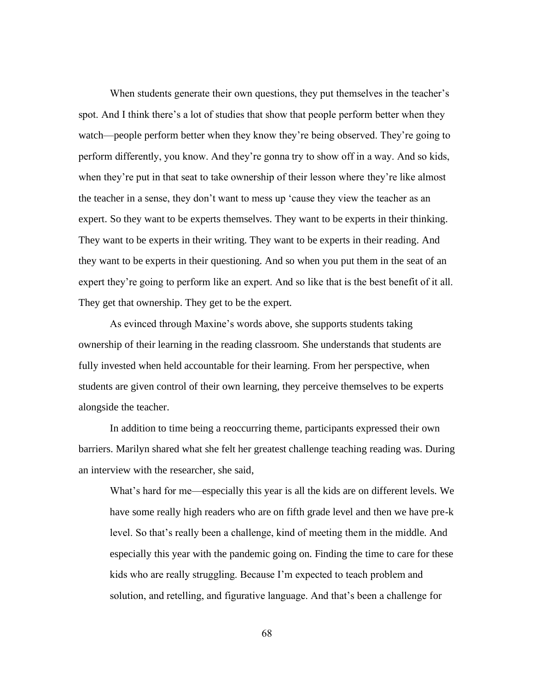When students generate their own questions, they put themselves in the teacher's spot. And I think there's a lot of studies that show that people perform better when they watch—people perform better when they know they're being observed. They're going to perform differently, you know. And they're gonna try to show off in a way. And so kids, when they're put in that seat to take ownership of their lesson where they're like almost the teacher in a sense, they don't want to mess up 'cause they view the teacher as an expert. So they want to be experts themselves. They want to be experts in their thinking. They want to be experts in their writing. They want to be experts in their reading. And they want to be experts in their questioning. And so when you put them in the seat of an expert they're going to perform like an expert. And so like that is the best benefit of it all. They get that ownership. They get to be the expert.

As evinced through Maxine's words above, she supports students taking ownership of their learning in the reading classroom. She understands that students are fully invested when held accountable for their learning. From her perspective, when students are given control of their own learning, they perceive themselves to be experts alongside the teacher.

In addition to time being a reoccurring theme, participants expressed their own barriers. Marilyn shared what she felt her greatest challenge teaching reading was. During an interview with the researcher, she said,

What's hard for me—especially this year is all the kids are on different levels. We have some really high readers who are on fifth grade level and then we have pre-k level. So that's really been a challenge, kind of meeting them in the middle. And especially this year with the pandemic going on. Finding the time to care for these kids who are really struggling. Because I'm expected to teach problem and solution, and retelling, and figurative language. And that's been a challenge for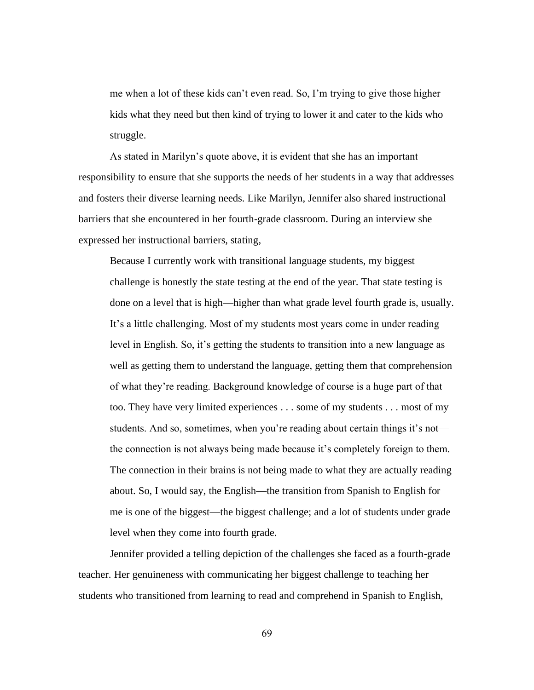me when a lot of these kids can't even read. So, I'm trying to give those higher kids what they need but then kind of trying to lower it and cater to the kids who struggle.

As stated in Marilyn's quote above, it is evident that she has an important responsibility to ensure that she supports the needs of her students in a way that addresses and fosters their diverse learning needs. Like Marilyn, Jennifer also shared instructional barriers that she encountered in her fourth-grade classroom. During an interview she expressed her instructional barriers, stating,

Because I currently work with transitional language students, my biggest challenge is honestly the state testing at the end of the year. That state testing is done on a level that is high—higher than what grade level fourth grade is, usually. It's a little challenging. Most of my students most years come in under reading level in English. So, it's getting the students to transition into a new language as well as getting them to understand the language, getting them that comprehension of what they're reading. Background knowledge of course is a huge part of that too. They have very limited experiences . . . some of my students . . . most of my students. And so, sometimes, when you're reading about certain things it's not the connection is not always being made because it's completely foreign to them. The connection in their brains is not being made to what they are actually reading about. So, I would say, the English—the transition from Spanish to English for me is one of the biggest—the biggest challenge; and a lot of students under grade level when they come into fourth grade.

Jennifer provided a telling depiction of the challenges she faced as a fourth-grade teacher. Her genuineness with communicating her biggest challenge to teaching her students who transitioned from learning to read and comprehend in Spanish to English,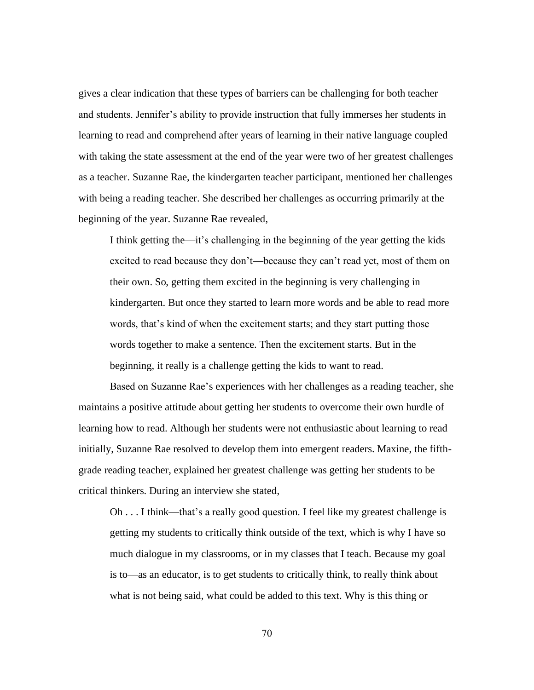gives a clear indication that these types of barriers can be challenging for both teacher and students. Jennifer's ability to provide instruction that fully immerses her students in learning to read and comprehend after years of learning in their native language coupled with taking the state assessment at the end of the year were two of her greatest challenges as a teacher. Suzanne Rae, the kindergarten teacher participant, mentioned her challenges with being a reading teacher. She described her challenges as occurring primarily at the beginning of the year. Suzanne Rae revealed,

I think getting the—it's challenging in the beginning of the year getting the kids excited to read because they don't—because they can't read yet, most of them on their own. So, getting them excited in the beginning is very challenging in kindergarten. But once they started to learn more words and be able to read more words, that's kind of when the excitement starts; and they start putting those words together to make a sentence. Then the excitement starts. But in the beginning, it really is a challenge getting the kids to want to read.

Based on Suzanne Rae's experiences with her challenges as a reading teacher, she maintains a positive attitude about getting her students to overcome their own hurdle of learning how to read. Although her students were not enthusiastic about learning to read initially, Suzanne Rae resolved to develop them into emergent readers. Maxine, the fifthgrade reading teacher, explained her greatest challenge was getting her students to be critical thinkers. During an interview she stated,

Oh . . . I think—that's a really good question. I feel like my greatest challenge is getting my students to critically think outside of the text, which is why I have so much dialogue in my classrooms, or in my classes that I teach. Because my goal is to—as an educator, is to get students to critically think, to really think about what is not being said, what could be added to this text. Why is this thing or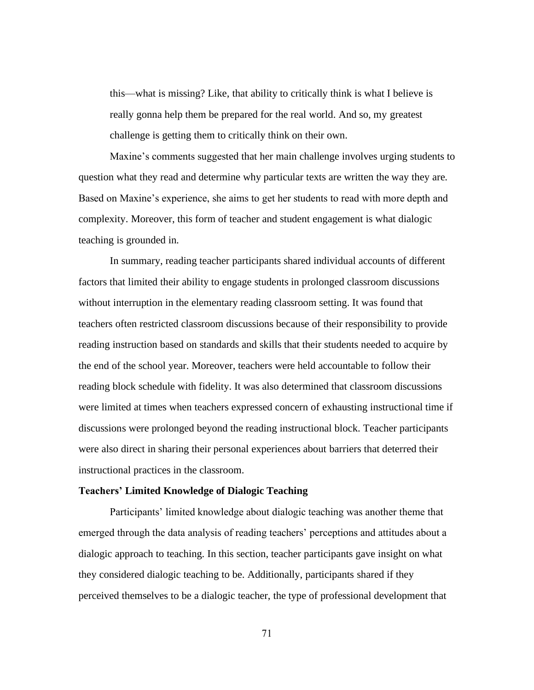this—what is missing? Like, that ability to critically think is what I believe is really gonna help them be prepared for the real world. And so, my greatest challenge is getting them to critically think on their own.

Maxine's comments suggested that her main challenge involves urging students to question what they read and determine why particular texts are written the way they are. Based on Maxine's experience, she aims to get her students to read with more depth and complexity. Moreover, this form of teacher and student engagement is what dialogic teaching is grounded in.

In summary, reading teacher participants shared individual accounts of different factors that limited their ability to engage students in prolonged classroom discussions without interruption in the elementary reading classroom setting. It was found that teachers often restricted classroom discussions because of their responsibility to provide reading instruction based on standards and skills that their students needed to acquire by the end of the school year. Moreover, teachers were held accountable to follow their reading block schedule with fidelity. It was also determined that classroom discussions were limited at times when teachers expressed concern of exhausting instructional time if discussions were prolonged beyond the reading instructional block. Teacher participants were also direct in sharing their personal experiences about barriers that deterred their instructional practices in the classroom.

# **Teachers' Limited Knowledge of Dialogic Teaching**

Participants' limited knowledge about dialogic teaching was another theme that emerged through the data analysis of reading teachers' perceptions and attitudes about a dialogic approach to teaching. In this section, teacher participants gave insight on what they considered dialogic teaching to be. Additionally, participants shared if they perceived themselves to be a dialogic teacher, the type of professional development that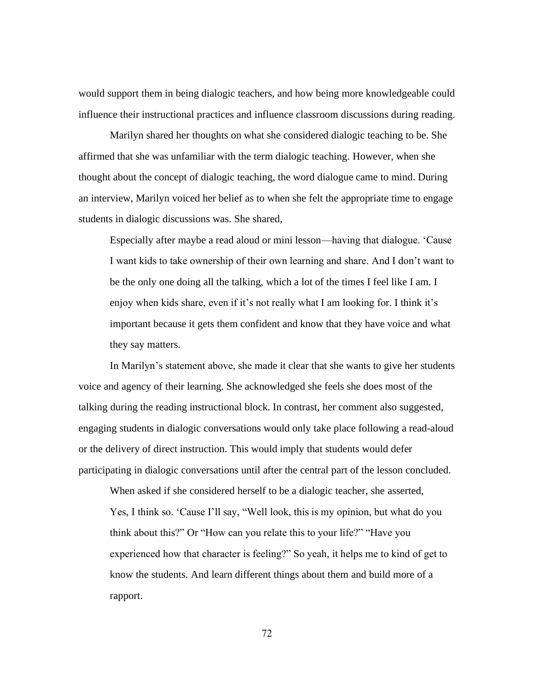would support them in being dialogic teachers, and how being more knowledgeable could influence their instructional practices and influence classroom discussions during reading.

Marilyn shared her thoughts on what she considered dialogic teaching to be. She affirmed that she was unfamiliar with the term dialogic teaching. However, when she thought about the concept of dialogic teaching, the word dialogue came to mind. During an interview, Marilyn voiced her belief as to when she felt the appropriate time to engage students in dialogic discussions was. She shared,

Especially after maybe a read aloud or mini lesson—having that dialogue. 'Cause I want kids to take ownership of their own learning and share. And I don't want to be the only one doing all the talking, which a lot of the times I feel like I am. I enjoy when kids share, even if it's not really what I am looking for. I think it's important because it gets them confident and know that they have voice and what they say matters.

In Marilyn's statement above, she made it clear that she wants to give her students voice and agency of their learning. She acknowledged she feels she does most of the talking during the reading instructional block. In contrast, her comment also suggested, engaging students in dialogic conversations would only take place following a read-aloud or the delivery of direct instruction. This would imply that students would defer participating in dialogic conversations until after the central part of the lesson concluded.

When asked if she considered herself to be a dialogic teacher, she asserted, Yes, I think so. 'Cause I'll say, "Well look, this is my opinion, but what do you think about this?" Or "How can you relate this to your life?" "Have you experienced how that character is feeling?" So yeah, it helps me to kind of get to know the students. And learn different things about them and build more of a rapport.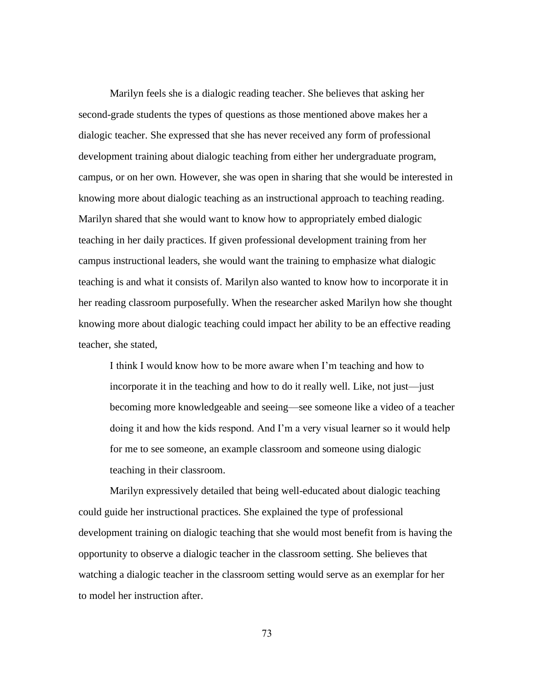Marilyn feels she is a dialogic reading teacher. She believes that asking her second-grade students the types of questions as those mentioned above makes her a dialogic teacher. She expressed that she has never received any form of professional development training about dialogic teaching from either her undergraduate program, campus, or on her own. However, she was open in sharing that she would be interested in knowing more about dialogic teaching as an instructional approach to teaching reading. Marilyn shared that she would want to know how to appropriately embed dialogic teaching in her daily practices. If given professional development training from her campus instructional leaders, she would want the training to emphasize what dialogic teaching is and what it consists of. Marilyn also wanted to know how to incorporate it in her reading classroom purposefully. When the researcher asked Marilyn how she thought knowing more about dialogic teaching could impact her ability to be an effective reading teacher, she stated,

I think I would know how to be more aware when I'm teaching and how to incorporate it in the teaching and how to do it really well. Like, not just—just becoming more knowledgeable and seeing—see someone like a video of a teacher doing it and how the kids respond. And I'm a very visual learner so it would help for me to see someone, an example classroom and someone using dialogic teaching in their classroom.

Marilyn expressively detailed that being well-educated about dialogic teaching could guide her instructional practices. She explained the type of professional development training on dialogic teaching that she would most benefit from is having the opportunity to observe a dialogic teacher in the classroom setting. She believes that watching a dialogic teacher in the classroom setting would serve as an exemplar for her to model her instruction after.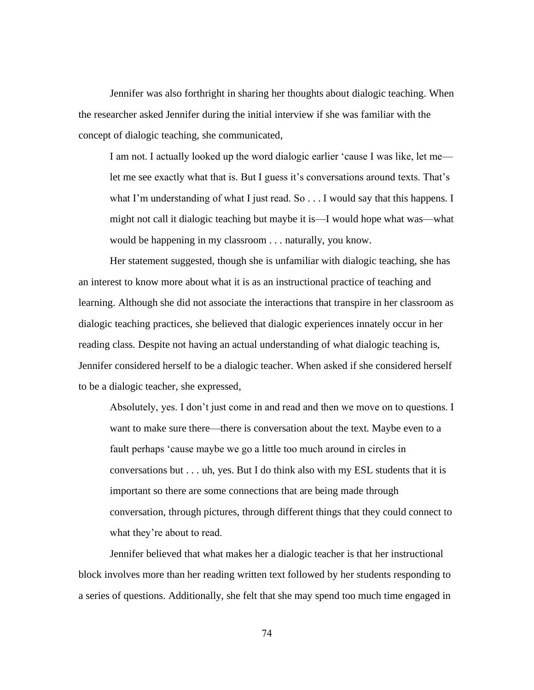Jennifer was also forthright in sharing her thoughts about dialogic teaching. When the researcher asked Jennifer during the initial interview if she was familiar with the concept of dialogic teaching, she communicated,

I am not. I actually looked up the word dialogic earlier 'cause I was like, let me let me see exactly what that is. But I guess it's conversations around texts. That's what I'm understanding of what I just read. So . . . I would say that this happens. I might not call it dialogic teaching but maybe it is—I would hope what was—what would be happening in my classroom . . . naturally, you know.

Her statement suggested, though she is unfamiliar with dialogic teaching, she has an interest to know more about what it is as an instructional practice of teaching and learning. Although she did not associate the interactions that transpire in her classroom as dialogic teaching practices, she believed that dialogic experiences innately occur in her reading class. Despite not having an actual understanding of what dialogic teaching is, Jennifer considered herself to be a dialogic teacher. When asked if she considered herself to be a dialogic teacher, she expressed,

Absolutely, yes. I don't just come in and read and then we move on to questions. I want to make sure there—there is conversation about the text. Maybe even to a fault perhaps 'cause maybe we go a little too much around in circles in conversations but . . . uh, yes. But I do think also with my ESL students that it is important so there are some connections that are being made through conversation, through pictures, through different things that they could connect to what they're about to read.

Jennifer believed that what makes her a dialogic teacher is that her instructional block involves more than her reading written text followed by her students responding to a series of questions. Additionally, she felt that she may spend too much time engaged in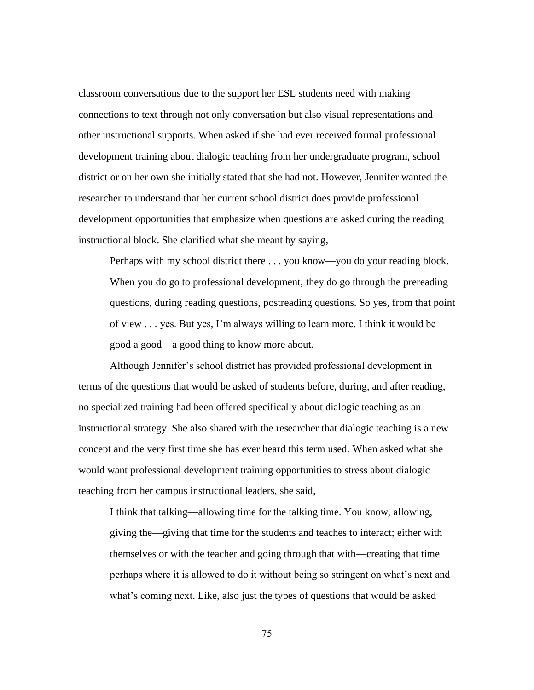classroom conversations due to the support her ESL students need with making connections to text through not only conversation but also visual representations and other instructional supports. When asked if she had ever received formal professional development training about dialogic teaching from her undergraduate program, school district or on her own she initially stated that she had not. However, Jennifer wanted the researcher to understand that her current school district does provide professional development opportunities that emphasize when questions are asked during the reading instructional block. She clarified what she meant by saying,

Perhaps with my school district there . . . you know—you do your reading block. When you do go to professional development, they do go through the prereading questions, during reading questions, postreading questions. So yes, from that point of view . . . yes. But yes, I'm always willing to learn more. I think it would be good a good—a good thing to know more about.

Although Jennifer's school district has provided professional development in terms of the questions that would be asked of students before, during, and after reading, no specialized training had been offered specifically about dialogic teaching as an instructional strategy. She also shared with the researcher that dialogic teaching is a new concept and the very first time she has ever heard this term used. When asked what she would want professional development training opportunities to stress about dialogic teaching from her campus instructional leaders, she said,

I think that talking—allowing time for the talking time. You know, allowing, giving the—giving that time for the students and teaches to interact; either with themselves or with the teacher and going through that with—creating that time perhaps where it is allowed to do it without being so stringent on what's next and what's coming next. Like, also just the types of questions that would be asked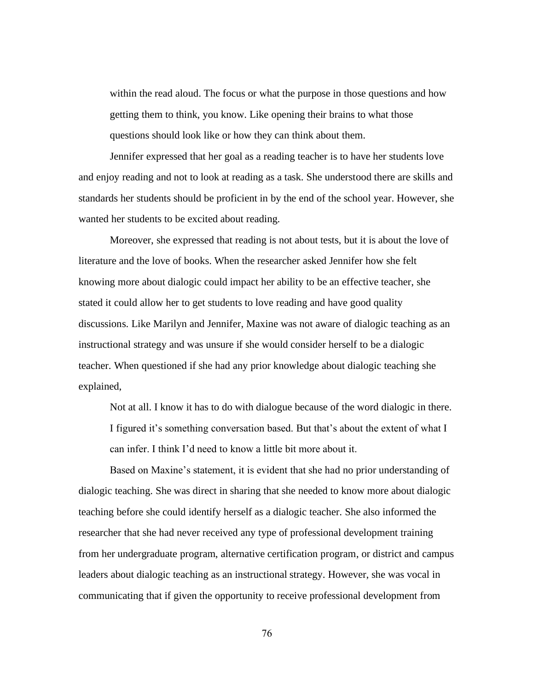within the read aloud. The focus or what the purpose in those questions and how getting them to think, you know. Like opening their brains to what those questions should look like or how they can think about them.

Jennifer expressed that her goal as a reading teacher is to have her students love and enjoy reading and not to look at reading as a task. She understood there are skills and standards her students should be proficient in by the end of the school year. However, she wanted her students to be excited about reading.

Moreover, she expressed that reading is not about tests, but it is about the love of literature and the love of books. When the researcher asked Jennifer how she felt knowing more about dialogic could impact her ability to be an effective teacher, she stated it could allow her to get students to love reading and have good quality discussions. Like Marilyn and Jennifer, Maxine was not aware of dialogic teaching as an instructional strategy and was unsure if she would consider herself to be a dialogic teacher. When questioned if she had any prior knowledge about dialogic teaching she explained,

Not at all. I know it has to do with dialogue because of the word dialogic in there. I figured it's something conversation based. But that's about the extent of what I can infer. I think I'd need to know a little bit more about it.

Based on Maxine's statement, it is evident that she had no prior understanding of dialogic teaching. She was direct in sharing that she needed to know more about dialogic teaching before she could identify herself as a dialogic teacher. She also informed the researcher that she had never received any type of professional development training from her undergraduate program, alternative certification program, or district and campus leaders about dialogic teaching as an instructional strategy. However, she was vocal in communicating that if given the opportunity to receive professional development from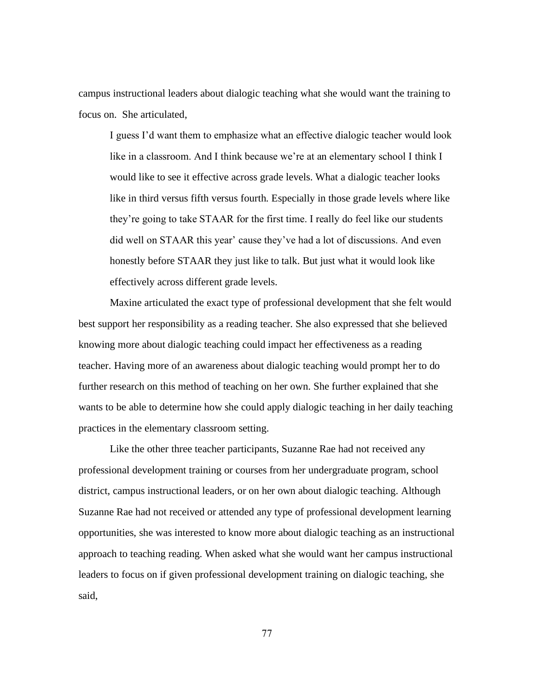campus instructional leaders about dialogic teaching what she would want the training to focus on. She articulated,

I guess I'd want them to emphasize what an effective dialogic teacher would look like in a classroom. And I think because we're at an elementary school I think I would like to see it effective across grade levels. What a dialogic teacher looks like in third versus fifth versus fourth. Especially in those grade levels where like they're going to take STAAR for the first time. I really do feel like our students did well on STAAR this year' cause they've had a lot of discussions. And even honestly before STAAR they just like to talk. But just what it would look like effectively across different grade levels.

Maxine articulated the exact type of professional development that she felt would best support her responsibility as a reading teacher. She also expressed that she believed knowing more about dialogic teaching could impact her effectiveness as a reading teacher. Having more of an awareness about dialogic teaching would prompt her to do further research on this method of teaching on her own. She further explained that she wants to be able to determine how she could apply dialogic teaching in her daily teaching practices in the elementary classroom setting.

Like the other three teacher participants, Suzanne Rae had not received any professional development training or courses from her undergraduate program, school district, campus instructional leaders, or on her own about dialogic teaching. Although Suzanne Rae had not received or attended any type of professional development learning opportunities, she was interested to know more about dialogic teaching as an instructional approach to teaching reading. When asked what she would want her campus instructional leaders to focus on if given professional development training on dialogic teaching, she said,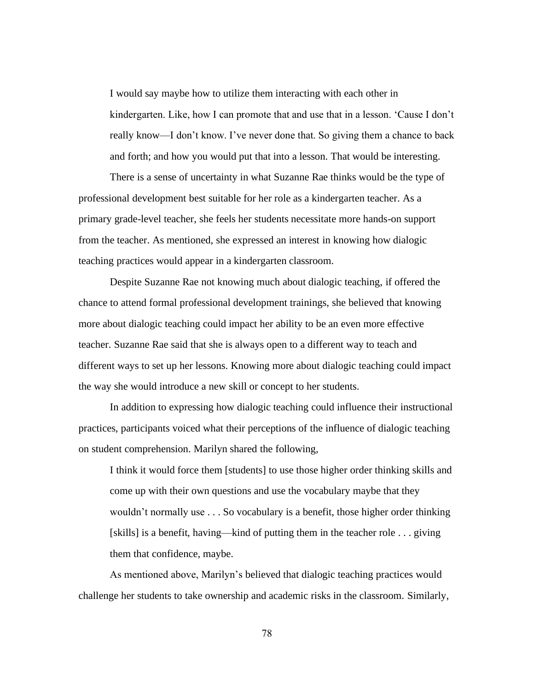I would say maybe how to utilize them interacting with each other in kindergarten. Like, how I can promote that and use that in a lesson. 'Cause I don't really know—I don't know. I've never done that. So giving them a chance to back and forth; and how you would put that into a lesson. That would be interesting.

There is a sense of uncertainty in what Suzanne Rae thinks would be the type of professional development best suitable for her role as a kindergarten teacher. As a primary grade-level teacher, she feels her students necessitate more hands-on support from the teacher. As mentioned, she expressed an interest in knowing how dialogic teaching practices would appear in a kindergarten classroom.

Despite Suzanne Rae not knowing much about dialogic teaching, if offered the chance to attend formal professional development trainings, she believed that knowing more about dialogic teaching could impact her ability to be an even more effective teacher. Suzanne Rae said that she is always open to a different way to teach and different ways to set up her lessons. Knowing more about dialogic teaching could impact the way she would introduce a new skill or concept to her students.

In addition to expressing how dialogic teaching could influence their instructional practices, participants voiced what their perceptions of the influence of dialogic teaching on student comprehension. Marilyn shared the following,

I think it would force them [students] to use those higher order thinking skills and come up with their own questions and use the vocabulary maybe that they wouldn't normally use . . . So vocabulary is a benefit, those higher order thinking [skills] is a benefit, having—kind of putting them in the teacher role . . . giving them that confidence, maybe.

As mentioned above, Marilyn's believed that dialogic teaching practices would challenge her students to take ownership and academic risks in the classroom. Similarly,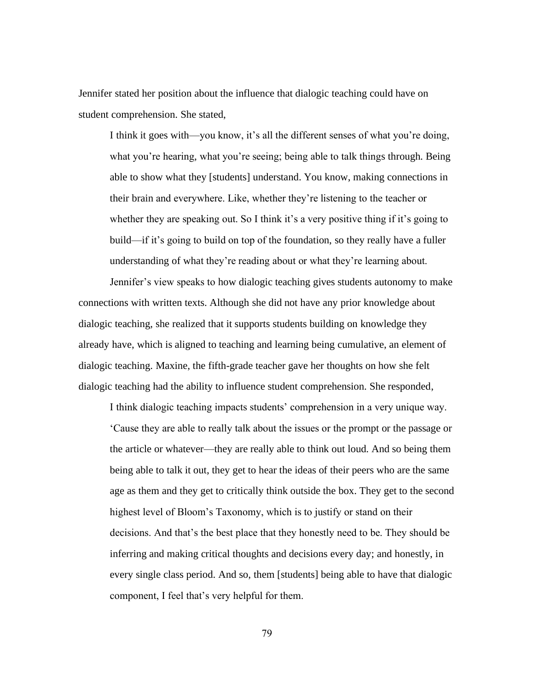Jennifer stated her position about the influence that dialogic teaching could have on student comprehension. She stated,

I think it goes with—you know, it's all the different senses of what you're doing, what you're hearing, what you're seeing; being able to talk things through. Being able to show what they [students] understand. You know, making connections in their brain and everywhere. Like, whether they're listening to the teacher or whether they are speaking out. So I think it's a very positive thing if it's going to build—if it's going to build on top of the foundation, so they really have a fuller understanding of what they're reading about or what they're learning about.

Jennifer's view speaks to how dialogic teaching gives students autonomy to make connections with written texts. Although she did not have any prior knowledge about dialogic teaching, she realized that it supports students building on knowledge they already have, which is aligned to teaching and learning being cumulative, an element of dialogic teaching. Maxine, the fifth-grade teacher gave her thoughts on how she felt dialogic teaching had the ability to influence student comprehension. She responded,

I think dialogic teaching impacts students' comprehension in a very unique way. 'Cause they are able to really talk about the issues or the prompt or the passage or the article or whatever—they are really able to think out loud. And so being them being able to talk it out, they get to hear the ideas of their peers who are the same age as them and they get to critically think outside the box. They get to the second highest level of Bloom's Taxonomy, which is to justify or stand on their decisions. And that's the best place that they honestly need to be. They should be inferring and making critical thoughts and decisions every day; and honestly, in every single class period. And so, them [students] being able to have that dialogic component, I feel that's very helpful for them.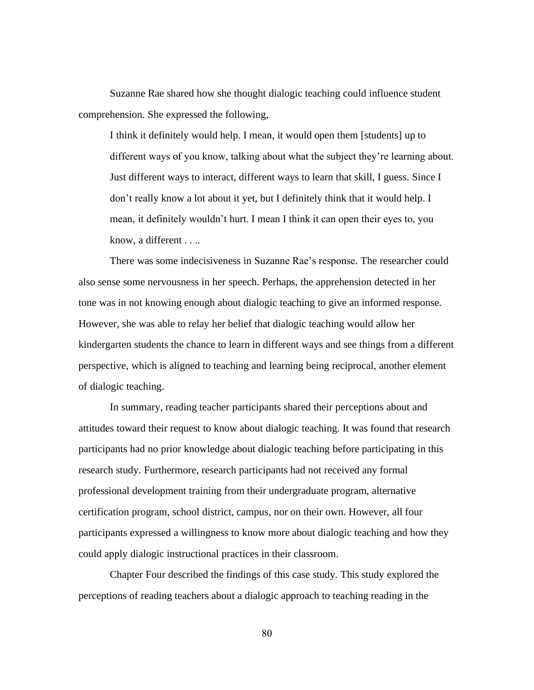Suzanne Rae shared how she thought dialogic teaching could influence student comprehension. She expressed the following,

I think it definitely would help. I mean, it would open them [students] up to different ways of you know, talking about what the subject they're learning about. Just different ways to interact, different ways to learn that skill, I guess. Since I don't really know a lot about it yet, but I definitely think that it would help. I mean, it definitely wouldn't hurt. I mean I think it can open their eyes to, you know, a different . . ..

There was some indecisiveness in Suzanne Rae's response. The researcher could also sense some nervousness in her speech. Perhaps, the apprehension detected in her tone was in not knowing enough about dialogic teaching to give an informed response. However, she was able to relay her belief that dialogic teaching would allow her kindergarten students the chance to learn in different ways and see things from a different perspective, which is aligned to teaching and learning being reciprocal, another element of dialogic teaching.

In summary, reading teacher participants shared their perceptions about and attitudes toward their request to know about dialogic teaching. It was found that research participants had no prior knowledge about dialogic teaching before participating in this research study. Furthermore, research participants had not received any formal professional development training from their undergraduate program, alternative certification program, school district, campus, nor on their own. However, all four participants expressed a willingness to know more about dialogic teaching and how they could apply dialogic instructional practices in their classroom.

Chapter Four described the findings of this case study. This study explored the perceptions of reading teachers about a dialogic approach to teaching reading in the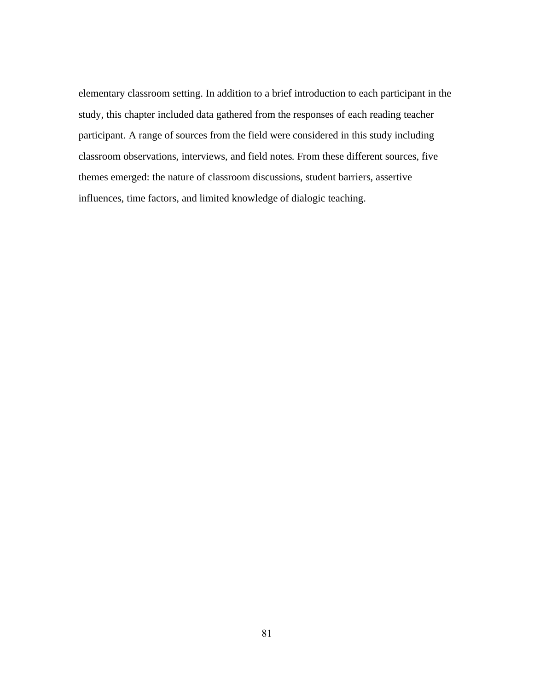elementary classroom setting. In addition to a brief introduction to each participant in the study, this chapter included data gathered from the responses of each reading teacher participant. A range of sources from the field were considered in this study including classroom observations, interviews, and field notes. From these different sources, five themes emerged: the nature of classroom discussions, student barriers, assertive influences, time factors, and limited knowledge of dialogic teaching.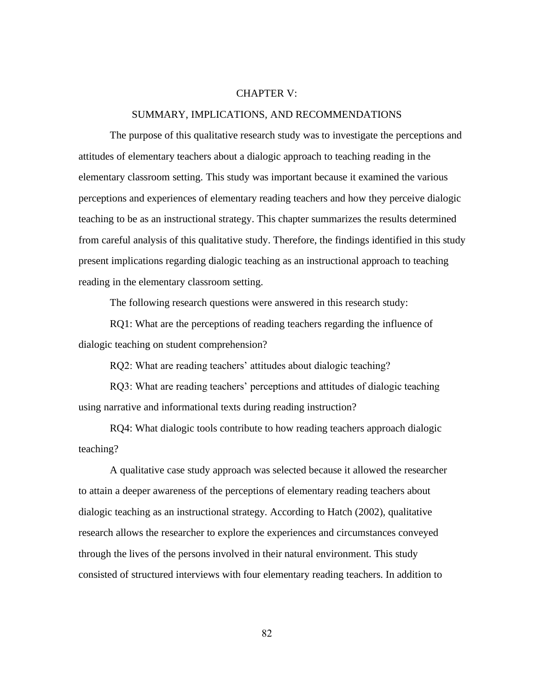# CHAPTER V:

# SUMMARY, IMPLICATIONS, AND RECOMMENDATIONS

The purpose of this qualitative research study was to investigate the perceptions and attitudes of elementary teachers about a dialogic approach to teaching reading in the elementary classroom setting. This study was important because it examined the various perceptions and experiences of elementary reading teachers and how they perceive dialogic teaching to be as an instructional strategy. This chapter summarizes the results determined from careful analysis of this qualitative study. Therefore, the findings identified in this study present implications regarding dialogic teaching as an instructional approach to teaching reading in the elementary classroom setting.

The following research questions were answered in this research study:

RQ1: What are the perceptions of reading teachers regarding the influence of dialogic teaching on student comprehension?

RQ2: What are reading teachers' attitudes about dialogic teaching?

RQ3: What are reading teachers' perceptions and attitudes of dialogic teaching using narrative and informational texts during reading instruction?

RQ4: What dialogic tools contribute to how reading teachers approach dialogic teaching?

A qualitative case study approach was selected because it allowed the researcher to attain a deeper awareness of the perceptions of elementary reading teachers about dialogic teaching as an instructional strategy. According to Hatch (2002), qualitative research allows the researcher to explore the experiences and circumstances conveyed through the lives of the persons involved in their natural environment. This study consisted of structured interviews with four elementary reading teachers. In addition to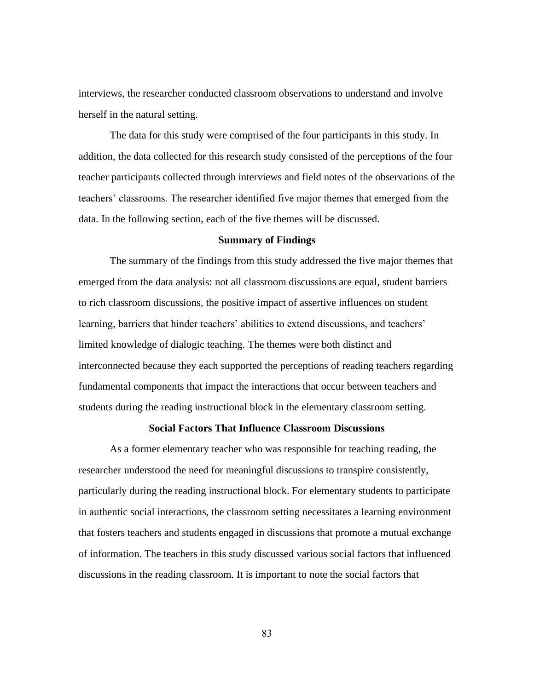interviews, the researcher conducted classroom observations to understand and involve herself in the natural setting.

The data for this study were comprised of the four participants in this study. In addition, the data collected for this research study consisted of the perceptions of the four teacher participants collected through interviews and field notes of the observations of the teachers' classrooms. The researcher identified five major themes that emerged from the data. In the following section, each of the five themes will be discussed.

### **Summary of Findings**

The summary of the findings from this study addressed the five major themes that emerged from the data analysis: not all classroom discussions are equal, student barriers to rich classroom discussions, the positive impact of assertive influences on student learning, barriers that hinder teachers' abilities to extend discussions, and teachers' limited knowledge of dialogic teaching. The themes were both distinct and interconnected because they each supported the perceptions of reading teachers regarding fundamental components that impact the interactions that occur between teachers and students during the reading instructional block in the elementary classroom setting.

### **Social Factors That Influence Classroom Discussions**

As a former elementary teacher who was responsible for teaching reading, the researcher understood the need for meaningful discussions to transpire consistently, particularly during the reading instructional block. For elementary students to participate in authentic social interactions, the classroom setting necessitates a learning environment that fosters teachers and students engaged in discussions that promote a mutual exchange of information. The teachers in this study discussed various social factors that influenced discussions in the reading classroom. It is important to note the social factors that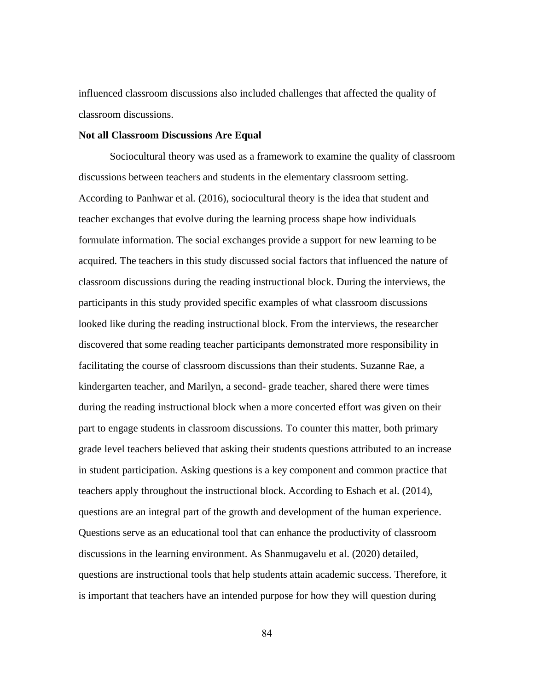influenced classroom discussions also included challenges that affected the quality of classroom discussions.

# **Not all Classroom Discussions Are Equal**

Sociocultural theory was used as a framework to examine the quality of classroom discussions between teachers and students in the elementary classroom setting. According to Panhwar et al. (2016), sociocultural theory is the idea that student and teacher exchanges that evolve during the learning process shape how individuals formulate information. The social exchanges provide a support for new learning to be acquired. The teachers in this study discussed social factors that influenced the nature of classroom discussions during the reading instructional block. During the interviews, the participants in this study provided specific examples of what classroom discussions looked like during the reading instructional block. From the interviews, the researcher discovered that some reading teacher participants demonstrated more responsibility in facilitating the course of classroom discussions than their students. Suzanne Rae, a kindergarten teacher, and Marilyn, a second- grade teacher, shared there were times during the reading instructional block when a more concerted effort was given on their part to engage students in classroom discussions. To counter this matter, both primary grade level teachers believed that asking their students questions attributed to an increase in student participation. Asking questions is a key component and common practice that teachers apply throughout the instructional block. According to Eshach et al. (2014), questions are an integral part of the growth and development of the human experience. Questions serve as an educational tool that can enhance the productivity of classroom discussions in the learning environment. As Shanmugavelu et al. (2020) detailed, questions are instructional tools that help students attain academic success. Therefore, it is important that teachers have an intended purpose for how they will question during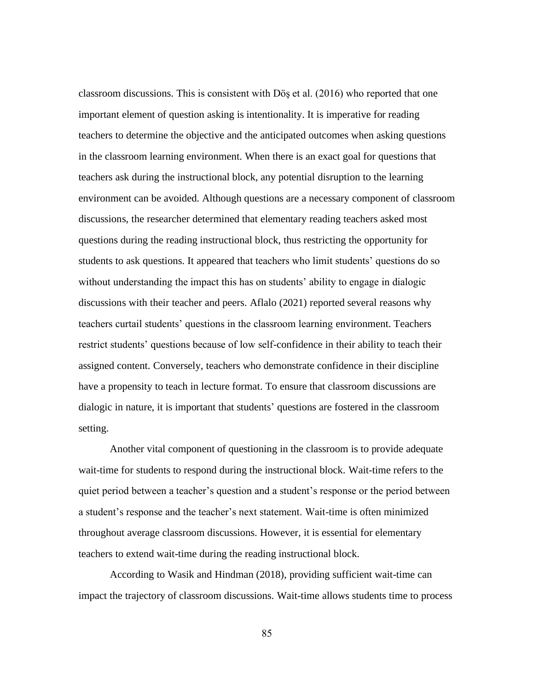classroom discussions. This is consistent with Döş et al. (2016) who reported that one important element of question asking is intentionality. It is imperative for reading teachers to determine the objective and the anticipated outcomes when asking questions in the classroom learning environment. When there is an exact goal for questions that teachers ask during the instructional block, any potential disruption to the learning environment can be avoided. Although questions are a necessary component of classroom discussions, the researcher determined that elementary reading teachers asked most questions during the reading instructional block, thus restricting the opportunity for students to ask questions. It appeared that teachers who limit students' questions do so without understanding the impact this has on students' ability to engage in dialogic discussions with their teacher and peers. Aflalo (2021) reported several reasons why teachers curtail students' questions in the classroom learning environment. Teachers restrict students' questions because of low self-confidence in their ability to teach their assigned content. Conversely, teachers who demonstrate confidence in their discipline have a propensity to teach in lecture format. To ensure that classroom discussions are dialogic in nature, it is important that students' questions are fostered in the classroom setting.

Another vital component of questioning in the classroom is to provide adequate wait-time for students to respond during the instructional block. Wait-time refers to the quiet period between a teacher's question and a student's response or the period between a student's response and the teacher's next statement. Wait-time is often minimized throughout average classroom discussions. However, it is essential for elementary teachers to extend wait-time during the reading instructional block.

According to Wasik and Hindman (2018), providing sufficient wait-time can impact the trajectory of classroom discussions. Wait-time allows students time to process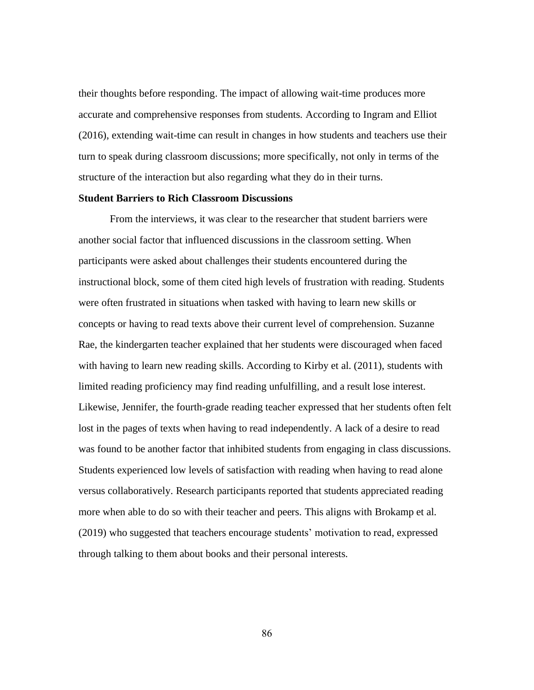their thoughts before responding. The impact of allowing wait-time produces more accurate and comprehensive responses from students. According to Ingram and Elliot (2016), extending wait-time can result in changes in how students and teachers use their turn to speak during classroom discussions; more specifically, not only in terms of the structure of the interaction but also regarding what they do in their turns.

# **Student Barriers to Rich Classroom Discussions**

From the interviews, it was clear to the researcher that student barriers were another social factor that influenced discussions in the classroom setting. When participants were asked about challenges their students encountered during the instructional block, some of them cited high levels of frustration with reading. Students were often frustrated in situations when tasked with having to learn new skills or concepts or having to read texts above their current level of comprehension. Suzanne Rae, the kindergarten teacher explained that her students were discouraged when faced with having to learn new reading skills. According to Kirby et al. (2011), students with limited reading proficiency may find reading unfulfilling, and a result lose interest. Likewise, Jennifer, the fourth-grade reading teacher expressed that her students often felt lost in the pages of texts when having to read independently. A lack of a desire to read was found to be another factor that inhibited students from engaging in class discussions. Students experienced low levels of satisfaction with reading when having to read alone versus collaboratively. Research participants reported that students appreciated reading more when able to do so with their teacher and peers. This aligns with Brokamp et al. (2019) who suggested that teachers encourage students' motivation to read, expressed through talking to them about books and their personal interests.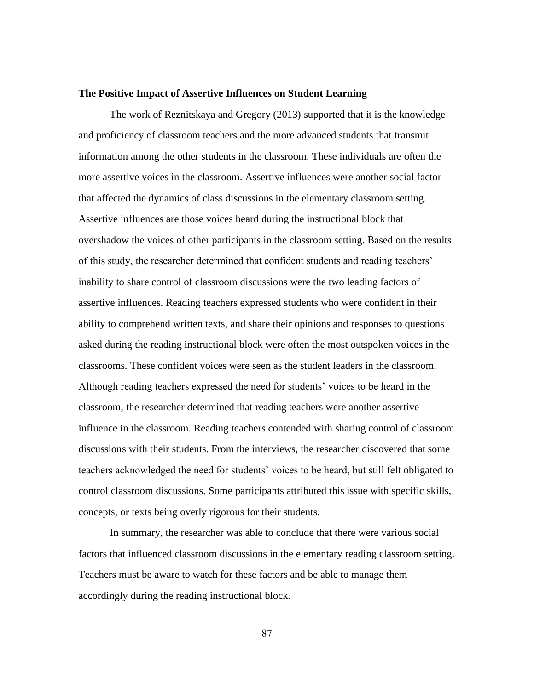#### **The Positive Impact of Assertive Influences on Student Learning**

The work of Reznitskaya and Gregory (2013) supported that it is the knowledge and proficiency of classroom teachers and the more advanced students that transmit information among the other students in the classroom. These individuals are often the more assertive voices in the classroom. Assertive influences were another social factor that affected the dynamics of class discussions in the elementary classroom setting. Assertive influences are those voices heard during the instructional block that overshadow the voices of other participants in the classroom setting. Based on the results of this study, the researcher determined that confident students and reading teachers' inability to share control of classroom discussions were the two leading factors of assertive influences. Reading teachers expressed students who were confident in their ability to comprehend written texts, and share their opinions and responses to questions asked during the reading instructional block were often the most outspoken voices in the classrooms. These confident voices were seen as the student leaders in the classroom. Although reading teachers expressed the need for students' voices to be heard in the classroom, the researcher determined that reading teachers were another assertive influence in the classroom. Reading teachers contended with sharing control of classroom discussions with their students. From the interviews, the researcher discovered that some teachers acknowledged the need for students' voices to be heard, but still felt obligated to control classroom discussions. Some participants attributed this issue with specific skills, concepts, or texts being overly rigorous for their students.

In summary, the researcher was able to conclude that there were various social factors that influenced classroom discussions in the elementary reading classroom setting. Teachers must be aware to watch for these factors and be able to manage them accordingly during the reading instructional block.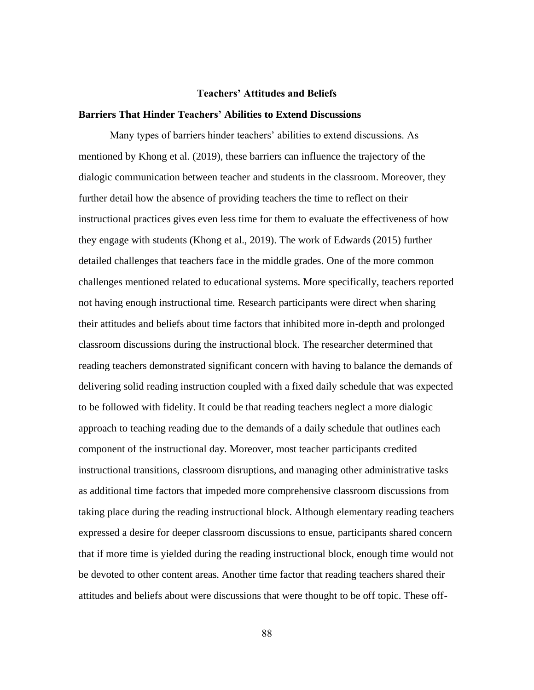#### **Teachers' Attitudes and Beliefs**

# **Barriers That Hinder Teachers' Abilities to Extend Discussions**

Many types of barriers hinder teachers' abilities to extend discussions. As mentioned by Khong et al. (2019), these barriers can influence the trajectory of the dialogic communication between teacher and students in the classroom. Moreover, they further detail how the absence of providing teachers the time to reflect on their instructional practices gives even less time for them to evaluate the effectiveness of how they engage with students (Khong et al., 2019). The work of Edwards (2015) further detailed challenges that teachers face in the middle grades. One of the more common challenges mentioned related to educational systems. More specifically, teachers reported not having enough instructional time. Research participants were direct when sharing their attitudes and beliefs about time factors that inhibited more in-depth and prolonged classroom discussions during the instructional block. The researcher determined that reading teachers demonstrated significant concern with having to balance the demands of delivering solid reading instruction coupled with a fixed daily schedule that was expected to be followed with fidelity. It could be that reading teachers neglect a more dialogic approach to teaching reading due to the demands of a daily schedule that outlines each component of the instructional day. Moreover, most teacher participants credited instructional transitions, classroom disruptions, and managing other administrative tasks as additional time factors that impeded more comprehensive classroom discussions from taking place during the reading instructional block. Although elementary reading teachers expressed a desire for deeper classroom discussions to ensue, participants shared concern that if more time is yielded during the reading instructional block, enough time would not be devoted to other content areas. Another time factor that reading teachers shared their attitudes and beliefs about were discussions that were thought to be off topic. These off-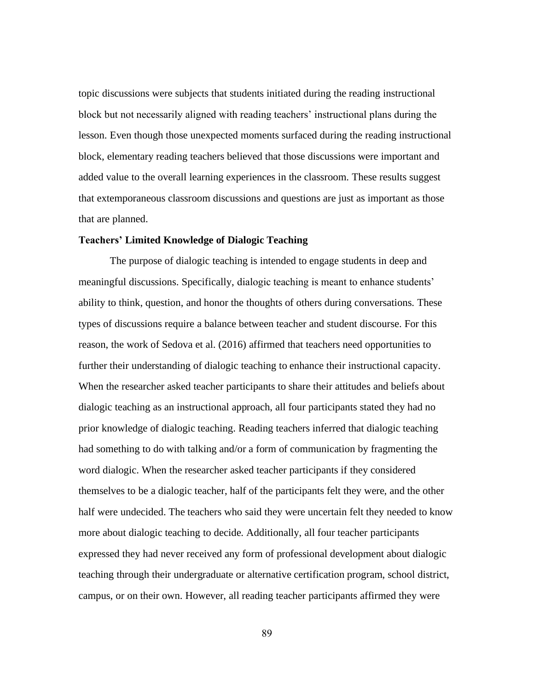topic discussions were subjects that students initiated during the reading instructional block but not necessarily aligned with reading teachers' instructional plans during the lesson. Even though those unexpected moments surfaced during the reading instructional block, elementary reading teachers believed that those discussions were important and added value to the overall learning experiences in the classroom. These results suggest that extemporaneous classroom discussions and questions are just as important as those that are planned.

# **Teachers' Limited Knowledge of Dialogic Teaching**

The purpose of dialogic teaching is intended to engage students in deep and meaningful discussions. Specifically, dialogic teaching is meant to enhance students' ability to think, question, and honor the thoughts of others during conversations. These types of discussions require a balance between teacher and student discourse. For this reason, the work of Sedova et al. (2016) affirmed that teachers need opportunities to further their understanding of dialogic teaching to enhance their instructional capacity. When the researcher asked teacher participants to share their attitudes and beliefs about dialogic teaching as an instructional approach, all four participants stated they had no prior knowledge of dialogic teaching. Reading teachers inferred that dialogic teaching had something to do with talking and/or a form of communication by fragmenting the word dialogic. When the researcher asked teacher participants if they considered themselves to be a dialogic teacher, half of the participants felt they were, and the other half were undecided. The teachers who said they were uncertain felt they needed to know more about dialogic teaching to decide. Additionally, all four teacher participants expressed they had never received any form of professional development about dialogic teaching through their undergraduate or alternative certification program, school district, campus, or on their own. However, all reading teacher participants affirmed they were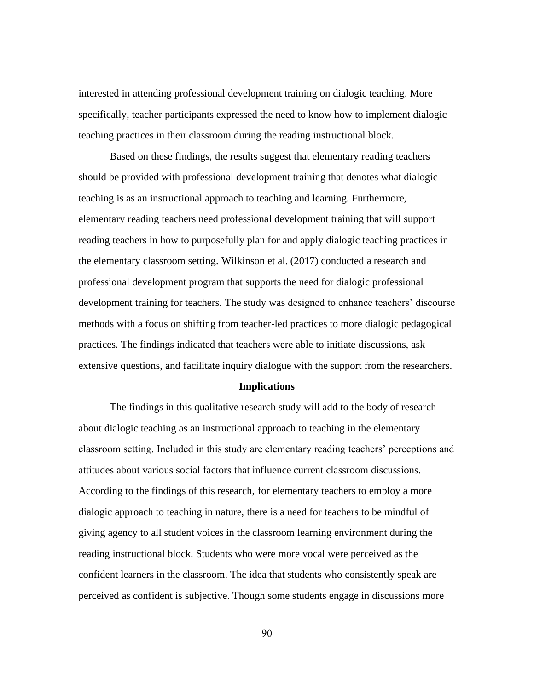interested in attending professional development training on dialogic teaching. More specifically, teacher participants expressed the need to know how to implement dialogic teaching practices in their classroom during the reading instructional block.

Based on these findings, the results suggest that elementary reading teachers should be provided with professional development training that denotes what dialogic teaching is as an instructional approach to teaching and learning. Furthermore, elementary reading teachers need professional development training that will support reading teachers in how to purposefully plan for and apply dialogic teaching practices in the elementary classroom setting. Wilkinson et al. (2017) conducted a research and professional development program that supports the need for dialogic professional development training for teachers. The study was designed to enhance teachers' discourse methods with a focus on shifting from teacher-led practices to more dialogic pedagogical practices. The findings indicated that teachers were able to initiate discussions, ask extensive questions, and facilitate inquiry dialogue with the support from the researchers.

#### **Implications**

The findings in this qualitative research study will add to the body of research about dialogic teaching as an instructional approach to teaching in the elementary classroom setting. Included in this study are elementary reading teachers' perceptions and attitudes about various social factors that influence current classroom discussions. According to the findings of this research, for elementary teachers to employ a more dialogic approach to teaching in nature, there is a need for teachers to be mindful of giving agency to all student voices in the classroom learning environment during the reading instructional block. Students who were more vocal were perceived as the confident learners in the classroom. The idea that students who consistently speak are perceived as confident is subjective. Though some students engage in discussions more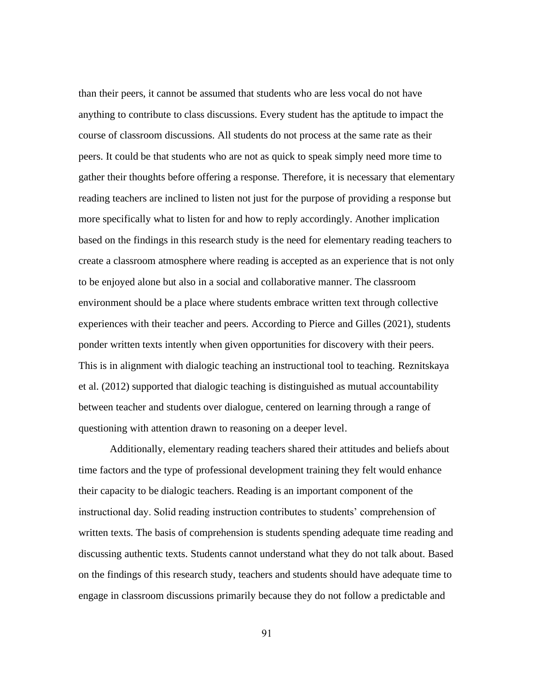than their peers, it cannot be assumed that students who are less vocal do not have anything to contribute to class discussions. Every student has the aptitude to impact the course of classroom discussions. All students do not process at the same rate as their peers. It could be that students who are not as quick to speak simply need more time to gather their thoughts before offering a response. Therefore, it is necessary that elementary reading teachers are inclined to listen not just for the purpose of providing a response but more specifically what to listen for and how to reply accordingly. Another implication based on the findings in this research study is the need for elementary reading teachers to create a classroom atmosphere where reading is accepted as an experience that is not only to be enjoyed alone but also in a social and collaborative manner. The classroom environment should be a place where students embrace written text through collective experiences with their teacher and peers. According to Pierce and Gilles (2021), students ponder written texts intently when given opportunities for discovery with their peers. This is in alignment with dialogic teaching an instructional tool to teaching. Reznitskaya et al. (2012) supported that dialogic teaching is distinguished as mutual accountability between teacher and students over dialogue, centered on learning through a range of questioning with attention drawn to reasoning on a deeper level.

Additionally, elementary reading teachers shared their attitudes and beliefs about time factors and the type of professional development training they felt would enhance their capacity to be dialogic teachers. Reading is an important component of the instructional day. Solid reading instruction contributes to students' comprehension of written texts. The basis of comprehension is students spending adequate time reading and discussing authentic texts. Students cannot understand what they do not talk about. Based on the findings of this research study, teachers and students should have adequate time to engage in classroom discussions primarily because they do not follow a predictable and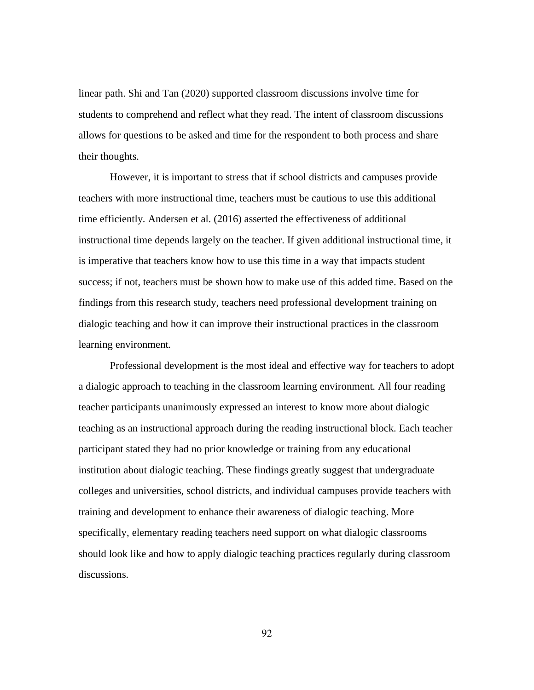linear path. Shi and Tan (2020) supported classroom discussions involve time for students to comprehend and reflect what they read. The intent of classroom discussions allows for questions to be asked and time for the respondent to both process and share their thoughts.

However, it is important to stress that if school districts and campuses provide teachers with more instructional time, teachers must be cautious to use this additional time efficiently. Andersen et al. (2016) asserted the effectiveness of additional instructional time depends largely on the teacher. If given additional instructional time, it is imperative that teachers know how to use this time in a way that impacts student success; if not, teachers must be shown how to make use of this added time. Based on the findings from this research study, teachers need professional development training on dialogic teaching and how it can improve their instructional practices in the classroom learning environment.

Professional development is the most ideal and effective way for teachers to adopt a dialogic approach to teaching in the classroom learning environment. All four reading teacher participants unanimously expressed an interest to know more about dialogic teaching as an instructional approach during the reading instructional block. Each teacher participant stated they had no prior knowledge or training from any educational institution about dialogic teaching. These findings greatly suggest that undergraduate colleges and universities, school districts, and individual campuses provide teachers with training and development to enhance their awareness of dialogic teaching. More specifically, elementary reading teachers need support on what dialogic classrooms should look like and how to apply dialogic teaching practices regularly during classroom discussions.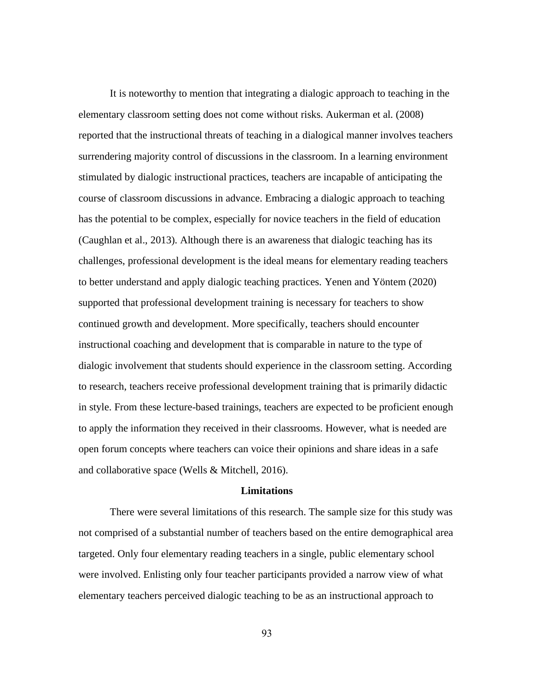It is noteworthy to mention that integrating a dialogic approach to teaching in the elementary classroom setting does not come without risks. Aukerman et al. (2008) reported that the instructional threats of teaching in a dialogical manner involves teachers surrendering majority control of discussions in the classroom. In a learning environment stimulated by dialogic instructional practices, teachers are incapable of anticipating the course of classroom discussions in advance. Embracing a dialogic approach to teaching has the potential to be complex, especially for novice teachers in the field of education (Caughlan et al., 2013). Although there is an awareness that dialogic teaching has its challenges, professional development is the ideal means for elementary reading teachers to better understand and apply dialogic teaching practices. Yenen and Yöntem (2020) supported that professional development training is necessary for teachers to show continued growth and development. More specifically, teachers should encounter instructional coaching and development that is comparable in nature to the type of dialogic involvement that students should experience in the classroom setting. According to research, teachers receive professional development training that is primarily didactic in style. From these lecture-based trainings, teachers are expected to be proficient enough to apply the information they received in their classrooms. However, what is needed are open forum concepts where teachers can voice their opinions and share ideas in a safe and collaborative space (Wells & Mitchell, 2016).

# **Limitations**

There were several limitations of this research. The sample size for this study was not comprised of a substantial number of teachers based on the entire demographical area targeted. Only four elementary reading teachers in a single, public elementary school were involved. Enlisting only four teacher participants provided a narrow view of what elementary teachers perceived dialogic teaching to be as an instructional approach to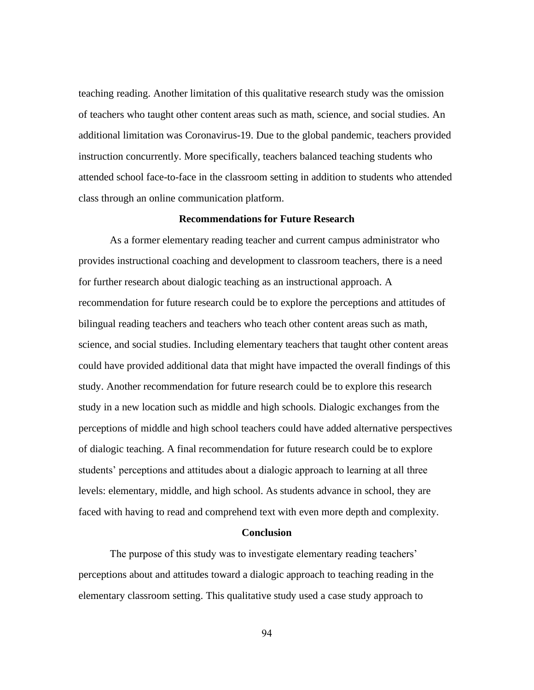teaching reading. Another limitation of this qualitative research study was the omission of teachers who taught other content areas such as math, science, and social studies. An additional limitation was Coronavirus-19. Due to the global pandemic, teachers provided instruction concurrently. More specifically, teachers balanced teaching students who attended school face-to-face in the classroom setting in addition to students who attended class through an online communication platform.

#### **Recommendations for Future Research**

As a former elementary reading teacher and current campus administrator who provides instructional coaching and development to classroom teachers, there is a need for further research about dialogic teaching as an instructional approach. A recommendation for future research could be to explore the perceptions and attitudes of bilingual reading teachers and teachers who teach other content areas such as math, science, and social studies. Including elementary teachers that taught other content areas could have provided additional data that might have impacted the overall findings of this study. Another recommendation for future research could be to explore this research study in a new location such as middle and high schools. Dialogic exchanges from the perceptions of middle and high school teachers could have added alternative perspectives of dialogic teaching. A final recommendation for future research could be to explore students' perceptions and attitudes about a dialogic approach to learning at all three levels: elementary, middle, and high school. As students advance in school, they are faced with having to read and comprehend text with even more depth and complexity.

#### **Conclusion**

The purpose of this study was to investigate elementary reading teachers' perceptions about and attitudes toward a dialogic approach to teaching reading in the elementary classroom setting. This qualitative study used a case study approach to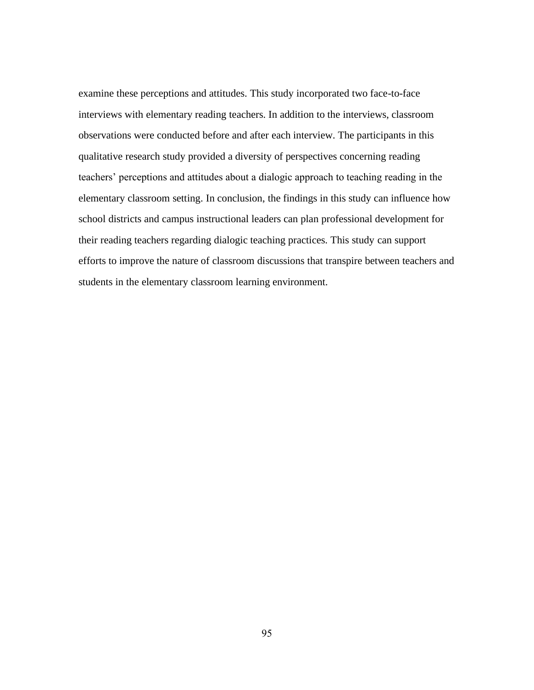examine these perceptions and attitudes. This study incorporated two face-to-face interviews with elementary reading teachers. In addition to the interviews, classroom observations were conducted before and after each interview. The participants in this qualitative research study provided a diversity of perspectives concerning reading teachers' perceptions and attitudes about a dialogic approach to teaching reading in the elementary classroom setting. In conclusion, the findings in this study can influence how school districts and campus instructional leaders can plan professional development for their reading teachers regarding dialogic teaching practices. This study can support efforts to improve the nature of classroom discussions that transpire between teachers and students in the elementary classroom learning environment.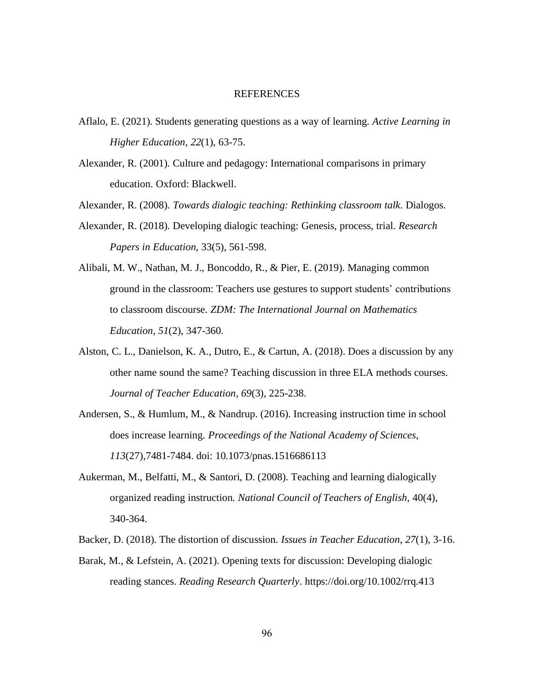# REFERENCES

- Aflalo, E. (2021). Students generating questions as a way of learning. *Active Learning in Higher Education, 22*(1), 63-75.
- Alexander, R. (2001). Culture and pedagogy: International comparisons in primary education. Oxford: Blackwell.

Alexander, R. (2008). *Towards dialogic teaching: Rethinking classroom talk*. Dialogos.

- Alexander, R. (2018). Developing dialogic teaching: Genesis, process, trial. *Research Papers in Education*, 33(5), 561-598.
- Alibali, M. W., Nathan, M. J., Boncoddo, R., & Pier, E. (2019). Managing common ground in the classroom: Teachers use gestures to support students' contributions to classroom discourse. *ZDM: The International Journal on Mathematics Education*, *51*(2), 347-360.
- Alston, C. L., Danielson, K. A., Dutro, E., & Cartun, A. (2018). Does a discussion by any other name sound the same? Teaching discussion in three ELA methods courses. *Journal of Teacher Education*, *69*(3), 225-238.
- Andersen, S., & Humlum, M., & Nandrup. (2016). Increasing instruction time in school does increase learning. *Proceedings of the National Academy of Sciences*, *113*(27),7481-7484. doi: 10.1073/pnas.1516686113
- Aukerman, M., Belfatti, M., & Santori, D. (2008). Teaching and learning dialogically organized reading instruction. *National Council of Teachers of English*, 40(4), 340-364.
- Backer, D. (2018). The distortion of discussion. *Issues in Teacher Education*, *27*(1), 3-16.
- Barak, M., & Lefstein, A. (2021). Opening texts for discussion: Developing dialogic reading stances. *Reading Research Quarterly*. https://doi.org/10.1002/rrq.413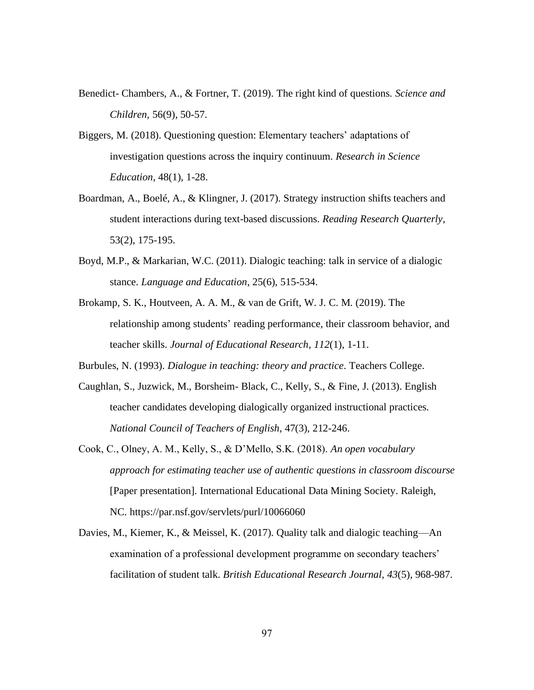- Benedict- Chambers, A., & Fortner, T. (2019). The right kind of questions. *Science and Children,* 56(9), 50-57.
- Biggers, M. (2018). Questioning question: Elementary teachers' adaptations of investigation questions across the inquiry continuum. *Research in Science Education*, 48(1), 1-28.
- Boardman, A., Boelé, A., & Klingner, J. (2017). Strategy instruction shifts teachers and student interactions during text-based discussions. *Reading Research Quarterly*, 53(2), 175-195.
- Boyd, M.P., & Markarian, W.C. (2011). Dialogic teaching: talk in service of a dialogic stance. *Language and Education*, 25(6), 515-534.
- Brokamp, S. K., Houtveen, A. A. M., & van de Grift, W. J. C. M. (2019). The relationship among students' reading performance, their classroom behavior, and teacher skills. *Journal of Educational Research*, *112*(1), 1-11.

Burbules, N. (1993). *Dialogue in teaching: theory and practice*. Teachers College.

- Caughlan, S., Juzwick, M., Borsheim- Black, C., Kelly, S., & Fine, J. (2013). English teacher candidates developing dialogically organized instructional practices. *National Council of Teachers of English*, 47(3), 212-246.
- Cook, C., Olney, A. M., Kelly, S., & D'Mello, S.K. (2018). *An open vocabulary approach for estimating teacher use of authentic questions in classroom discourse* [Paper presentation]. International Educational Data Mining Society. Raleigh, NC. https://par.nsf.gov/servlets/purl/10066060
- Davies, M., Kiemer, K., & Meissel, K. (2017). Quality talk and dialogic teaching—An examination of a professional development programme on secondary teachers' facilitation of student talk. *British Educational Research Journal*, *43*(5), 968-987.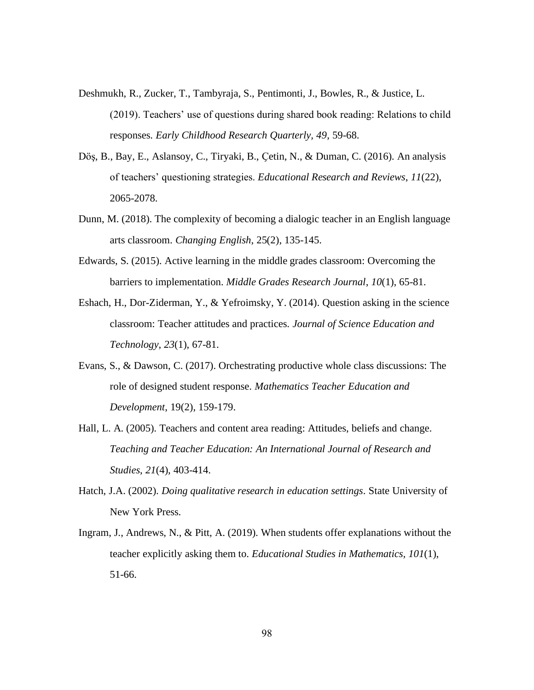- Deshmukh, R., Zucker, T., Tambyraja, S., Pentimonti, J., Bowles, R., & Justice, L. (2019). Teachers' use of questions during shared book reading: Relations to child responses. *Early Childhood Research Quarterly, 49*, 59-68.
- Döş, B., Bay, E., Aslansoy, C., Tiryaki, B., Ҫetin, N., & Duman, C. (2016). An analysis of teachers' questioning strategies. *Educational Research and Reviews*, *11*(22), 2065-2078.
- Dunn, M. (2018). The complexity of becoming a dialogic teacher in an English language arts classroom. *Changing English*, 25(2), 135-145.
- Edwards, S. (2015). Active learning in the middle grades classroom: Overcoming the barriers to implementation. *Middle Grades Research Journal*, *10*(1), 65-81.
- Eshach, H., Dor-Ziderman, Y., & Yefroimsky, Y. (2014). Question asking in the science classroom: Teacher attitudes and practices. *Journal of Science Education and Technology*, *23*(1), 67-81.
- Evans, S., & Dawson, C. (2017). Orchestrating productive whole class discussions: The role of designed student response. *Mathematics Teacher Education and Development*, 19(2), 159-179.
- Hall, L. A. (2005). Teachers and content area reading: Attitudes, beliefs and change. *Teaching and Teacher Education: An International Journal of Research and Studies*, *21*(4), 403-414.
- Hatch, J.A. (2002). *Doing qualitative research in education settings*. State University of New York Press.
- Ingram, J., Andrews, N., & Pitt, A. (2019). When students offer explanations without the teacher explicitly asking them to. *Educational Studies in Mathematics, 101*(1), 51-66.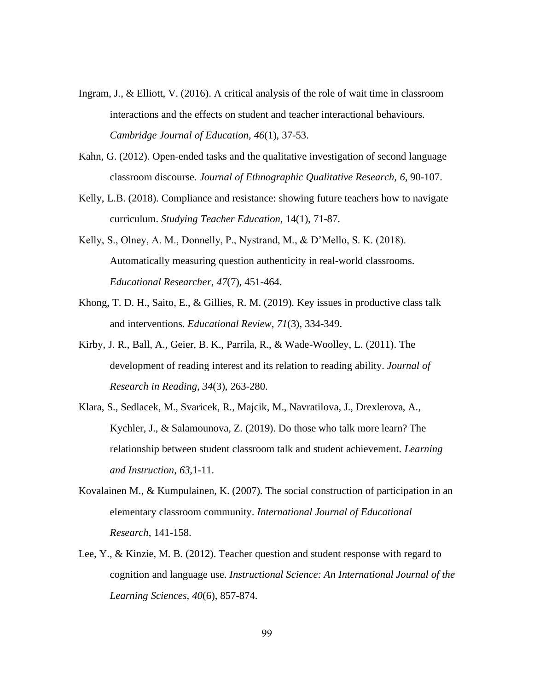- Ingram, J., & Elliott, V. (2016). A critical analysis of the role of wait time in classroom interactions and the effects on student and teacher interactional behaviours. *Cambridge Journal of Education*, *46*(1), 37-53.
- Kahn, G. (2012). Open-ended tasks and the qualitative investigation of second language classroom discourse. *Journal of Ethnographic Qualitative Research, 6*, 90-107.
- Kelly, L.B. (2018). Compliance and resistance: showing future teachers how to navigate curriculum. *Studying Teacher Education*, 14(1), 71-87.
- Kelly, S., Olney, A. M., Donnelly, P., Nystrand, M., & D'Mello, S. K. (2018). Automatically measuring question authenticity in real-world classrooms. *Educational Researcher*, *47*(7), 451-464.
- Khong, T. D. H., Saito, E., & Gillies, R. M. (2019). Key issues in productive class talk and interventions. *Educational Review, 71*(3), 334-349.
- Kirby, J. R., Ball, A., Geier, B. K., Parrila, R., & Wade-Woolley, L. (2011). The development of reading interest and its relation to reading ability. *Journal of Research in Reading*, *34*(3), 263-280.
- Klara, S., Sedlacek, M., Svaricek, R., Majcik, M., Navratilova, J., Drexlerova, A., Kychler, J., & Salamounova, Z. (2019). Do those who talk more learn? The relationship between student classroom talk and student achievement. *Learning and Instruction*, *63*,1-11.
- Kovalainen M., & Kumpulainen, K. (2007). The social construction of participation in an elementary classroom community. *International Journal of Educational Research*, 141-158.
- Lee, Y., & Kinzie, M. B. (2012). Teacher question and student response with regard to cognition and language use. *Instructional Science: An International Journal of the Learning Sciences, 40*(6), 857-874.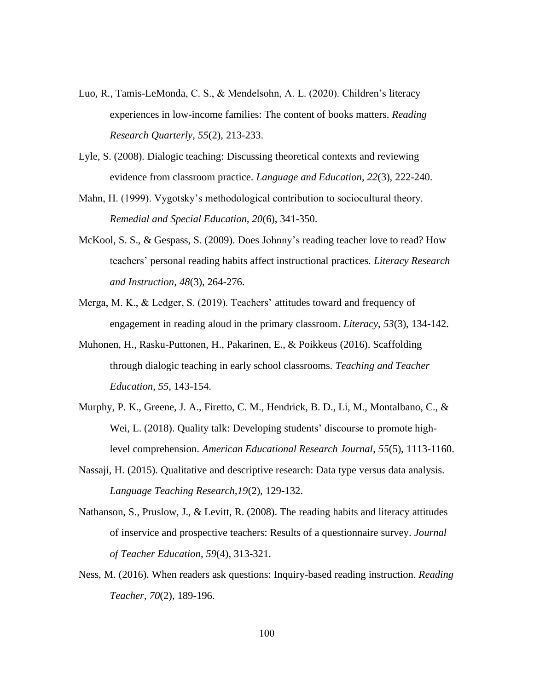- Luo, R., Tamis-LeMonda, C. S., & Mendelsohn, A. L. (2020). Children's literacy experiences in low-income families: The content of books matters. *Reading Research Quarterly*, *55*(2), 213-233.
- Lyle, S. (2008). Dialogic teaching: Discussing theoretical contexts and reviewing evidence from classroom practice. *Language and Education*, *22*(3), 222-240.
- Mahn, H. (1999). Vygotsky's methodological contribution to sociocultural theory. *Remedial and Special Education, 20*(6), 341-350.
- McKool, S. S., & Gespass, S. (2009). Does Johnny's reading teacher love to read? How teachers' personal reading habits affect instructional practices. *Literacy Research and Instruction*, *48*(3), 264-276.
- Merga, M. K., & Ledger, S. (2019). Teachers' attitudes toward and frequency of engagement in reading aloud in the primary classroom. *Literacy*, *53*(3), 134-142.
- Muhonen, H., Rasku-Puttonen, H., Pakarinen, E., & Poikkeus (2016). Scaffolding through dialogic teaching in early school classrooms. *Teaching and Teacher Education*, *55*, 143-154.
- Murphy, P. K., Greene, J. A., Firetto, C. M., Hendrick, B. D., Li, M., Montalbano, C., & Wei, L. (2018). Quality talk: Developing students' discourse to promote highlevel comprehension. *American Educational Research Journal*, *55*(5), 1113-1160.
- Nassaji, H. (2015). Qualitative and descriptive research: Data type versus data analysis. *Language Teaching Research,19*(2), 129-132.
- Nathanson, S., Pruslow, J., & Levitt, R. (2008). The reading habits and literacy attitudes of inservice and prospective teachers: Results of a questionnaire survey. *Journal of Teacher Education*, *59*(4), 313-321.
- Ness, M. (2016). When readers ask questions: Inquiry-based reading instruction. *Reading Teacher*, *70*(2), 189-196.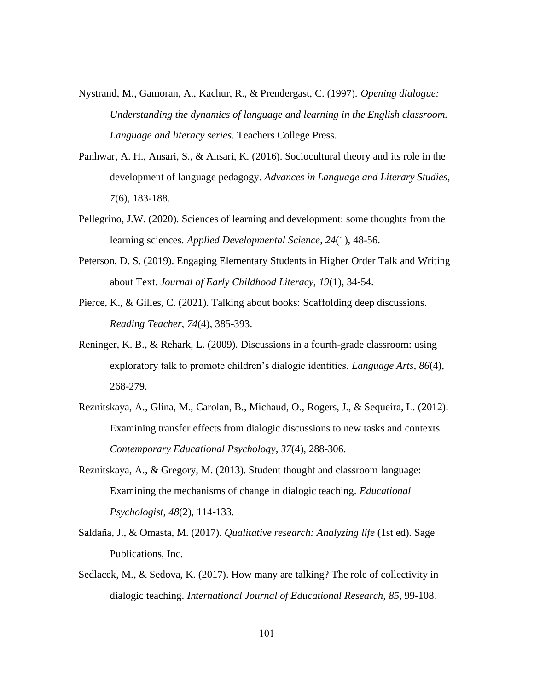- Nystrand, M., Gamoran, A., Kachur, R., & Prendergast, C. (1997). *Opening dialogue: Understanding the dynamics of language and learning in the English classroom. Language and literacy series*. Teachers College Press.
- Panhwar, A. H., Ansari, S., & Ansari, K. (2016). Sociocultural theory and its role in the development of language pedagogy. *Advances in Language and Literary Studies*, *7*(6), 183-188.
- Pellegrino, J.W. (2020). Sciences of learning and development: some thoughts from the learning sciences. *Applied Developmental Science*, *24*(1), 48-56.
- Peterson, D. S. (2019). Engaging Elementary Students in Higher Order Talk and Writing about Text. *Journal of Early Childhood Literacy, 19*(1), 34-54.
- Pierce, K., & Gilles, C. (2021). Talking about books: Scaffolding deep discussions. *Reading Teacher*, *74*(4), 385-393.
- Reninger, K. B., & Rehark, L. (2009). Discussions in a fourth-grade classroom: using exploratory talk to promote children's dialogic identities. *Language Arts*, *86*(4), 268-279.
- Reznitskaya, A., Glina, M., Carolan, B., Michaud, O., Rogers, J., & Sequeira, L. (2012). Examining transfer effects from dialogic discussions to new tasks and contexts. *Contemporary Educational Psychology*, *37*(4), 288-306.
- Reznitskaya, A., & Gregory, M. (2013). Student thought and classroom language: Examining the mechanisms of change in dialogic teaching. *Educational Psychologist*, *48*(2), 114-133.
- Saldaña, J., & Omasta, M. (2017). *Qualitative research: Analyzing life* (1st ed). Sage Publications, Inc.
- Sedlacek, M., & Sedova, K. (2017). How many are talking? The role of collectivity in dialogic teaching. *International Journal of Educational Research, 85*, 99-108.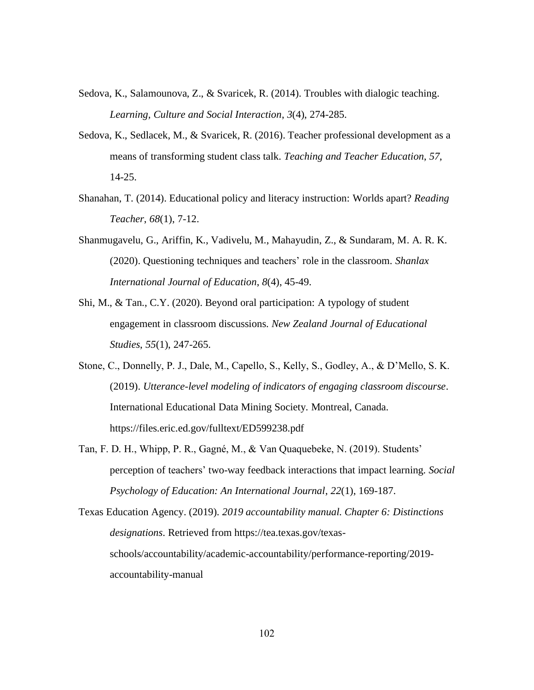- Sedova, K., Salamounova, Z., & Svaricek, R. (2014). Troubles with dialogic teaching. *Learning, Culture and Social Interaction*, *3*(4), 274-285.
- Sedova, K., Sedlacek, M., & Svaricek, R. (2016). Teacher professional development as a means of transforming student class talk. *Teaching and Teacher Education*, *57*, 14-25.
- Shanahan, T. (2014). Educational policy and literacy instruction: Worlds apart? *Reading Teacher*, *68*(1), 7-12.
- Shanmugavelu, G., Ariffin, K., Vadivelu, M., Mahayudin, Z., & Sundaram, M. A. R. K. (2020). Questioning techniques and teachers' role in the classroom. *Shanlax International Journal of Education*, *8*(4), 45-49.
- Shi, M., & Tan., C.Y. (2020). Beyond oral participation: A typology of student engagement in classroom discussions. *New Zealand Journal of Educational Studies*, *55*(1), 247-265.
- Stone, C., Donnelly, P. J., Dale, M., Capello, S., Kelly, S., Godley, A., & D'Mello, S. K. (2019). *Utterance-level modeling of indicators of engaging classroom discourse*. International Educational Data Mining Society. Montreal, Canada. https://files.eric.ed.gov/fulltext/ED599238.pdf
- Tan, F. D. H., Whipp, P. R., Gagné, M., & Van Quaquebeke, N. (2019). Students' perception of teachers' two-way feedback interactions that impact learning. *Social Psychology of Education: An International Journal*, *22*(1), 169-187.

Texas Education Agency. (2019). *2019 accountability manual. Chapter 6: Distinctions designations*. Retrieved from https://tea.texas.gov/texasschools/accountability/academic-accountability/performance-reporting/2019 accountability-manual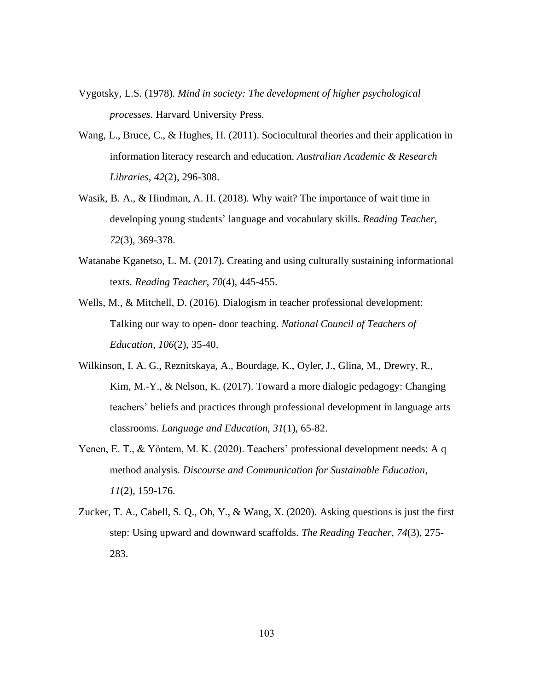- Vygotsky, L.S. (1978). *Mind in society: The development of higher psychological processes*. Harvard University Press.
- Wang, L., Bruce, C., & Hughes, H. (2011). Sociocultural theories and their application in information literacy research and education. *Australian Academic & Research Libraries*, *42*(2), 296-308.
- Wasik, B. A., & Hindman, A. H. (2018). Why wait? The importance of wait time in developing young students' language and vocabulary skills. *Reading Teacher*, *72*(3), 369-378.
- Watanabe Kganetso, L. M. (2017). Creating and using culturally sustaining informational texts. *Reading Teacher*, *70*(4), 445-455.
- Wells, M., & Mitchell, D. (2016). Dialogism in teacher professional development: Talking our way to open- door teaching. *National Council of Teachers of Education*, *106*(2), 35-40.
- Wilkinson, I. A. G., Reznitskaya, A., Bourdage, K., Oyler, J., Glina, M., Drewry, R., Kim, M.-Y., & Nelson, K. (2017). Toward a more dialogic pedagogy: Changing teachers' beliefs and practices through professional development in language arts classrooms. *Language and Education*, *31*(1), 65-82.
- Yenen, E. T., & Yöntem, M. K. (2020). Teachers' professional development needs: A q method analysis. *Discourse and Communication for Sustainable Education*, *11*(2), 159-176.
- Zucker, T. A., Cabell, S. Q., Oh, Y., & Wang, X. (2020). Asking questions is just the first step: Using upward and downward scaffolds. *The Reading Teacher*, *74*(3), 275- 283.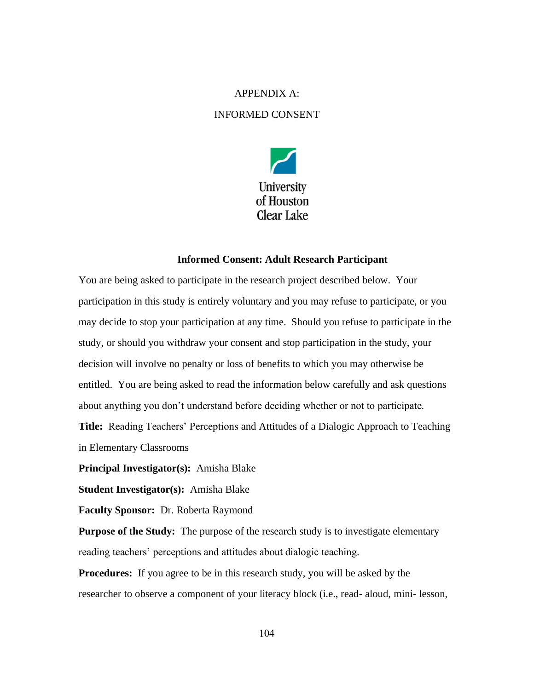# APPENDIX A:

## INFORMED CONSENT



#### **Informed Consent: Adult Research Participant**

You are being asked to participate in the research project described below. Your participation in this study is entirely voluntary and you may refuse to participate, or you may decide to stop your participation at any time. Should you refuse to participate in the study, or should you withdraw your consent and stop participation in the study, your decision will involve no penalty or loss of benefits to which you may otherwise be entitled. You are being asked to read the information below carefully and ask questions about anything you don't understand before deciding whether or not to participate. **Title:** Reading Teachers' Perceptions and Attitudes of a Dialogic Approach to Teaching in Elementary Classrooms

**Principal Investigator(s):** Amisha Blake

**Student Investigator(s):** Amisha Blake

**Faculty Sponsor:** Dr. Roberta Raymond

**Purpose of the Study:** The purpose of the research study is to investigate elementary reading teachers' perceptions and attitudes about dialogic teaching.

**Procedures:** If you agree to be in this research study, you will be asked by the researcher to observe a component of your literacy block (i.e., read- aloud, mini- lesson,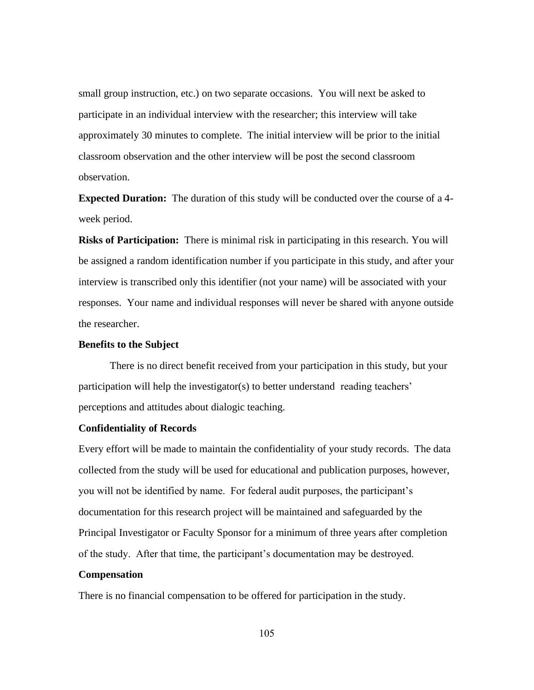small group instruction, etc.) on two separate occasions. You will next be asked to participate in an individual interview with the researcher; this interview will take approximately 30 minutes to complete. The initial interview will be prior to the initial classroom observation and the other interview will be post the second classroom observation.

**Expected Duration:** The duration of this study will be conducted over the course of a 4 week period.

**Risks of Participation:** There is minimal risk in participating in this research. You will be assigned a random identification number if you participate in this study, and after your interview is transcribed only this identifier (not your name) will be associated with your responses. Your name and individual responses will never be shared with anyone outside the researcher.

#### **Benefits to the Subject**

There is no direct benefit received from your participation in this study, but your participation will help the investigator(s) to better understand reading teachers' perceptions and attitudes about dialogic teaching.

## **Confidentiality of Records**

Every effort will be made to maintain the confidentiality of your study records. The data collected from the study will be used for educational and publication purposes, however, you will not be identified by name. For federal audit purposes, the participant's documentation for this research project will be maintained and safeguarded by the Principal Investigator or Faculty Sponsor for a minimum of three years after completion of the study. After that time, the participant's documentation may be destroyed.

#### **Compensation**

There is no financial compensation to be offered for participation in the study.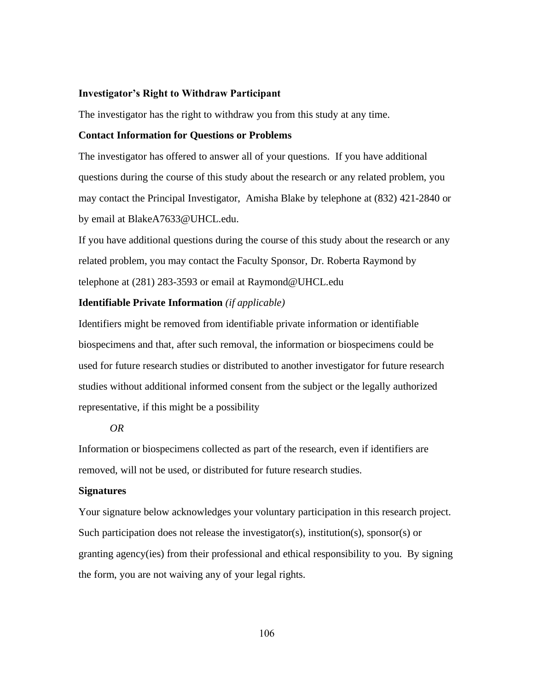#### **Investigator's Right to Withdraw Participant**

The investigator has the right to withdraw you from this study at any time.

### **Contact Information for Questions or Problems**

The investigator has offered to answer all of your questions. If you have additional questions during the course of this study about the research or any related problem, you may contact the Principal Investigator, Amisha Blake by telephone at (832) 421-2840 or by email at BlakeA7633@UHCL.edu.

If you have additional questions during the course of this study about the research or any related problem, you may contact the Faculty Sponsor, Dr. Roberta Raymond by telephone at (281) 283-3593 or email at Raymond@UHCL.edu

### **Identifiable Private Information** *(if applicable)*

Identifiers might be removed from identifiable private information or identifiable biospecimens and that, after such removal, the information or biospecimens could be used for future research studies or distributed to another investigator for future research studies without additional informed consent from the subject or the legally authorized representative, if this might be a possibility

### *OR*

Information or biospecimens collected as part of the research, even if identifiers are removed, will not be used, or distributed for future research studies.

#### **Signatures**

Your signature below acknowledges your voluntary participation in this research project. Such participation does not release the investigator(s), institution(s), sponsor(s) or granting agency(ies) from their professional and ethical responsibility to you. By signing the form, you are not waiving any of your legal rights.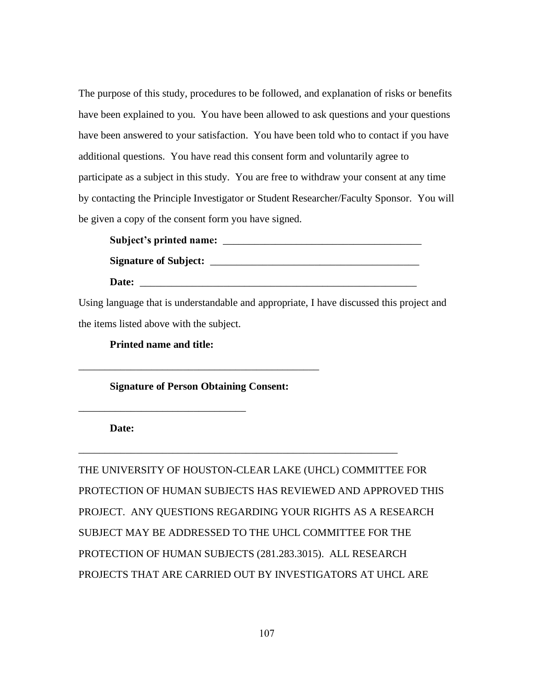The purpose of this study, procedures to be followed, and explanation of risks or benefits have been explained to you. You have been allowed to ask questions and your questions have been answered to your satisfaction. You have been told who to contact if you have additional questions. You have read this consent form and voluntarily agree to participate as a subject in this study. You are free to withdraw your consent at any time by contacting the Principle Investigator or Student Researcher/Faculty Sponsor. You will be given a copy of the consent form you have signed.

**Subject's printed name:** \_\_\_\_\_\_\_\_\_\_\_\_\_\_\_\_\_\_\_\_\_\_\_\_\_\_\_\_\_\_\_\_\_\_\_\_\_\_ **Signature of Subject:** \_\_\_\_\_\_\_\_\_\_\_\_\_\_\_\_\_\_\_\_\_\_\_\_\_\_\_\_\_\_\_\_\_\_\_\_\_\_\_\_ Date:

Using language that is understandable and appropriate, I have discussed this project and the items listed above with the subject.

**Printed name and title:**

\_\_\_\_\_\_\_\_\_\_\_\_\_\_\_\_\_\_\_\_\_\_\_\_\_\_\_\_\_\_\_\_

**Signature of Person Obtaining Consent:**

\_\_\_\_\_\_\_\_\_\_\_\_\_\_\_\_\_\_\_\_\_\_\_\_\_\_\_\_\_\_\_\_\_\_\_\_\_\_\_\_\_\_\_\_\_\_

**Date:**

THE UNIVERSITY OF HOUSTON-CLEAR LAKE (UHCL) COMMITTEE FOR PROTECTION OF HUMAN SUBJECTS HAS REVIEWED AND APPROVED THIS PROJECT. ANY QUESTIONS REGARDING YOUR RIGHTS AS A RESEARCH SUBJECT MAY BE ADDRESSED TO THE UHCL COMMITTEE FOR THE PROTECTION OF HUMAN SUBJECTS (281.283.3015). ALL RESEARCH PROJECTS THAT ARE CARRIED OUT BY INVESTIGATORS AT UHCL ARE

\_\_\_\_\_\_\_\_\_\_\_\_\_\_\_\_\_\_\_\_\_\_\_\_\_\_\_\_\_\_\_\_\_\_\_\_\_\_\_\_\_\_\_\_\_\_\_\_\_\_\_\_\_\_\_\_\_\_\_\_\_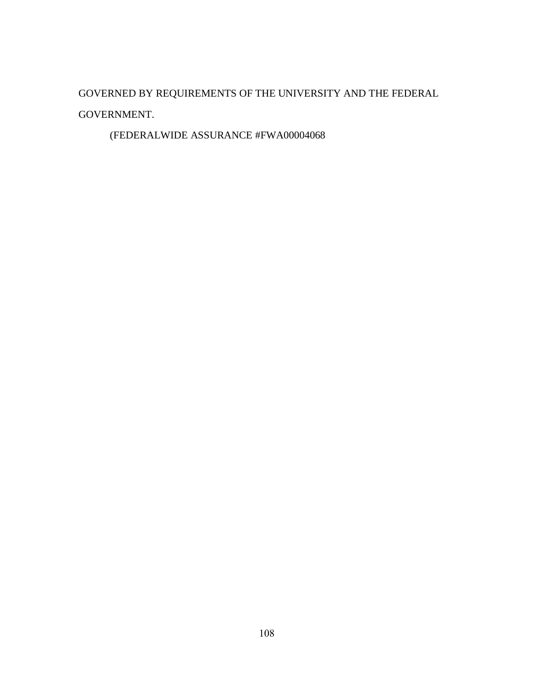GOVERNED BY REQUIREMENTS OF THE UNIVERSITY AND THE FEDERAL GOVERNMENT.

(FEDERALWIDE ASSURANCE #FWA00004068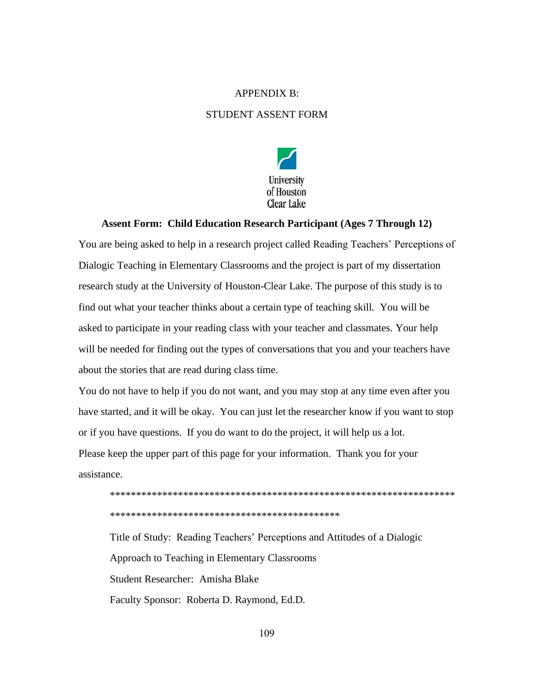## APPENDIX B:

# STUDENT ASSENT FORM



### **Assent Form: Child Education Research Participant (Ages 7 Through 12)**

You are being asked to help in a research project called Reading Teachers' Perceptions of Dialogic Teaching in Elementary Classrooms and the project is part of my dissertation research study at the University of Houston-Clear Lake. The purpose of this study is to find out what your teacher thinks about a certain type of teaching skill. You will be asked to participate in your reading class with your teacher and classmates. Your help will be needed for finding out the types of conversations that you and your teachers have about the stories that are read during class time.

You do not have to help if you do not want, and you may stop at any time even after you have started, and it will be okay. You can just let the researcher know if you want to stop or if you have questions. If you do want to do the project, it will help us a lot. Please keep the upper part of this page for your information. Thank you for your assistance.



Title of Study: Reading Teachers' Perceptions and Attitudes of a Dialogic Approach to Teaching in Elementary Classrooms Student Researcher: Amisha Blake Faculty Sponsor: Roberta D. Raymond, Ed.D.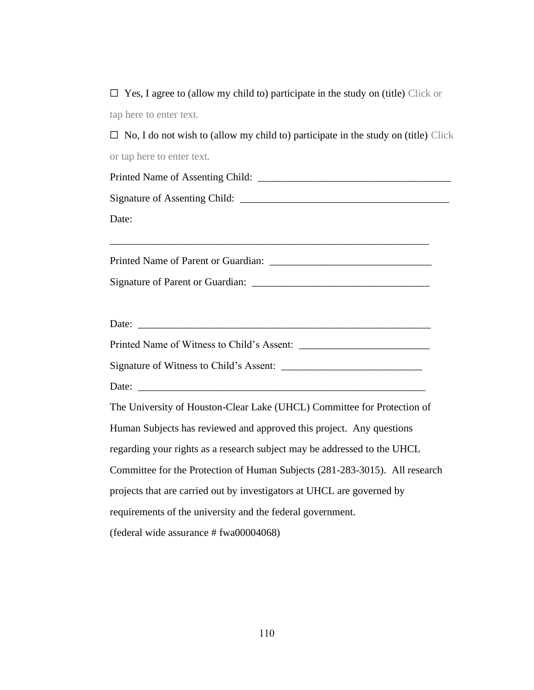$\Box$  Yes, I agree to (allow my child to) participate in the study on (title) Click or tap here to enter text.

 $\Box$  No, I do not wish to (allow my child to) participate in the study on (title) Click or tap here to enter text.

| Printed Name of Assenting Child: |  |
|----------------------------------|--|
|                                  |  |
| Signature of Assenting Child:    |  |
|                                  |  |
| Date:                            |  |

Printed Name of Parent or Guardian: \_\_\_\_\_\_\_\_\_\_\_\_\_\_\_\_\_\_\_\_\_\_\_\_\_\_\_\_\_\_\_

\_\_\_\_\_\_\_\_\_\_\_\_\_\_\_\_\_\_\_\_\_\_\_\_\_\_\_\_\_\_\_\_\_\_\_\_\_\_\_\_\_\_\_\_\_\_\_\_\_\_\_\_\_\_\_\_\_\_\_\_\_

Signature of Parent or Guardian: \_\_\_\_\_\_\_\_\_\_\_\_\_\_\_\_\_\_\_\_\_\_\_\_\_\_\_\_\_\_\_\_\_\_

| Date:                                      |  |
|--------------------------------------------|--|
| Printed Name of Witness to Child's Assent: |  |

Signature of Witness to Child's Assent: \_\_\_\_\_\_\_\_\_\_\_\_\_\_\_\_\_\_\_\_\_\_\_\_\_\_\_

Date: \_\_\_\_\_\_\_\_\_\_\_\_\_\_\_\_\_\_\_\_\_\_\_\_\_\_\_\_\_\_\_\_\_\_\_\_\_\_\_\_\_\_\_\_\_\_\_\_\_\_\_\_\_\_\_

The University of Houston-Clear Lake (UHCL) Committee for Protection of Human Subjects has reviewed and approved this project. Any questions regarding your rights as a research subject may be addressed to the UHCL

Committee for the Protection of Human Subjects (281-283-3015). All research

projects that are carried out by investigators at UHCL are governed by

requirements of the university and the federal government.

(federal wide assurance # fwa00004068)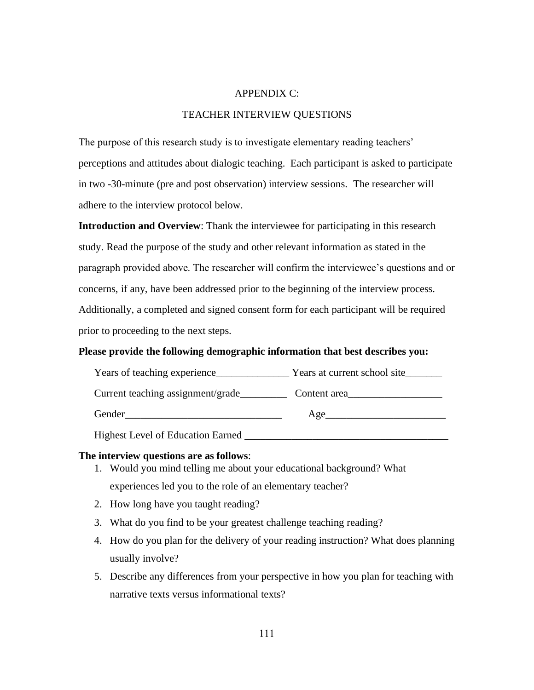### APPENDIX C:

# TEACHER INTERVIEW QUESTIONS

The purpose of this research study is to investigate elementary reading teachers' perceptions and attitudes about dialogic teaching. Each participant is asked to participate in two -30-minute (pre and post observation) interview sessions. The researcher will adhere to the interview protocol below.

**Introduction and Overview**: Thank the interviewee for participating in this research study. Read the purpose of the study and other relevant information as stated in the paragraph provided above. The researcher will confirm the interviewee's questions and or concerns, if any, have been addressed prior to the beginning of the interview process. Additionally, a completed and signed consent form for each participant will be required prior to proceeding to the next steps.

## **Please provide the following demographic information that best describes you:**

| Years of teaching experience             | Years at current school site |
|------------------------------------------|------------------------------|
| Current teaching assignment/grade        | Content area                 |
| Gender                                   | Age                          |
| <b>Highest Level of Education Earned</b> |                              |

#### **The interview questions are as follows**:

- 1. Would you mind telling me about your educational background? What experiences led you to the role of an elementary teacher?
- 2. How long have you taught reading?
- 3. What do you find to be your greatest challenge teaching reading?
- 4. How do you plan for the delivery of your reading instruction? What does planning usually involve?
- 5. Describe any differences from your perspective in how you plan for teaching with narrative texts versus informational texts?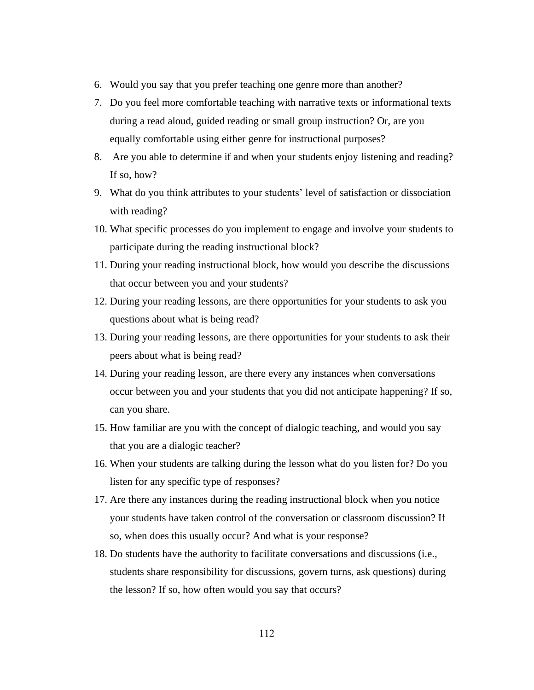- 6. Would you say that you prefer teaching one genre more than another?
- 7. Do you feel more comfortable teaching with narrative texts or informational texts during a read aloud, guided reading or small group instruction? Or, are you equally comfortable using either genre for instructional purposes?
- 8. Are you able to determine if and when your students enjoy listening and reading? If so, how?
- 9. What do you think attributes to your students' level of satisfaction or dissociation with reading?
- 10. What specific processes do you implement to engage and involve your students to participate during the reading instructional block?
- 11. During your reading instructional block, how would you describe the discussions that occur between you and your students?
- 12. During your reading lessons, are there opportunities for your students to ask you questions about what is being read?
- 13. During your reading lessons, are there opportunities for your students to ask their peers about what is being read?
- 14. During your reading lesson, are there every any instances when conversations occur between you and your students that you did not anticipate happening? If so, can you share.
- 15. How familiar are you with the concept of dialogic teaching, and would you say that you are a dialogic teacher?
- 16. When your students are talking during the lesson what do you listen for? Do you listen for any specific type of responses?
- 17. Are there any instances during the reading instructional block when you notice your students have taken control of the conversation or classroom discussion? If so, when does this usually occur? And what is your response?
- 18. Do students have the authority to facilitate conversations and discussions (i.e., students share responsibility for discussions, govern turns, ask questions) during the lesson? If so, how often would you say that occurs?